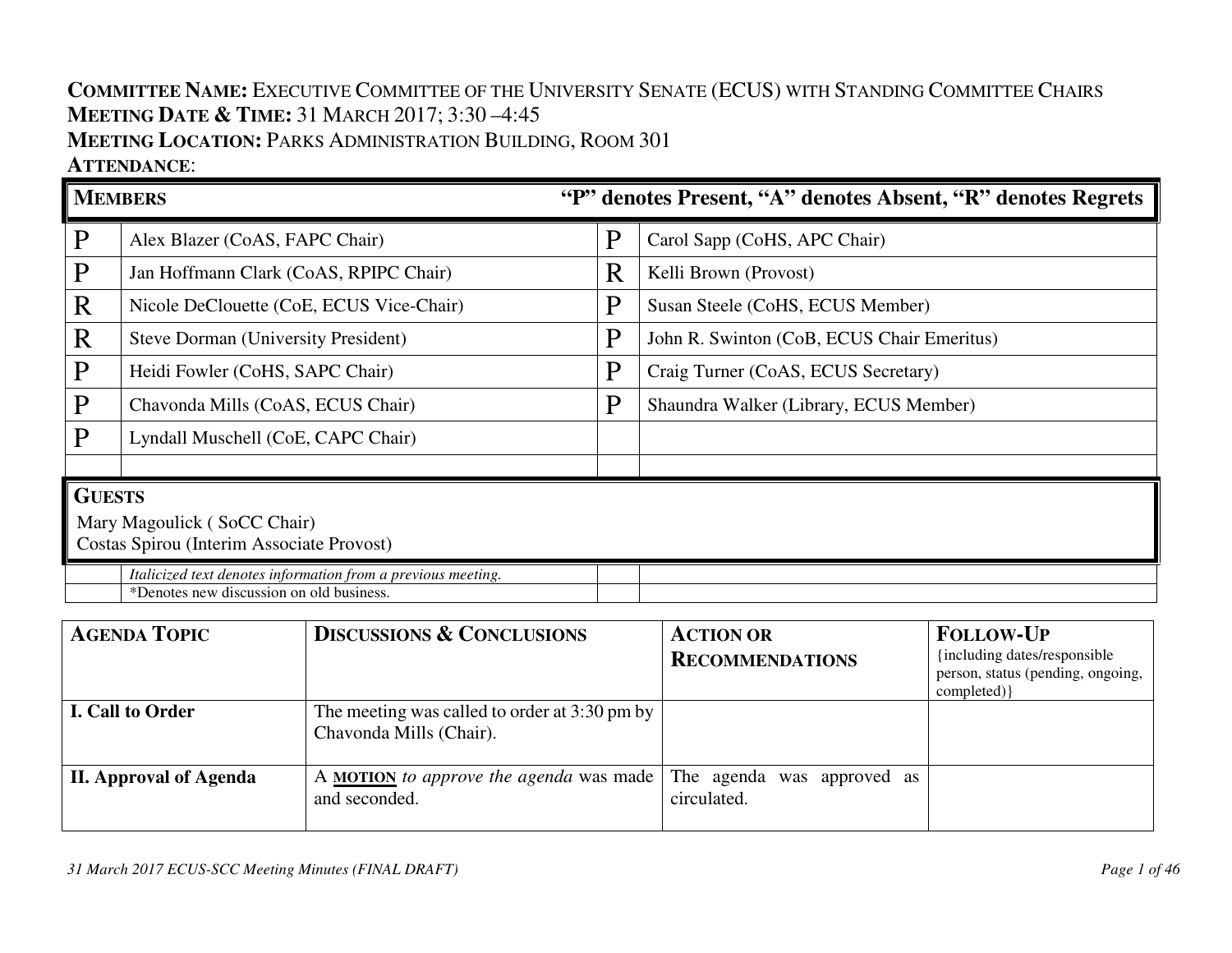## **COMMITTEE NAME:** <sup>E</sup>XECUTIVE COMMITTEE OF THE UNIVERSITY SENATE (ECUS) WITH STANDING COMMITTEE CHAIRS**MEETING DATE & <sup>T</sup>IME:** <sup>31</sup> <sup>M</sup>ARCH 2017; 3:30 –4:45 **MEETING LOCATION:** <sup>P</sup>ARKS ADMINISTRATION BUILDING, <sup>R</sup>OOM <sup>301</sup>**ATTENDANCE**:

# **MEMBERS "P" denotes Present, "A" denotes Absent, "R" denotes Regrets**  $P$  Alex Blazer (CoAS, FAPC Chair)  $\|P\|$  Carol Sapp (CoHS, APC Chair)  $P$  Jan Hoffmann Clark (CoAS, RPIPC Chair)  $\mathbb{R}$  Kelli Brown (Provost)  $R$  Nicole DeClouette (CoE, ECUS Vice-Chair)  $\|P\|$  Susan Steele (CoHS, ECUS Member) R Steve Dorman (University President)  $\|P\|$  John R. Swinton (CoB, ECUS Chair Emeritus) P Heidi Fowler (CoHS, SAPC Chair)  $\|P\|$  Craig Turner (CoAS, ECUS Secretary)  $\mathbf{P}$  Chavonda Mills (CoAS, ECUS Chair)  $\mathbf{P}$  Shaundra Walker (Library, ECUS Member) P Lyndall Muschell (CoE, CAPC Chair) **GUESTS** Mary Magoulick ( SoCC Chair) Costas Spirou (Interim Associate Provost)*Italicized text denotes information from a previous meeting.* \*Denotes new discussion on old business.

| <b>AGENDA TOPIC</b>           | <b>DISCUSSIONS &amp; CONCLUSIONS</b>                                     | <b>ACTION OR</b><br><b>RECOMMENDATIONS</b> | <b>FOLLOW-UP</b><br>{including dates/responsible}<br>person, status (pending, ongoing,<br>completed) } |
|-------------------------------|--------------------------------------------------------------------------|--------------------------------------------|--------------------------------------------------------------------------------------------------------|
| <b>I. Call to Order</b>       | The meeting was called to order at 3:30 pm by<br>Chavonda Mills (Chair). |                                            |                                                                                                        |
| <b>II. Approval of Agenda</b> | A <b>MOTION</b> to approve the agenda was made<br>and seconded.          | The agenda was approved as<br>circulated.  |                                                                                                        |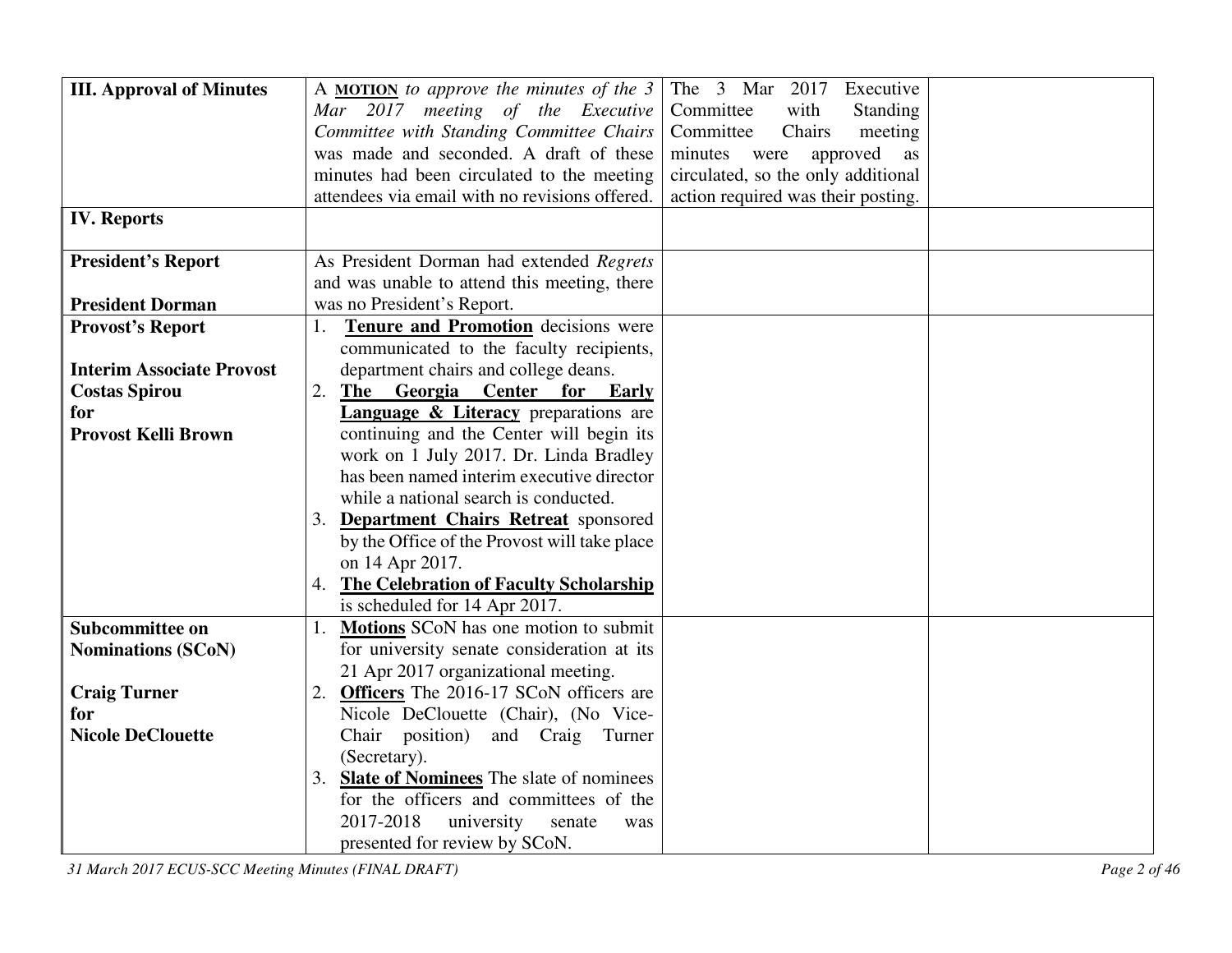| <b>III. Approval of Minutes</b>  | The 3 Mar 2017<br>A <b>MOTION</b> to approve the minutes of the $3$<br>Executive     |
|----------------------------------|--------------------------------------------------------------------------------------|
|                                  | Mar 2017 meeting of the Executive<br>Committee<br>Standing<br>with                   |
|                                  | Committee with Standing Committee Chairs<br>Committee<br>Chairs<br>meeting           |
|                                  | was made and seconded. A draft of these<br>minutes<br>approved<br>were<br>as         |
|                                  | minutes had been circulated to the meeting<br>circulated, so the only additional     |
|                                  | attendees via email with no revisions offered.<br>action required was their posting. |
| <b>IV. Reports</b>               |                                                                                      |
|                                  |                                                                                      |
| <b>President's Report</b>        | As President Dorman had extended Regrets                                             |
|                                  | and was unable to attend this meeting, there                                         |
| <b>President Dorman</b>          | was no President's Report.                                                           |
| <b>Provost's Report</b>          | Tenure and Promotion decisions were<br>1.                                            |
|                                  | communicated to the faculty recipients,                                              |
| <b>Interim Associate Provost</b> | department chairs and college deans.                                                 |
| <b>Costas Spirou</b>             | 2.<br>The Georgia Center for<br>Early                                                |
| for                              | <b>Language &amp; Literacy</b> preparations are                                      |
| <b>Provost Kelli Brown</b>       | continuing and the Center will begin its                                             |
|                                  | work on 1 July 2017. Dr. Linda Bradley                                               |
|                                  | has been named interim executive director                                            |
|                                  | while a national search is conducted.                                                |
|                                  | 3. Department Chairs Retreat sponsored                                               |
|                                  | by the Office of the Provost will take place                                         |
|                                  | on 14 Apr 2017.                                                                      |
|                                  | 4. The Celebration of Faculty Scholarship                                            |
|                                  | is scheduled for 14 Apr 2017.                                                        |
| Subcommittee on                  | Motions SCoN has one motion to submit                                                |
| <b>Nominations (SCoN)</b>        | for university senate consideration at its                                           |
|                                  | 21 Apr 2017 organizational meeting.                                                  |
| <b>Craig Turner</b>              | <b>Officers</b> The 2016-17 SCoN officers are<br>2.                                  |
| for                              | Nicole DeClouette (Chair), (No Vice-                                                 |
| <b>Nicole DeClouette</b>         | Chair position)<br>and Craig Turner                                                  |
|                                  | (Secretary).                                                                         |
|                                  | 3. Slate of Nominees The slate of nominees                                           |
|                                  | for the officers and committees of the                                               |
|                                  | 2017-2018<br>university<br>senate<br>was                                             |
|                                  | presented for review by SCoN.                                                        |

*31 March 2017 ECUS-SCC Meeting Minutes (FINAL DRAFT) Page 2 of 46*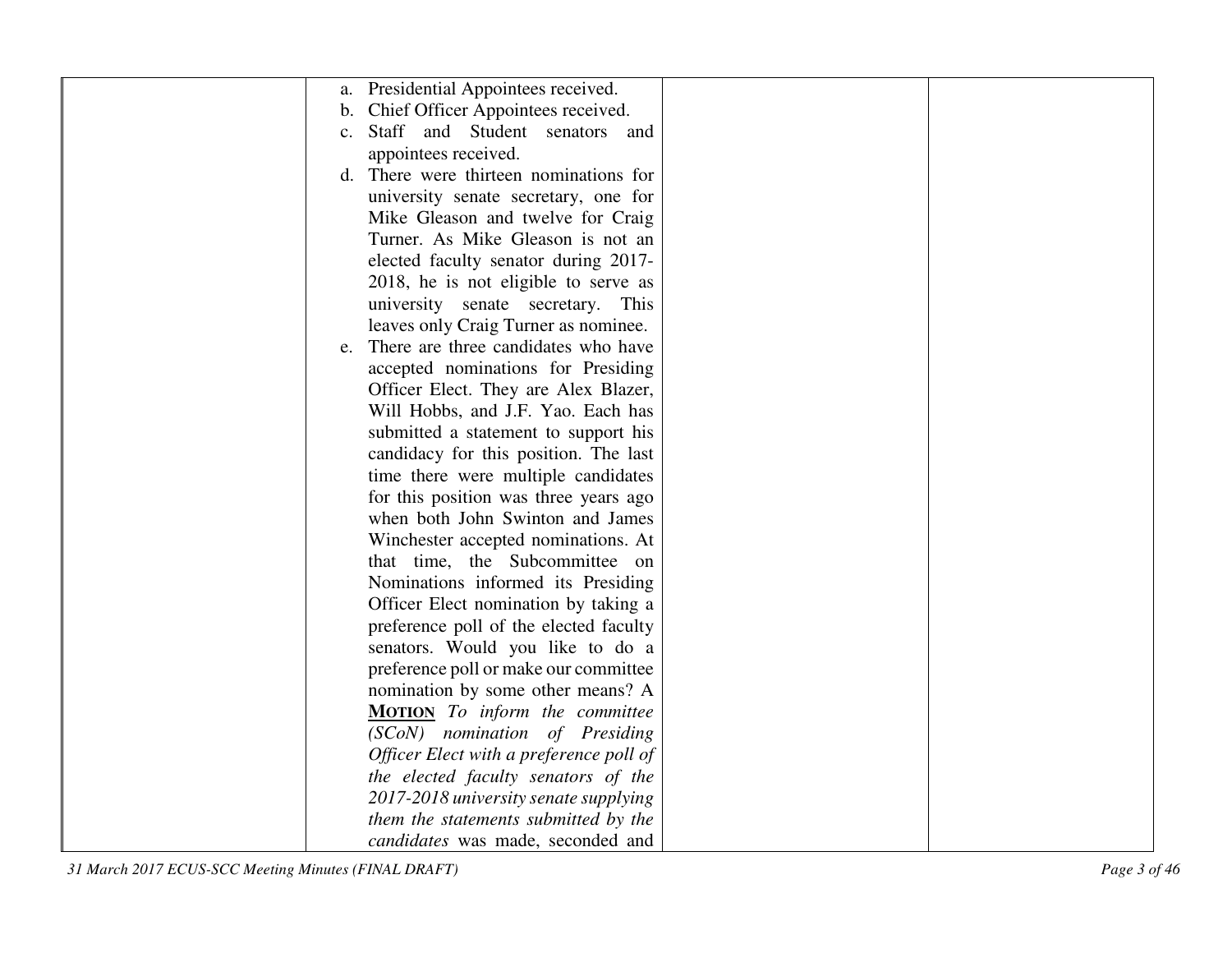|                | a. Presidential Appointees received.    |  |
|----------------|-----------------------------------------|--|
| $\mathbf{b}$ . | Chief Officer Appointees received.      |  |
| $\mathbf{c}$ . | Staff and Student senators and          |  |
|                | appointees received.                    |  |
|                | d. There were thirteen nominations for  |  |
|                | university senate secretary, one for    |  |
|                | Mike Gleason and twelve for Craig       |  |
|                | Turner. As Mike Gleason is not an       |  |
|                | elected faculty senator during 2017-    |  |
|                | 2018, he is not eligible to serve as    |  |
|                | university senate secretary. This       |  |
|                | leaves only Craig Turner as nominee.    |  |
|                | e. There are three candidates who have  |  |
|                | accepted nominations for Presiding      |  |
|                | Officer Elect. They are Alex Blazer,    |  |
|                | Will Hobbs, and J.F. Yao. Each has      |  |
|                | submitted a statement to support his    |  |
|                | candidacy for this position. The last   |  |
|                | time there were multiple candidates     |  |
|                | for this position was three years ago   |  |
|                | when both John Swinton and James        |  |
|                | Winchester accepted nominations. At     |  |
|                | that time, the Subcommittee on          |  |
|                | Nominations informed its Presiding      |  |
|                | Officer Elect nomination by taking a    |  |
|                | preference poll of the elected faculty  |  |
|                | senators. Would you like to do a        |  |
|                | preference poll or make our committee   |  |
|                | nomination by some other means? A       |  |
|                | MOTION To inform the committee          |  |
|                | (SCoN) nomination of Presiding          |  |
|                | Officer Elect with a preference poll of |  |
|                | the elected faculty senators of the     |  |
|                | 2017-2018 university senate supplying   |  |
|                | them the statements submitted by the    |  |
|                | candidates was made, seconded and       |  |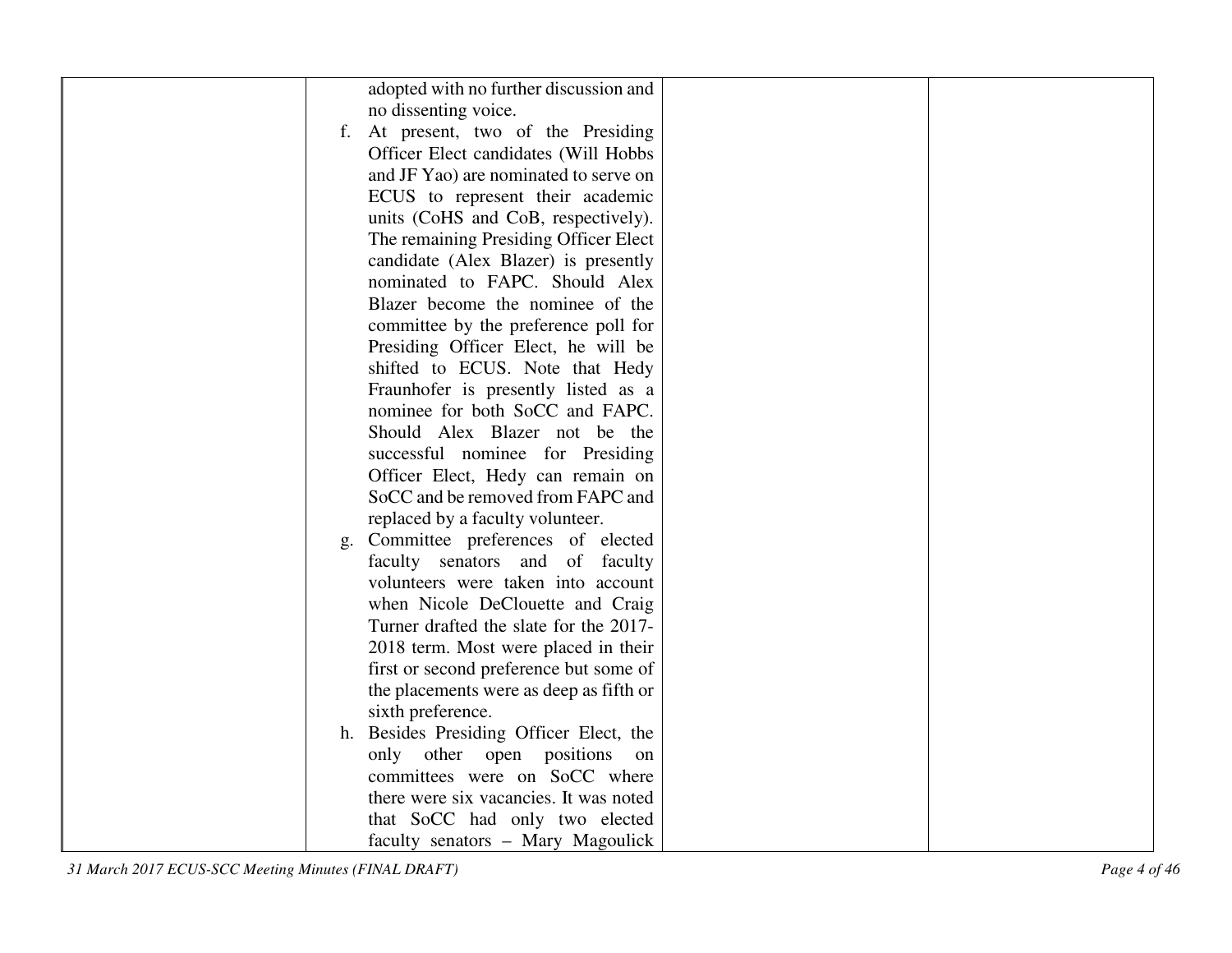| adopted with no further discussion and<br>no dissenting voice.<br>f. At present, two of the Presiding<br>Officer Elect candidates (Will Hobbs<br>and JF Yao) are nominated to serve on<br>ECUS to represent their academic<br>units (CoHS and CoB, respectively).<br>The remaining Presiding Officer Elect<br>candidate (Alex Blazer) is presently<br>nominated to FAPC. Should Alex<br>Blazer become the nominee of the<br>committee by the preference poll for |
|------------------------------------------------------------------------------------------------------------------------------------------------------------------------------------------------------------------------------------------------------------------------------------------------------------------------------------------------------------------------------------------------------------------------------------------------------------------|
|                                                                                                                                                                                                                                                                                                                                                                                                                                                                  |
|                                                                                                                                                                                                                                                                                                                                                                                                                                                                  |
|                                                                                                                                                                                                                                                                                                                                                                                                                                                                  |
|                                                                                                                                                                                                                                                                                                                                                                                                                                                                  |
|                                                                                                                                                                                                                                                                                                                                                                                                                                                                  |
|                                                                                                                                                                                                                                                                                                                                                                                                                                                                  |
|                                                                                                                                                                                                                                                                                                                                                                                                                                                                  |
|                                                                                                                                                                                                                                                                                                                                                                                                                                                                  |
|                                                                                                                                                                                                                                                                                                                                                                                                                                                                  |
|                                                                                                                                                                                                                                                                                                                                                                                                                                                                  |
|                                                                                                                                                                                                                                                                                                                                                                                                                                                                  |
|                                                                                                                                                                                                                                                                                                                                                                                                                                                                  |
| Presiding Officer Elect, he will be                                                                                                                                                                                                                                                                                                                                                                                                                              |
| shifted to ECUS. Note that Hedy                                                                                                                                                                                                                                                                                                                                                                                                                                  |
| Fraunhofer is presently listed as a                                                                                                                                                                                                                                                                                                                                                                                                                              |
| nominee for both SoCC and FAPC.                                                                                                                                                                                                                                                                                                                                                                                                                                  |
| Should Alex Blazer not be the                                                                                                                                                                                                                                                                                                                                                                                                                                    |
| successful nominee for Presiding                                                                                                                                                                                                                                                                                                                                                                                                                                 |
| Officer Elect, Hedy can remain on                                                                                                                                                                                                                                                                                                                                                                                                                                |
| SoCC and be removed from FAPC and                                                                                                                                                                                                                                                                                                                                                                                                                                |
| replaced by a faculty volunteer.                                                                                                                                                                                                                                                                                                                                                                                                                                 |
| g. Committee preferences of elected                                                                                                                                                                                                                                                                                                                                                                                                                              |
| faculty senators and of faculty                                                                                                                                                                                                                                                                                                                                                                                                                                  |
| volunteers were taken into account                                                                                                                                                                                                                                                                                                                                                                                                                               |
| when Nicole DeClouette and Craig                                                                                                                                                                                                                                                                                                                                                                                                                                 |
| Turner drafted the slate for the 2017-                                                                                                                                                                                                                                                                                                                                                                                                                           |
| 2018 term. Most were placed in their                                                                                                                                                                                                                                                                                                                                                                                                                             |
| first or second preference but some of                                                                                                                                                                                                                                                                                                                                                                                                                           |
| the placements were as deep as fifth or                                                                                                                                                                                                                                                                                                                                                                                                                          |
| sixth preference.                                                                                                                                                                                                                                                                                                                                                                                                                                                |
| h. Besides Presiding Officer Elect, the                                                                                                                                                                                                                                                                                                                                                                                                                          |
| only other open positions on                                                                                                                                                                                                                                                                                                                                                                                                                                     |
| committees were on SoCC where                                                                                                                                                                                                                                                                                                                                                                                                                                    |
| there were six vacancies. It was noted                                                                                                                                                                                                                                                                                                                                                                                                                           |
| that SoCC had only two elected                                                                                                                                                                                                                                                                                                                                                                                                                                   |
| faculty senators - Mary Magoulick                                                                                                                                                                                                                                                                                                                                                                                                                                |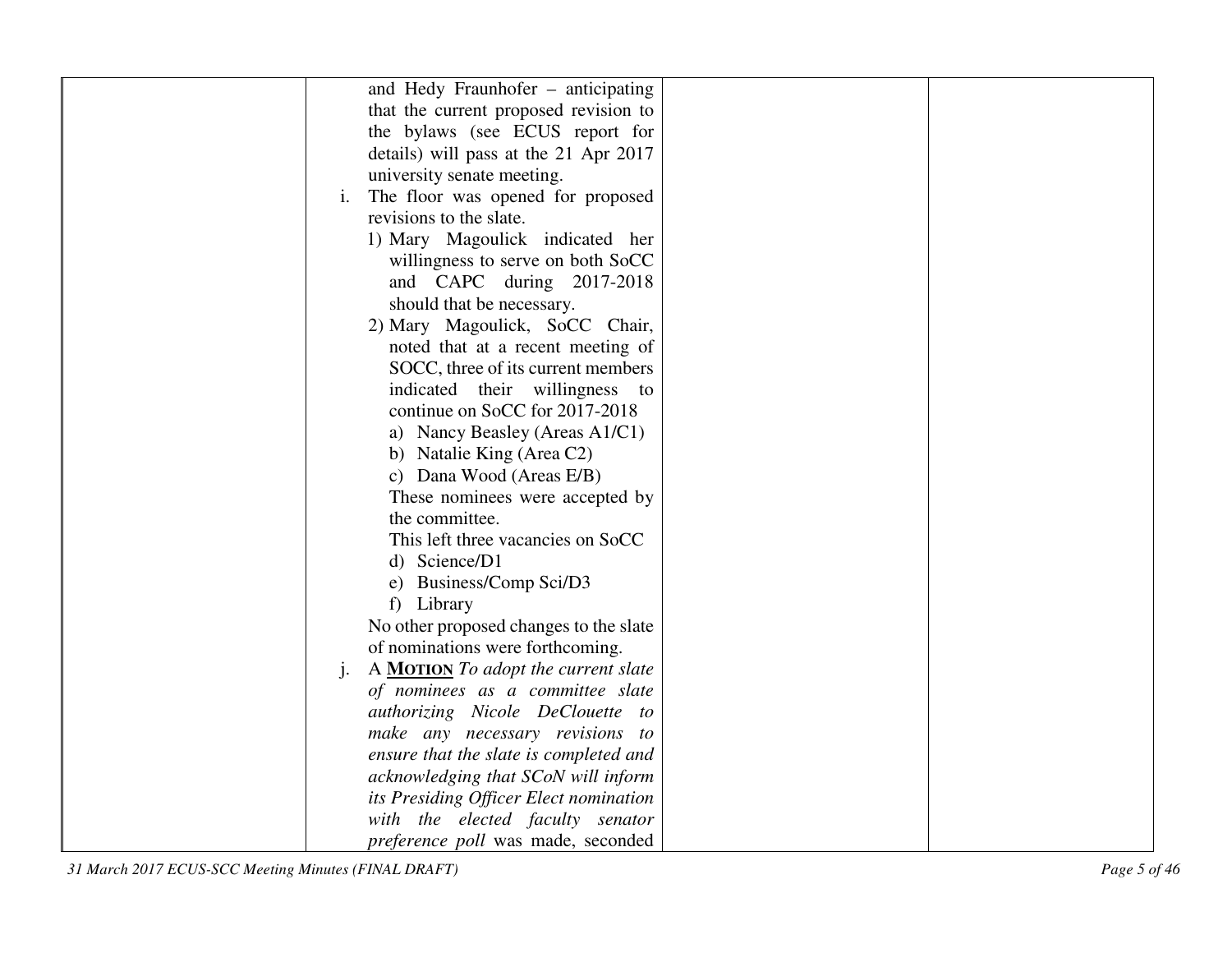|    | and Hedy Fraunhofer – anticipating         |  |
|----|--------------------------------------------|--|
|    | that the current proposed revision to      |  |
|    | the bylaws (see ECUS report for            |  |
|    | details) will pass at the 21 Apr 2017      |  |
|    | university senate meeting.                 |  |
| i. | The floor was opened for proposed          |  |
|    | revisions to the slate.                    |  |
|    | 1) Mary Magoulick indicated her            |  |
|    | willingness to serve on both SoCC          |  |
|    | and CAPC during 2017-2018                  |  |
|    | should that be necessary.                  |  |
|    | 2) Mary Magoulick, SoCC Chair,             |  |
|    | noted that at a recent meeting of          |  |
|    | SOCC, three of its current members         |  |
|    | indicated their willingness to             |  |
|    | continue on SoCC for 2017-2018             |  |
|    | a) Nancy Beasley (Areas A1/C1)             |  |
|    | b) Natalie King (Area C2)                  |  |
|    | c) Dana Wood (Areas E/B)                   |  |
|    | These nominees were accepted by            |  |
|    | the committee.                             |  |
|    | This left three vacancies on SoCC          |  |
|    | d) Science/D1                              |  |
|    | e) Business/Comp Sci/D3                    |  |
|    | f) Library                                 |  |
|    | No other proposed changes to the slate     |  |
|    | of nominations were forthcoming.           |  |
| j. | A <b>MOTION</b> To adopt the current slate |  |
|    | of nominees as a committee slate           |  |
|    | authorizing Nicole DeClouette to           |  |
|    | make any necessary revisions to            |  |
|    | ensure that the slate is completed and     |  |
|    | acknowledging that SCoN will inform        |  |
|    | its Presiding Officer Elect nomination     |  |
|    | with the elected faculty senator           |  |
|    | preference poll was made, seconded         |  |

*31 March 2017 ECUS-SCC Meeting Minutes (FINAL DRAFT) Page 5 of 46*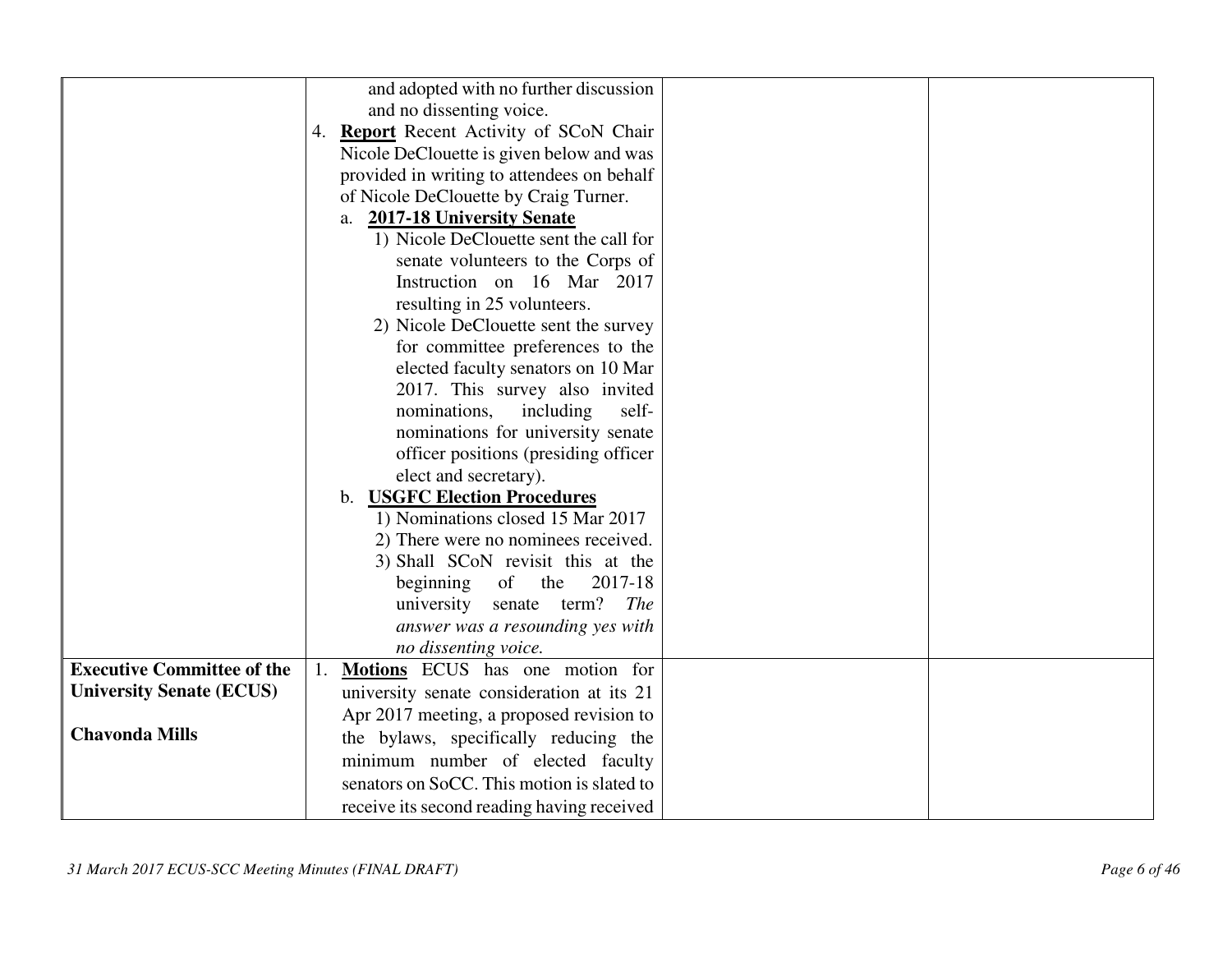|                                   | and adopted with no further discussion     |
|-----------------------------------|--------------------------------------------|
|                                   | and no dissenting voice.                   |
|                                   | 4. Report Recent Activity of SCoN Chair    |
|                                   | Nicole DeClouette is given below and was   |
|                                   | provided in writing to attendees on behalf |
|                                   | of Nicole DeClouette by Craig Turner.      |
|                                   | a. 2017-18 University Senate               |
|                                   | 1) Nicole DeClouette sent the call for     |
|                                   | senate volunteers to the Corps of          |
|                                   | Instruction on 16 Mar 2017                 |
|                                   | resulting in 25 volunteers.                |
|                                   | 2) Nicole DeClouette sent the survey       |
|                                   | for committee preferences to the           |
|                                   | elected faculty senators on 10 Mar         |
|                                   | 2017. This survey also invited             |
|                                   | nominations,<br>including<br>self-         |
|                                   | nominations for university senate          |
|                                   | officer positions (presiding officer       |
|                                   | elect and secretary).                      |
|                                   | b. <b>USGFC Election Procedures</b>        |
|                                   | 1) Nominations closed 15 Mar 2017          |
|                                   | 2) There were no nominees received.        |
|                                   | 3) Shall SCoN revisit this at the          |
|                                   | of<br>2017-18<br>the<br>beginning          |
|                                   | senate term?<br>university<br><i>The</i>   |
|                                   | answer was a resounding yes with           |
|                                   | no dissenting voice.                       |
| <b>Executive Committee of the</b> | 1. Motions ECUS has one motion for         |
| <b>University Senate (ECUS)</b>   | university senate consideration at its 21  |
|                                   | Apr 2017 meeting, a proposed revision to   |
| <b>Chavonda Mills</b>             | the bylaws, specifically reducing the      |
|                                   | minimum number of elected faculty          |
|                                   | senators on SoCC. This motion is slated to |
|                                   | receive its second reading having received |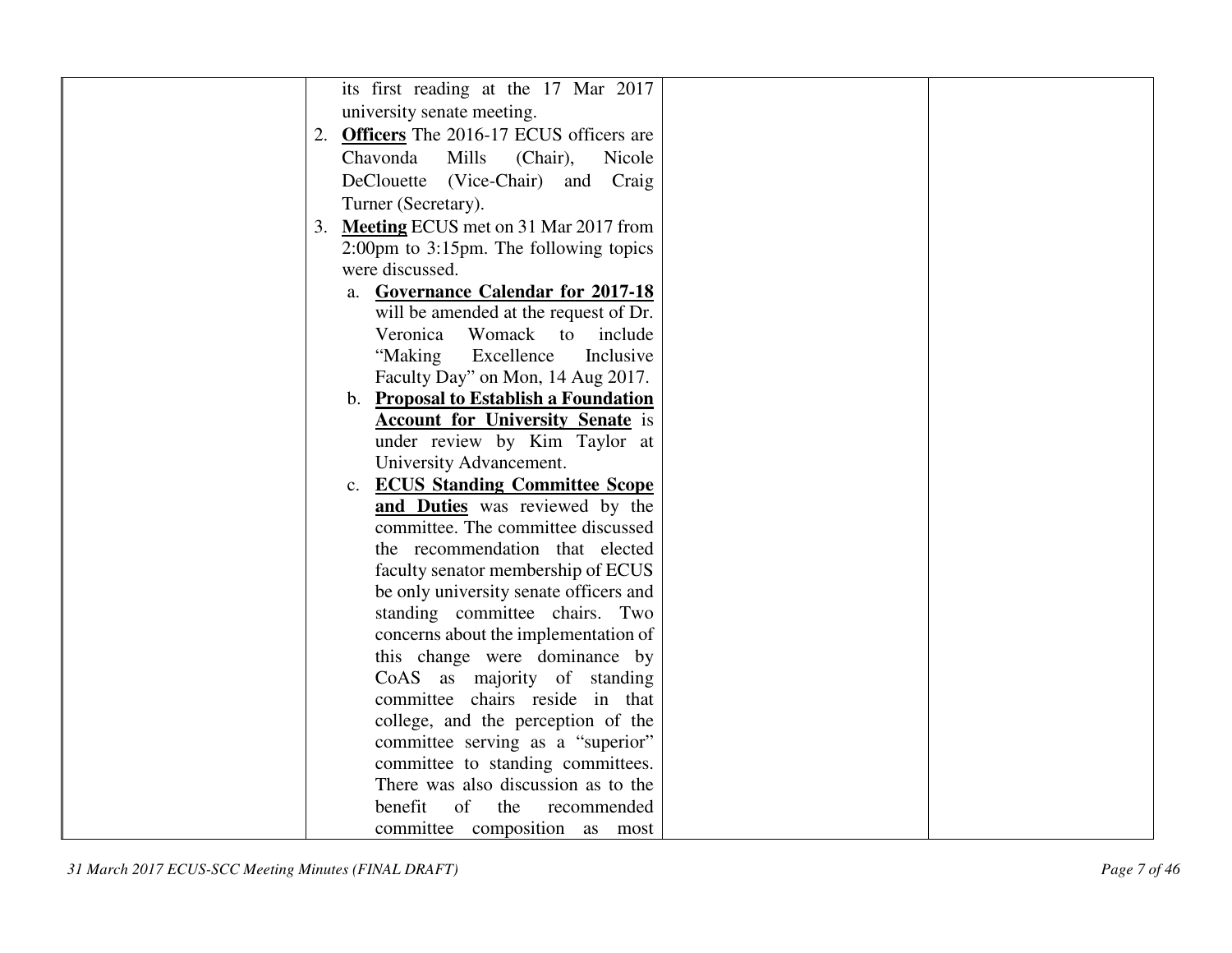| its first reading at the 17 Mar 2017                        |
|-------------------------------------------------------------|
| university senate meeting.                                  |
|                                                             |
| <b>Officers</b> The 2016-17 ECUS officers are<br>2.         |
| Mills<br>Chavonda<br>(Chair),<br>Nicole                     |
| (Vice-Chair) and Craig<br>DeClouette                        |
| Turner (Secretary).                                         |
| Meeting ECUS met on 31 Mar 2017 from<br>3.                  |
| $2:00 \text{pm}$ to $3:15 \text{pm}$ . The following topics |
| were discussed.                                             |
| a. Governance Calendar for 2017-18                          |
| will be amended at the request of Dr.                       |
| Veronica<br>Womack to<br>include                            |
| Excellence<br>"Making<br>Inclusive                          |
| Faculty Day" on Mon, 14 Aug 2017.                           |
| b. Proposal to Establish a Foundation                       |
| <b>Account for University Senate</b> is                     |
| under review by Kim Taylor at                               |
| University Advancement.                                     |
| <b>ECUS Standing Committee Scope</b><br>$c_{\cdot}$         |
| and Duties was reviewed by the                              |
| committee. The committee discussed                          |
| the recommendation that elected                             |
| faculty senator membership of ECUS                          |
| be only university senate officers and                      |
| standing committee chairs. Two                              |
| concerns about the implementation of                        |
| this change were dominance by                               |
| CoAS as majority of standing                                |
| committee chairs reside in that                             |
| college, and the perception of the                          |
| committee serving as a "superior"                           |
| committee to standing committees.                           |
| There was also discussion as to the                         |
| benefit<br>$\sigma$<br>the<br>recommended                   |
| committee composition as most                               |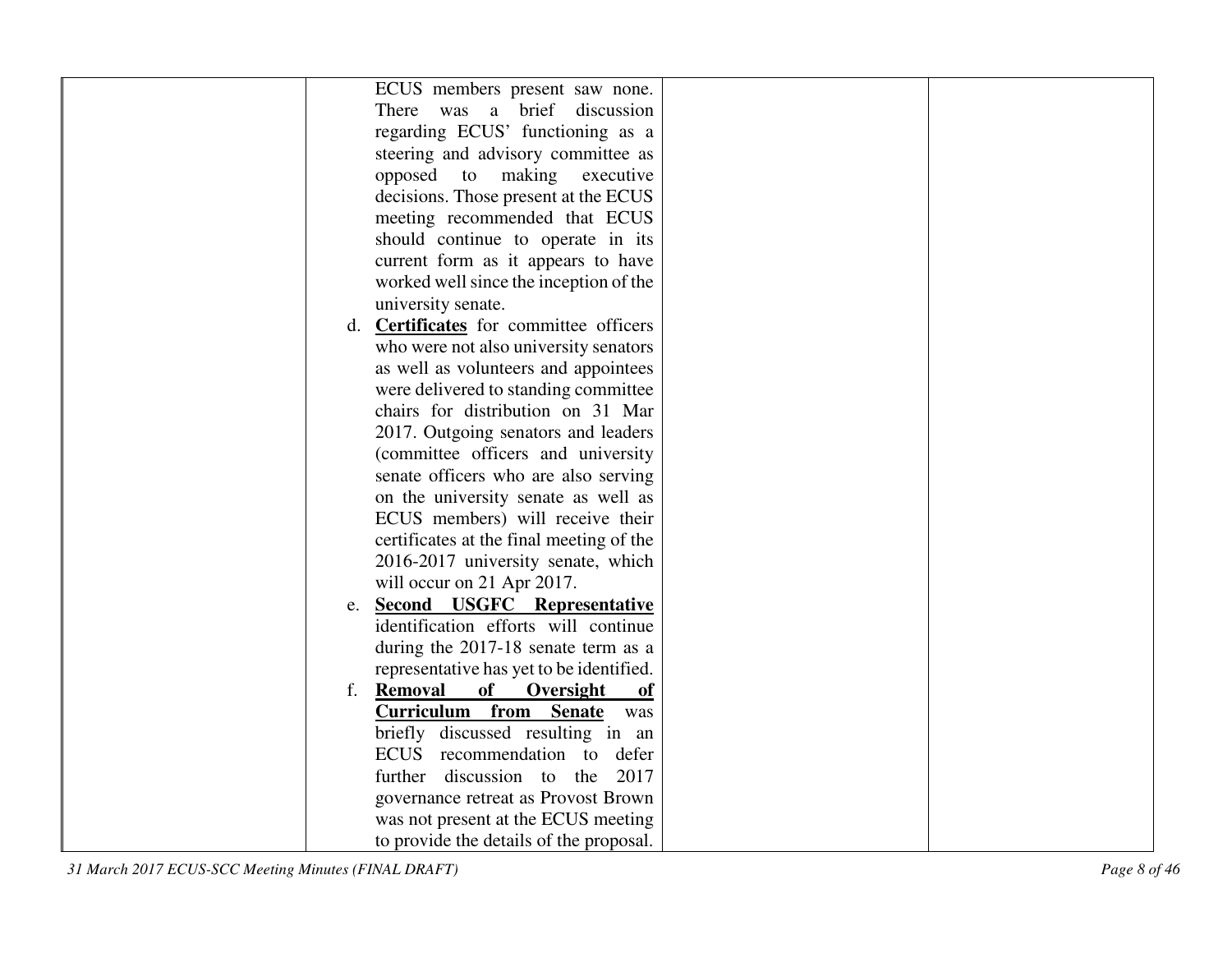| ECUS members present saw none.                |  |
|-----------------------------------------------|--|
| There was a brief discussion                  |  |
| regarding ECUS' functioning as a              |  |
| steering and advisory committee as            |  |
| opposed to making executive                   |  |
| decisions. Those present at the ECUS          |  |
| meeting recommended that ECUS                 |  |
| should continue to operate in its             |  |
| current form as it appears to have            |  |
| worked well since the inception of the        |  |
| university senate.                            |  |
| d. <b>Certificates</b> for committee officers |  |
| who were not also university senators         |  |
| as well as volunteers and appointees          |  |
| were delivered to standing committee          |  |
| chairs for distribution on 31 Mar             |  |
| 2017. Outgoing senators and leaders           |  |
| (committee officers and university            |  |
| senate officers who are also serving          |  |
| on the university senate as well as           |  |
| ECUS members) will receive their              |  |
| certificates at the final meeting of the      |  |
| 2016-2017 university senate, which            |  |
| will occur on 21 Apr 2017.                    |  |
| <b>Second USGFC Representative</b><br>e.      |  |
| identification efforts will continue          |  |
| during the 2017-18 senate term as a           |  |
| representative has yet to be identified.      |  |
| <b>Removal</b><br>of<br>Oversight<br>f.<br>of |  |
| <b>Curriculum from Senate</b><br>was          |  |
| briefly discussed resulting in an             |  |
| ECUS recommendation to defer                  |  |
| further discussion to the<br>2017             |  |
| governance retreat as Provost Brown           |  |
| was not present at the ECUS meeting           |  |
| to provide the details of the proposal.       |  |
|                                               |  |

*31 March 2017 ECUS-SCC Meeting Minutes (FINAL DRAFT) Page 8 of 46*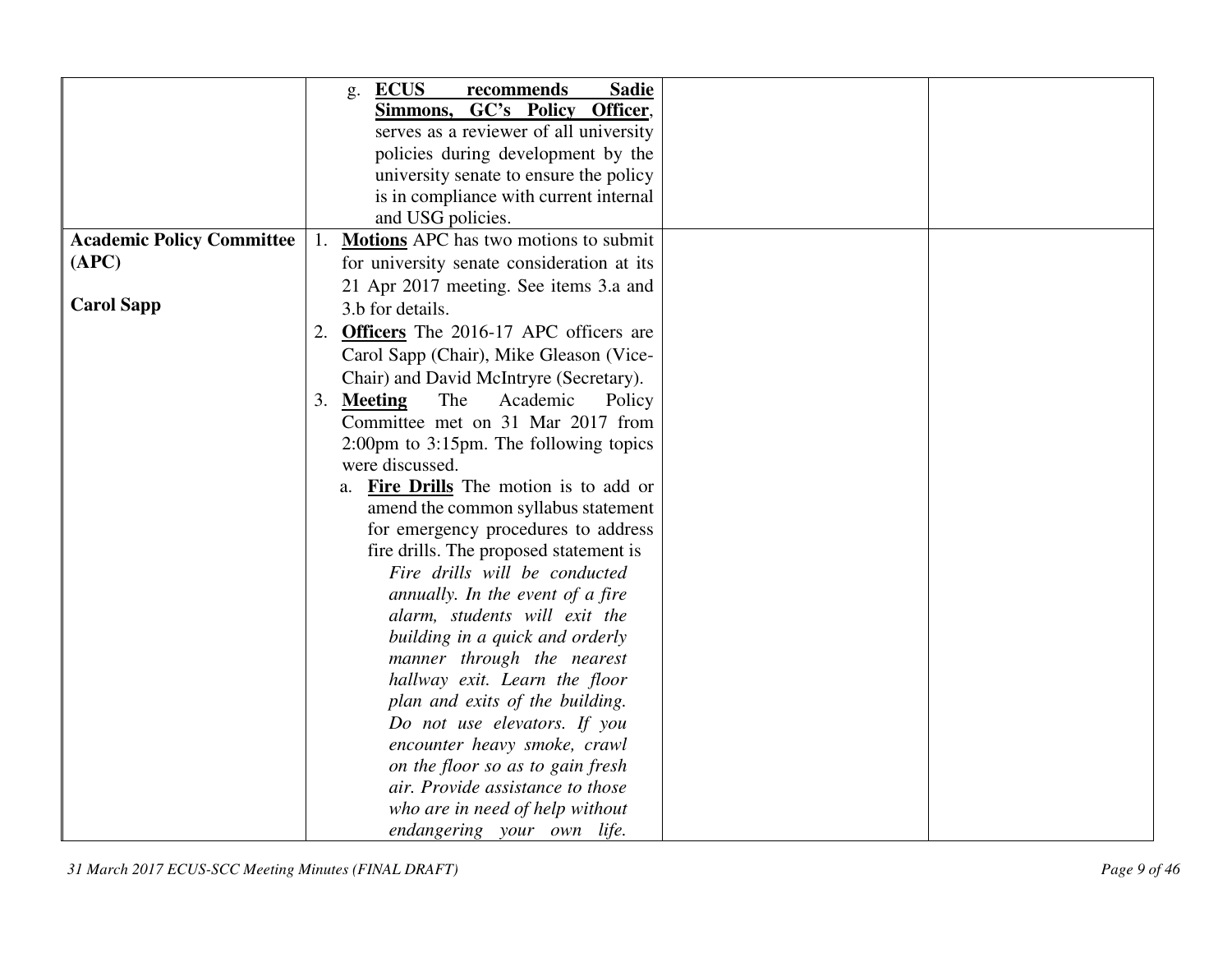|                                  | <b>ECUS</b><br><b>Sadie</b><br>recommends<br>g.  |
|----------------------------------|--------------------------------------------------|
|                                  | GC's Policy Officer,<br>Simmons,                 |
|                                  | serves as a reviewer of all university           |
|                                  | policies during development by the               |
|                                  | university senate to ensure the policy           |
|                                  | is in compliance with current internal           |
|                                  | and USG policies.                                |
| <b>Academic Policy Committee</b> | Motions APC has two motions to submit            |
| (APC)                            | for university senate consideration at its       |
|                                  | 21 Apr 2017 meeting. See items 3.a and           |
| <b>Carol Sapp</b>                | 3.b for details.                                 |
|                                  | <b>Officers</b> The 2016-17 APC officers are     |
|                                  | Carol Sapp (Chair), Mike Gleason (Vice-          |
|                                  | Chair) and David McIntryre (Secretary).          |
|                                  | The<br>Academic<br>3. Meeting<br>Policy          |
|                                  | Committee met on 31 Mar 2017 from                |
|                                  | 2:00pm to 3:15pm. The following topics           |
|                                  | were discussed.                                  |
|                                  | <b>Fire Drills</b> The motion is to add or<br>a. |
|                                  | amend the common syllabus statement              |
|                                  | for emergency procedures to address              |
|                                  | fire drills. The proposed statement is           |
|                                  | Fire drills will be conducted                    |
|                                  | annually. In the event of a fire                 |
|                                  | alarm, students will exit the                    |
|                                  | building in a quick and orderly                  |
|                                  | manner through the nearest                       |
|                                  | hallway exit. Learn the floor                    |
|                                  | plan and exits of the building.                  |
|                                  | Do not use elevators. If you                     |
|                                  | encounter heavy smoke, crawl                     |
|                                  | on the floor so as to gain fresh                 |
|                                  | air. Provide assistance to those                 |
|                                  | who are in need of help without                  |
|                                  | endangering your own life.                       |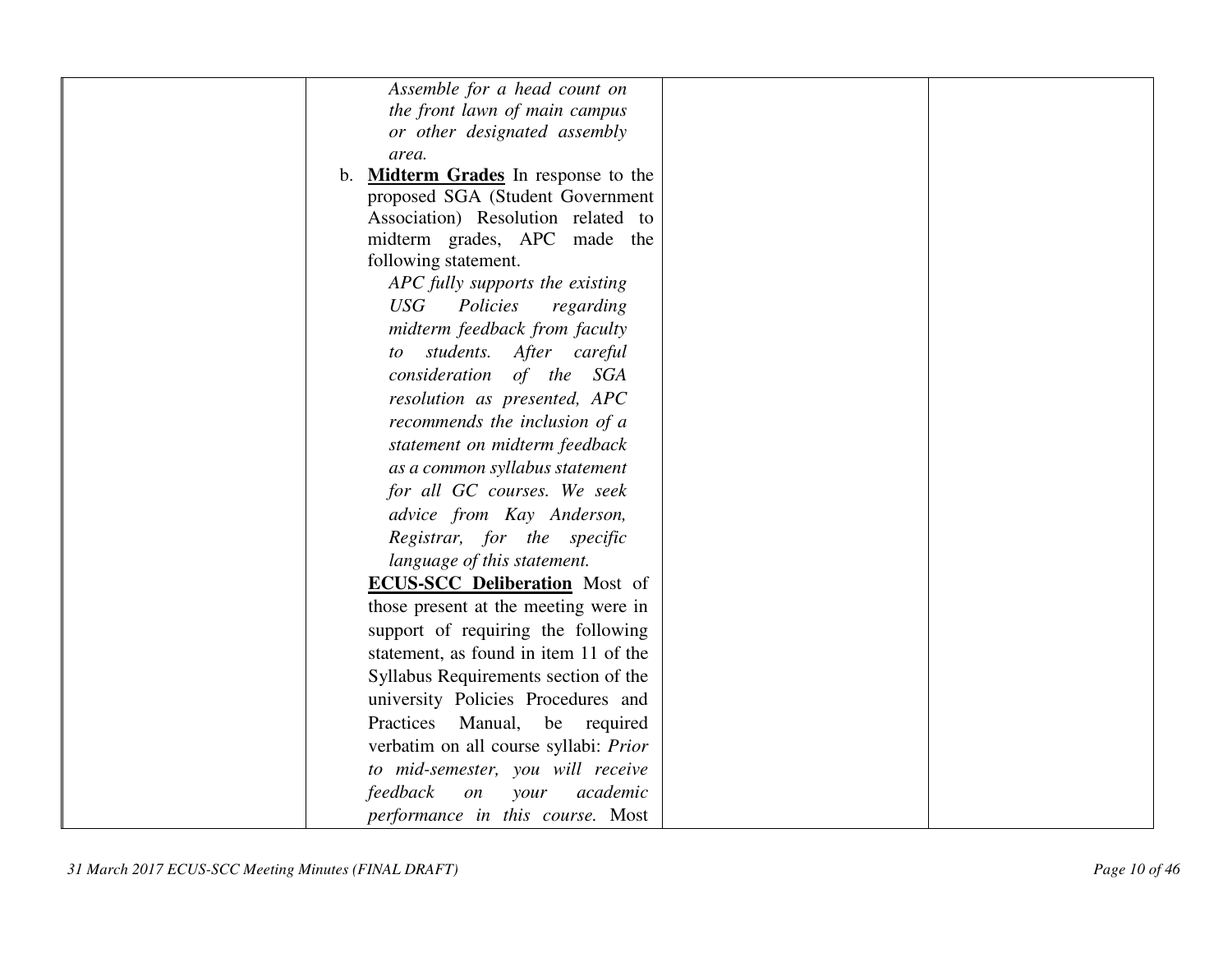| Assemble for a head count on                        |  |
|-----------------------------------------------------|--|
| the front lawn of main campus                       |  |
| or other designated assembly                        |  |
| area.                                               |  |
| <b>Midterm Grades</b> In response to the<br>$b_{1}$ |  |
| proposed SGA (Student Government                    |  |
| Association) Resolution related to                  |  |
| midterm grades, APC made the                        |  |
| following statement.                                |  |
| APC fully supports the existing                     |  |
| <b>USG</b><br>Policies<br>regarding                 |  |
| midterm feedback from faculty                       |  |
| students. After careful<br>to to                    |  |
| consideration of the<br>SGA                         |  |
| resolution as presented, APC                        |  |
| recommends the inclusion of a                       |  |
| statement on midterm feedback                       |  |
| as a common syllabus statement                      |  |
| for all GC courses. We seek                         |  |
| advice from Kay Anderson,                           |  |
| Registrar, for the specific                         |  |
| language of this statement.                         |  |
| <b>ECUS-SCC Deliberation</b> Most of                |  |
| those present at the meeting were in                |  |
| support of requiring the following                  |  |
| statement, as found in item 11 of the               |  |
| Syllabus Requirements section of the                |  |
| university Policies Procedures and                  |  |
| Practices<br>Manual,<br>be required                 |  |
| verbatim on all course syllabi: Prior               |  |
| to mid-semester, you will receive                   |  |
| feedback<br>academic<br>$\emph{on}$<br>your         |  |
| performance in this course. Most                    |  |
|                                                     |  |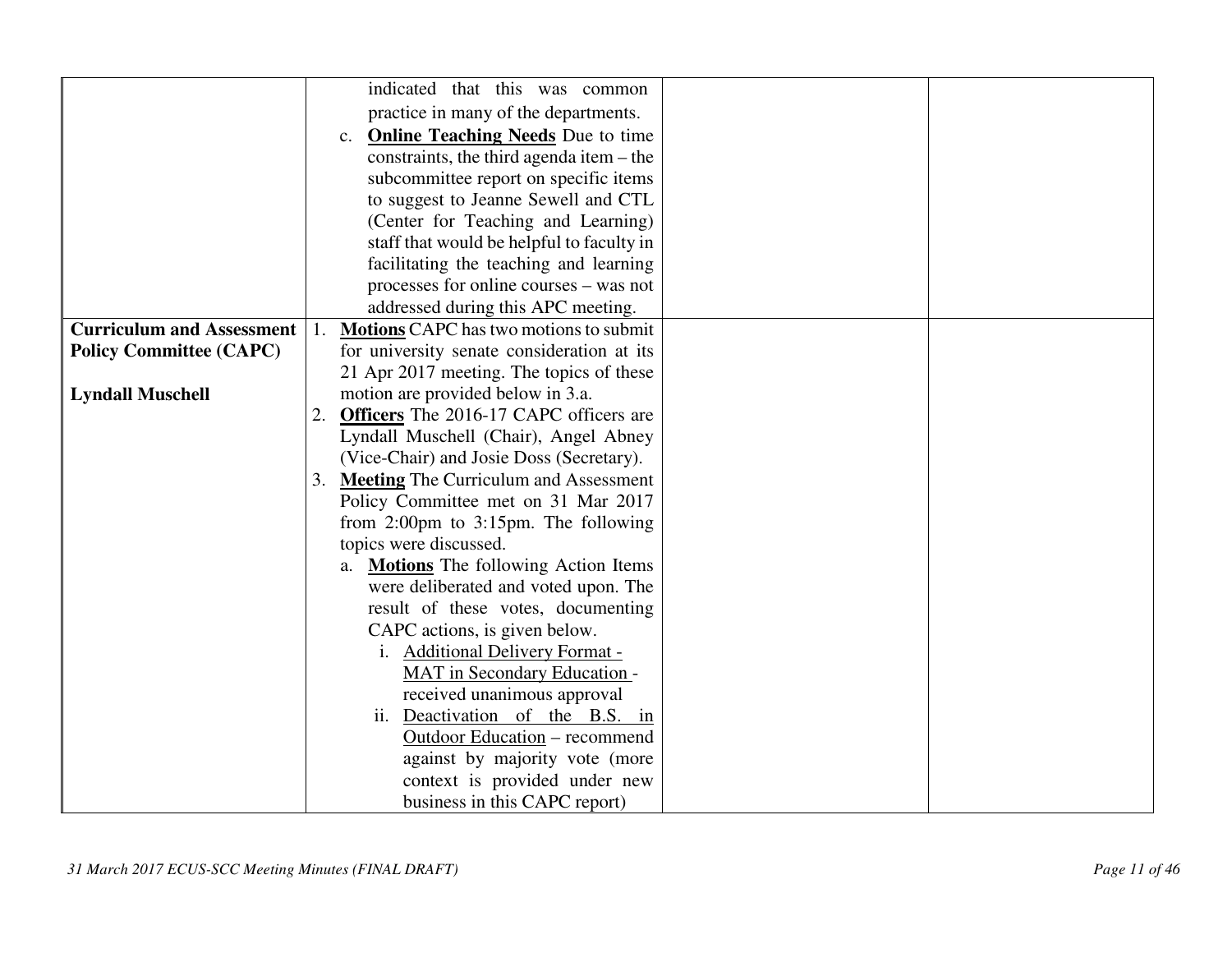|                                  | indicated that this was common                            |  |
|----------------------------------|-----------------------------------------------------------|--|
|                                  |                                                           |  |
|                                  | practice in many of the departments.                      |  |
|                                  | <b>Online Teaching Needs</b> Due to time<br>c.            |  |
|                                  | constraints, the third agenda item – the                  |  |
|                                  | subcommittee report on specific items                     |  |
|                                  | to suggest to Jeanne Sewell and CTL                       |  |
|                                  | (Center for Teaching and Learning)                        |  |
|                                  | staff that would be helpful to faculty in                 |  |
|                                  | facilitating the teaching and learning                    |  |
|                                  | processes for online courses – was not                    |  |
|                                  | addressed during this APC meeting.                        |  |
| <b>Curriculum and Assessment</b> | <b>Motions CAPC</b> has two motions to submit             |  |
| <b>Policy Committee (CAPC)</b>   | for university senate consideration at its                |  |
|                                  | 21 Apr 2017 meeting. The topics of these                  |  |
| <b>Lyndall Muschell</b>          | motion are provided below in 3.a.                         |  |
|                                  | 2. Officers The 2016-17 CAPC officers are                 |  |
|                                  | Lyndall Muschell (Chair), Angel Abney                     |  |
|                                  | (Vice-Chair) and Josie Doss (Secretary).                  |  |
|                                  | 3. Meeting The Curriculum and Assessment                  |  |
|                                  | Policy Committee met on 31 Mar 2017                       |  |
|                                  | from $2:00 \text{pm}$ to $3:15 \text{pm}$ . The following |  |
| topics were discussed.           |                                                           |  |
|                                  | a. Motions The following Action Items                     |  |
|                                  | were deliberated and voted upon. The                      |  |
|                                  | result of these votes, documenting                        |  |
|                                  | CAPC actions, is given below.                             |  |
|                                  | i. Additional Delivery Format -                           |  |
|                                  | <b>MAT</b> in Secondary Education -                       |  |
|                                  | received unanimous approval                               |  |
|                                  | ii. Deactivation of the B.S. in                           |  |
|                                  | <b>Outdoor Education</b> – recommend                      |  |
|                                  | against by majority vote (more                            |  |
|                                  | context is provided under new                             |  |
|                                  | business in this CAPC report)                             |  |
|                                  |                                                           |  |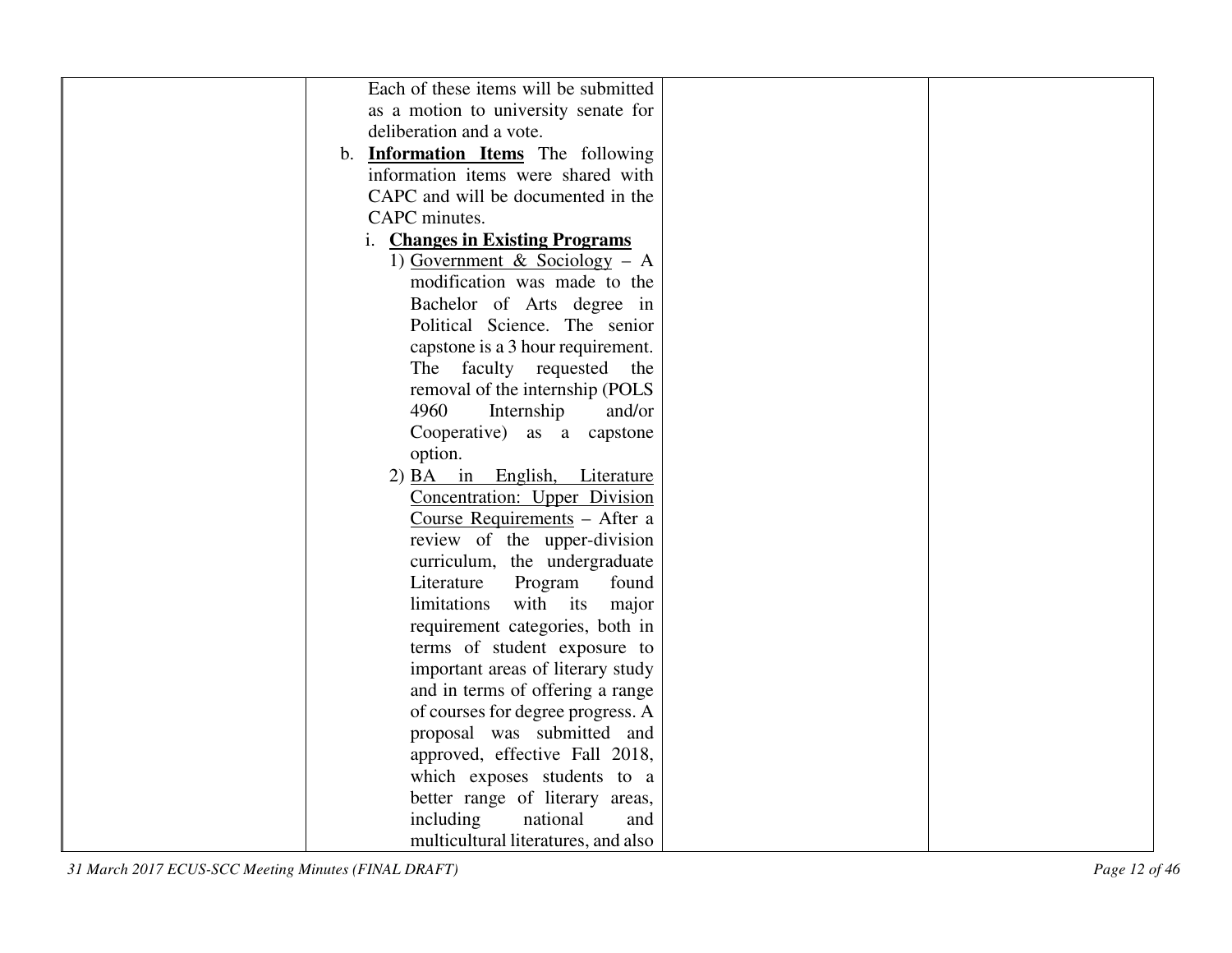| Each of these items will be submitted     |                                     |  |
|-------------------------------------------|-------------------------------------|--|
| as a motion to university senate for      |                                     |  |
| deliberation and a vote.                  |                                     |  |
| b. <b>Information Items</b> The following |                                     |  |
| information items were shared with        |                                     |  |
| CAPC and will be documented in the        |                                     |  |
| CAPC minutes.                             |                                     |  |
| i. Changes in Existing Programs           |                                     |  |
|                                           | 1) Government & Sociology – A       |  |
|                                           | modification was made to the        |  |
|                                           | Bachelor of Arts degree in          |  |
|                                           | Political Science. The senior       |  |
|                                           | capstone is a 3 hour requirement.   |  |
| The faculty requested                     | the                                 |  |
|                                           | removal of the internship (POLS     |  |
| 4960                                      | Internship<br>and/or                |  |
|                                           | Cooperative) as a capstone          |  |
| option.                                   |                                     |  |
|                                           | 2) BA in English, Literature        |  |
|                                           | Concentration: Upper Division       |  |
|                                           | Course Requirements - After a       |  |
|                                           | review of the upper-division        |  |
|                                           | curriculum, the undergraduate       |  |
| Literature                                | Program<br>found                    |  |
| limitations                               | with its<br>major                   |  |
|                                           | requirement categories, both in     |  |
|                                           | terms of student exposure to        |  |
|                                           | important areas of literary study   |  |
|                                           | and in terms of offering a range    |  |
|                                           | of courses for degree progress. A   |  |
|                                           | proposal was submitted and          |  |
|                                           | approved, effective Fall 2018,      |  |
|                                           | which exposes students to a         |  |
|                                           | better range of literary areas,     |  |
| including                                 | national<br>and                     |  |
|                                           | multicultural literatures, and also |  |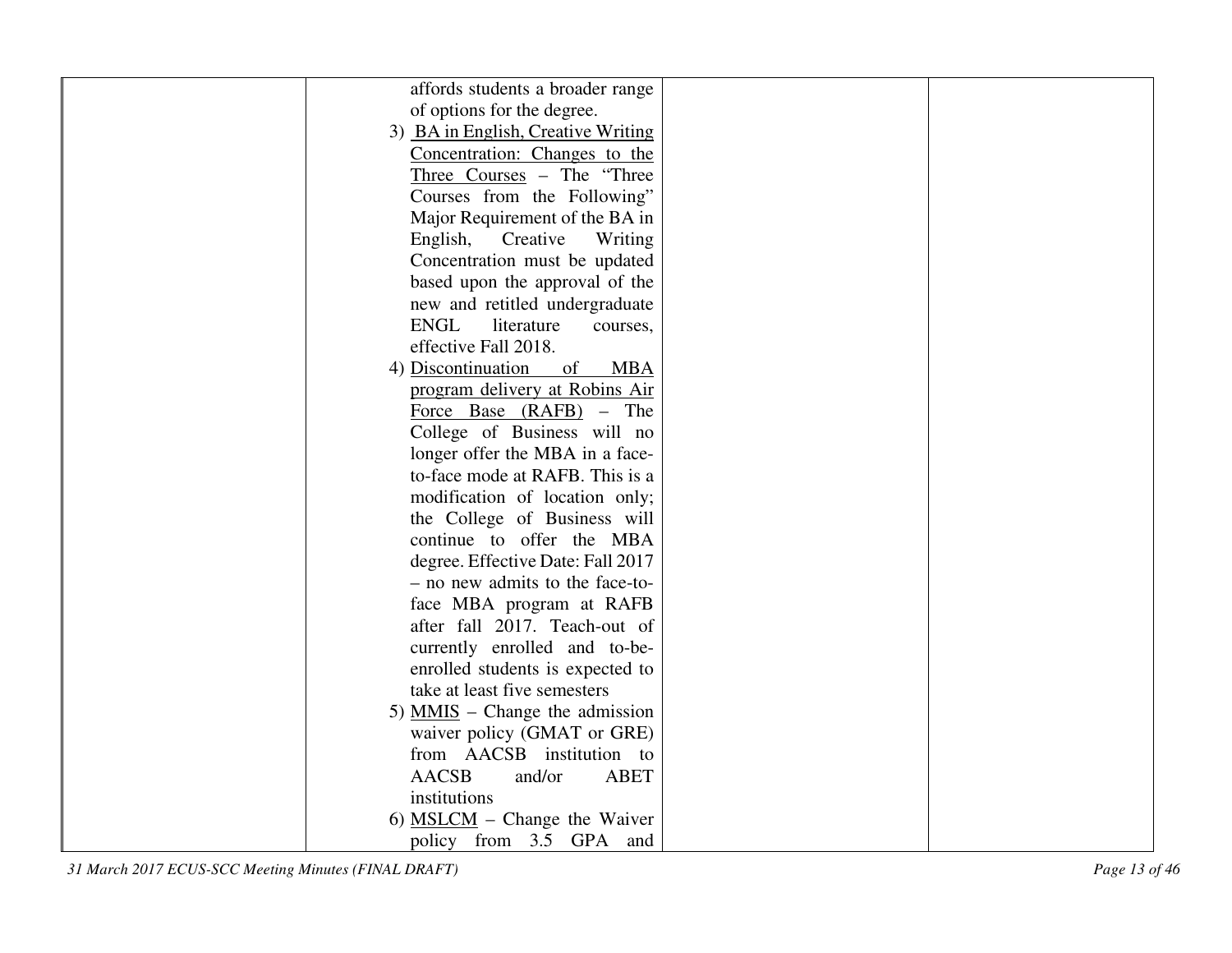|                              | affords students a broader range   |
|------------------------------|------------------------------------|
| of options for the degree.   |                                    |
|                              | 3) BA in English, Creative Writing |
|                              | Concentration: Changes to the      |
|                              | Three Courses - The "Three"        |
|                              | Courses from the Following"        |
|                              | Major Requirement of the BA in     |
| English,                     | Creative<br>Writing                |
|                              | Concentration must be updated      |
|                              | based upon the approval of the     |
|                              | new and retitled undergraduate     |
| <b>ENGL</b>                  | literature<br>courses,             |
| effective Fall 2018.         |                                    |
| 4) Discontinuation           | <b>MBA</b><br>of                   |
|                              | program delivery at Robins Air     |
|                              | Force Base (RAFB) – The            |
|                              | College of Business will no        |
|                              | longer offer the MBA in a face-    |
|                              | to-face mode at RAFB. This is a    |
|                              | modification of location only;     |
|                              | the College of Business will       |
|                              | continue to offer the MBA          |
|                              | degree. Effective Date: Fall 2017  |
|                              | - no new admits to the face-to-    |
|                              | face MBA program at RAFB           |
|                              | after fall 2017. Teach-out of      |
|                              | currently enrolled and to-be-      |
|                              | enrolled students is expected to   |
| take at least five semesters |                                    |
|                              | 5) $MMS$ – Change the admission    |
|                              | waiver policy (GMAT or GRE)        |
|                              | from AACSB institution to          |
| <b>AACSB</b>                 | and/or<br><b>ABET</b>              |
| institutions                 |                                    |
|                              |                                    |
|                              | 6) $MSLCM$ – Change the Waiver     |
|                              | policy from 3.5 GPA and            |

*31 March 2017 ECUS-SCC Meeting Minutes (FINAL DRAFT) Page 13 of 46*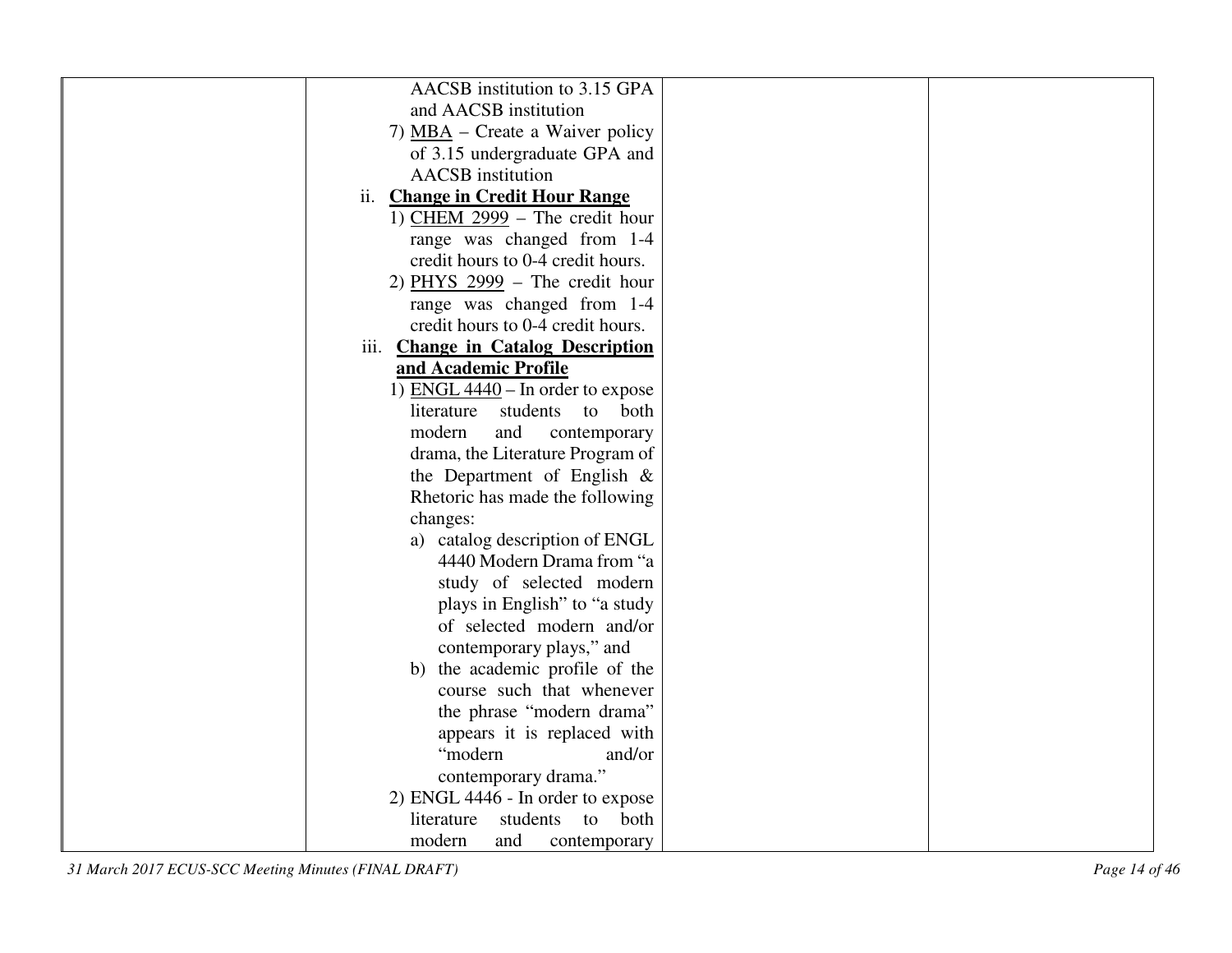| AACSB institution to 3.15 GPA          |  |
|----------------------------------------|--|
| and AACSB institution                  |  |
| 7) MBA – Create a Waiver policy        |  |
| of 3.15 undergraduate GPA and          |  |
| <b>AACSB</b> institution               |  |
| ii. Change in Credit Hour Range        |  |
| 1) CHEM $2999 -$ The credit hour       |  |
| range was changed from 1-4             |  |
| credit hours to 0-4 credit hours.      |  |
| 2) PHYS $2999$ – The credit hour       |  |
| range was changed from 1-4             |  |
| credit hours to 0-4 credit hours.      |  |
| iii. Change in Catalog Description     |  |
| and Academic Profile                   |  |
| 1) ENGL $4440$ – In order to expose    |  |
| students<br>literature<br>to<br>both   |  |
| modern<br>and<br>contemporary          |  |
| drama, the Literature Program of       |  |
| the Department of English $\&$         |  |
| Rhetoric has made the following        |  |
| changes:                               |  |
| a) catalog description of ENGL         |  |
| 4440 Modern Drama from "a              |  |
| study of selected modern               |  |
| plays in English" to "a study          |  |
| of selected modern and/or              |  |
| contemporary plays," and               |  |
| b) the academic profile of the         |  |
| course such that whenever              |  |
|                                        |  |
| the phrase "modern drama"              |  |
| appears it is replaced with<br>"modern |  |
| and/or                                 |  |
| contemporary drama."                   |  |
| 2) ENGL 4446 - In order to expose      |  |
| literature<br>students<br>both<br>to   |  |
| modern<br>and<br>contemporary          |  |

*31 March 2017 ECUS-SCC Meeting Minutes (FINAL DRAFT) Page 14 of 46*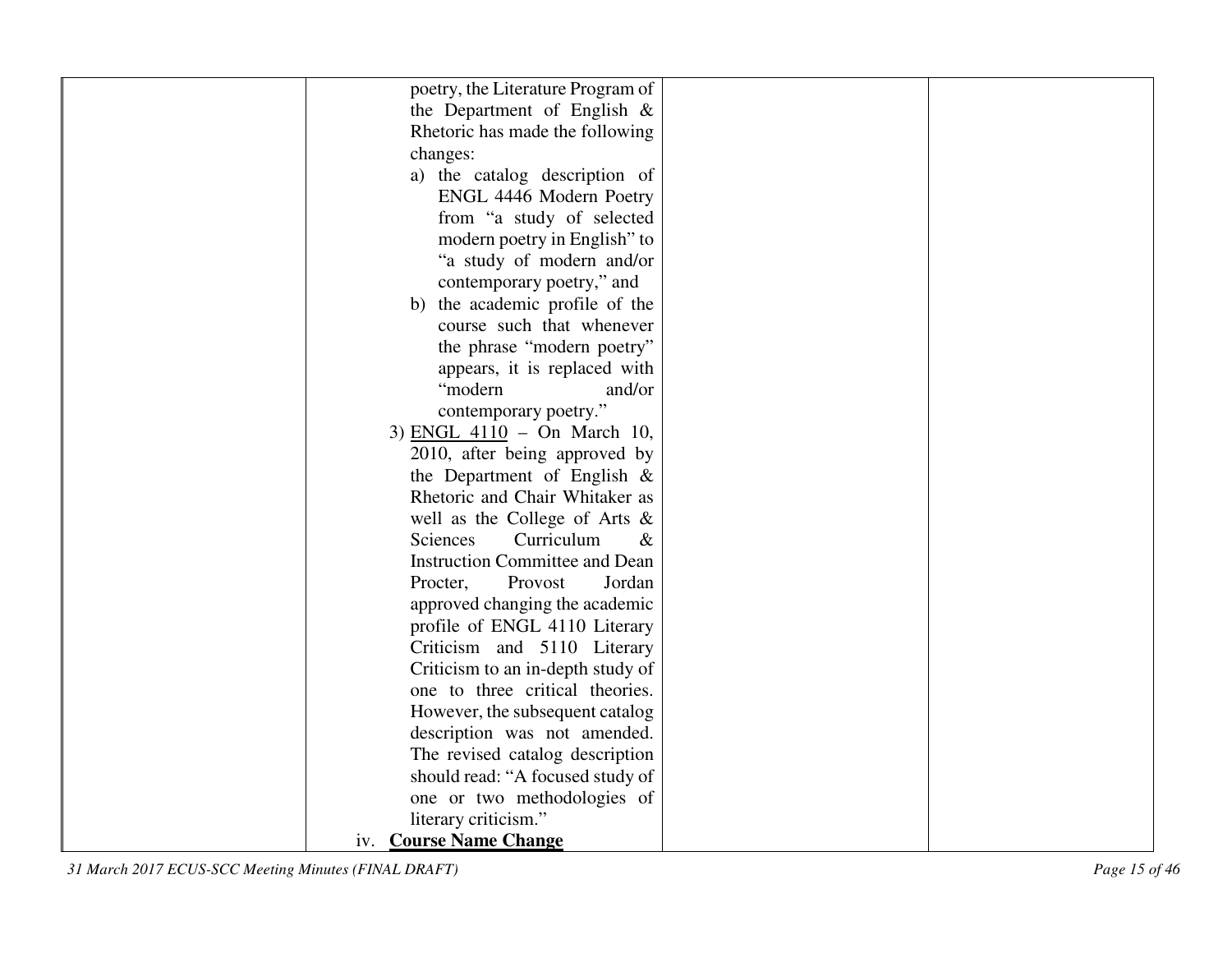| poetry, the Literature Program of     |  |
|---------------------------------------|--|
| the Department of English $\&$        |  |
| Rhetoric has made the following       |  |
| changes:                              |  |
| a) the catalog description of         |  |
| ENGL 4446 Modern Poetry               |  |
|                                       |  |
| from "a study of selected             |  |
| modern poetry in English" to          |  |
| "a study of modern and/or             |  |
| contemporary poetry," and             |  |
| b) the academic profile of the        |  |
| course such that whenever             |  |
| the phrase "modern poetry"            |  |
| appears, it is replaced with          |  |
| "modern<br>and/or                     |  |
| contemporary poetry."                 |  |
| 3) ENGL 4110 - On March 10,           |  |
| 2010, after being approved by         |  |
| the Department of English $\&$        |  |
| Rhetoric and Chair Whitaker as        |  |
| well as the College of Arts $\&$      |  |
| Curriculum<br>Sciences<br>$\&$        |  |
| <b>Instruction Committee and Dean</b> |  |
| Procter,<br>Provost<br>Jordan         |  |
| approved changing the academic        |  |
| profile of ENGL 4110 Literary         |  |
| Criticism and 5110 Literary           |  |
| Criticism to an in-depth study of     |  |
| one to three critical theories.       |  |
| However, the subsequent catalog       |  |
| description was not amended.          |  |
| The revised catalog description       |  |
| should read: "A focused study of      |  |
| one or two methodologies of           |  |
| literary criticism."                  |  |
| iv. Course Name Change                |  |
|                                       |  |

*31 March 2017 ECUS-SCC Meeting Minutes (FINAL DRAFT) Page 15 of 46*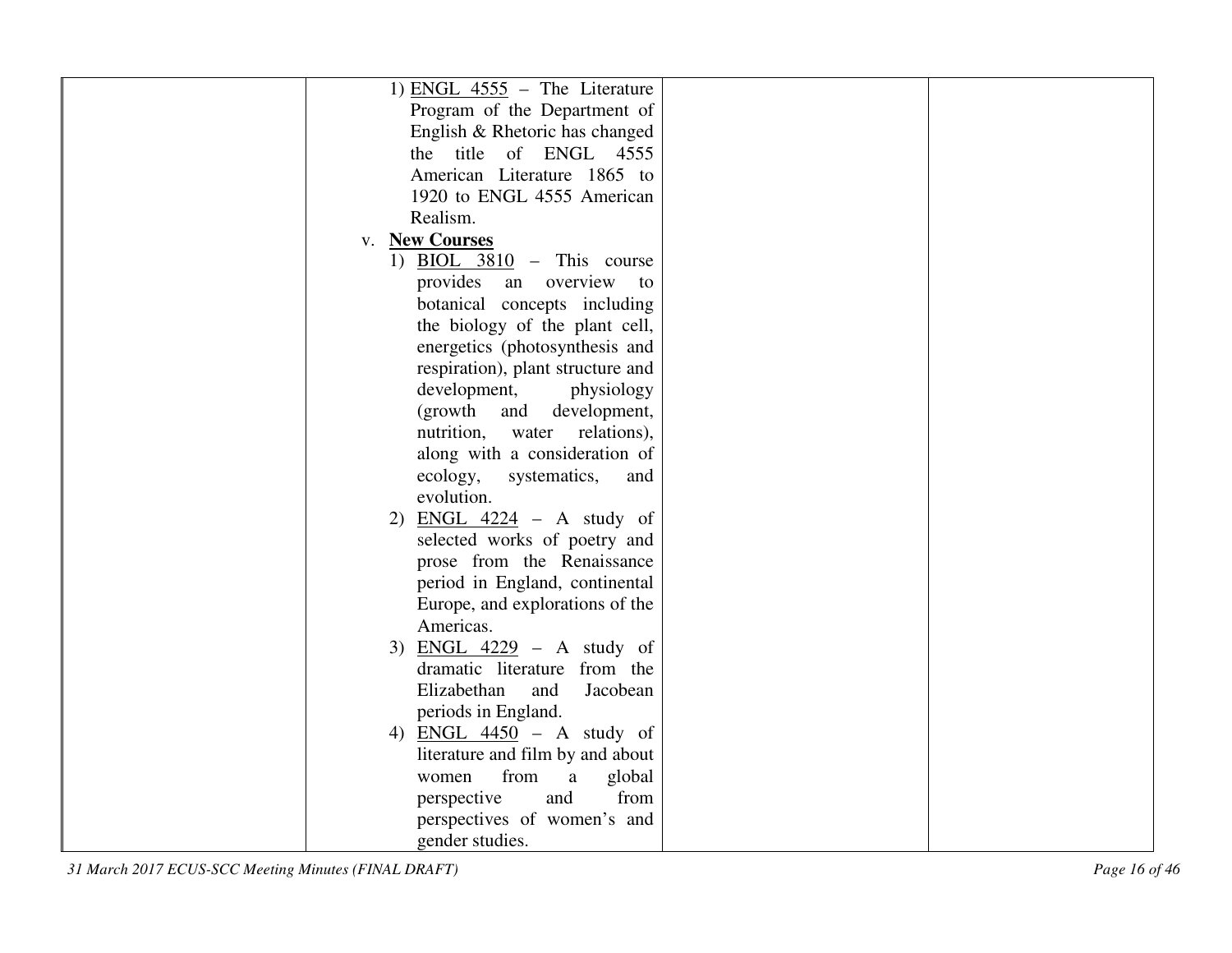| 1) ENGL $4555$ – The Literature     |  |
|-------------------------------------|--|
| Program of the Department of        |  |
| English & Rhetoric has changed      |  |
| the title of ENGL 4555              |  |
| American Literature 1865 to         |  |
| 1920 to ENGL 4555 American          |  |
| Realism.                            |  |
| v. New Courses                      |  |
| 1) BIOL $3810$ – This course        |  |
| provides an overview<br>to          |  |
| botanical concepts including        |  |
| the biology of the plant cell,      |  |
| energetics (photosynthesis and      |  |
| respiration), plant structure and   |  |
| development,<br>physiology          |  |
| (growth and<br>development,         |  |
| nutrition,<br>water relations),     |  |
| along with a consideration of       |  |
| ecology,<br>systematics,<br>and     |  |
| evolution.                          |  |
| ENGL $4224$ – A study of<br>2)      |  |
| selected works of poetry and        |  |
| prose from the Renaissance          |  |
| period in England, continental      |  |
| Europe, and explorations of the     |  |
| Americas.                           |  |
| ENGL $4229$ – A study of<br>3)      |  |
| dramatic literature from the        |  |
| Elizabethan<br>and<br>Jacobean      |  |
| periods in England.                 |  |
| 4) ENGL $4450 - A$ study of         |  |
| literature and film by and about    |  |
| from<br>$\rm{a}$<br>global<br>women |  |
| from<br>perspective<br>and          |  |
| perspectives of women's and         |  |
| gender studies.                     |  |

*31 March 2017 ECUS-SCC Meeting Minutes (FINAL DRAFT) Page 16 of 46*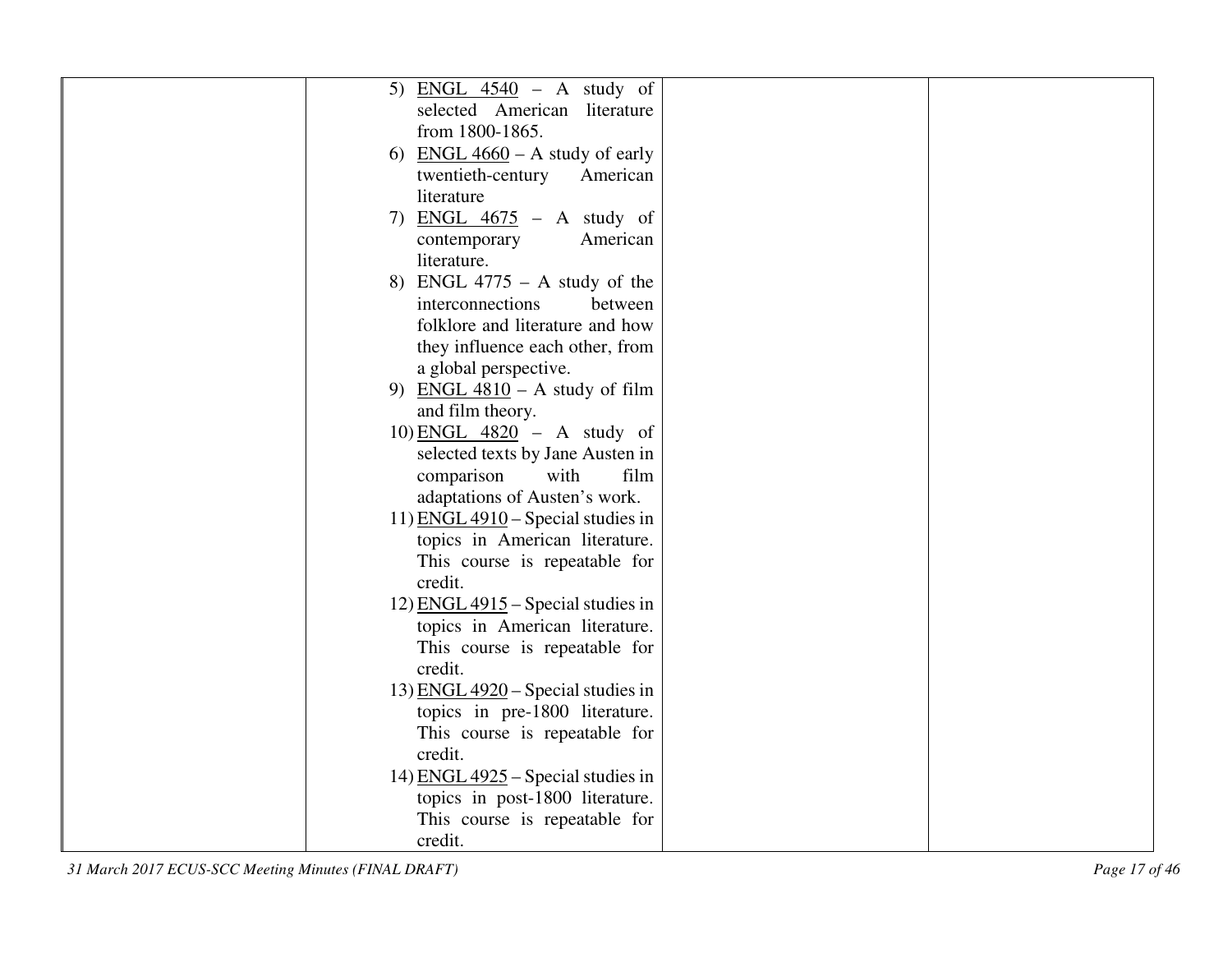| 5) ENGL $4540 - A$ study of               |  |
|-------------------------------------------|--|
| selected American literature              |  |
| from 1800-1865.                           |  |
| <u>ENGL 4660</u> – A study of early<br>6) |  |
| twentieth-century<br>American             |  |
| literature                                |  |
| 7) ENGL $4675$ - A study of               |  |
| American<br>contemporary                  |  |
| literature.                               |  |
| 8) ENGL $4775 - A$ study of the           |  |
| interconnections<br>between               |  |
| folklore and literature and how           |  |
| they influence each other, from           |  |
| a global perspective.                     |  |
| 9) ENGL $4810 - A$ study of film          |  |
| and film theory.                          |  |
| 10) ENGL $4820 - A$ study of              |  |
| selected texts by Jane Austen in          |  |
| comparison<br>with<br>film                |  |
| adaptations of Austen's work.             |  |
| 11) ENGL $4910$ – Special studies in      |  |
| topics in American literature.            |  |
| This course is repeatable for             |  |
| credit.                                   |  |
| 12) $ENGL 4915$ – Special studies in      |  |
| topics in American literature.            |  |
| This course is repeatable for             |  |
| credit.                                   |  |
| 13) ENGL $4920$ – Special studies in      |  |
| topics in pre-1800 literature.            |  |
| This course is repeatable for             |  |
| credit.                                   |  |
| 14) ENGL $4925$ – Special studies in      |  |
| topics in post-1800 literature.           |  |
| This course is repeatable for             |  |
| credit.                                   |  |

*31 March 2017 ECUS-SCC Meeting Minutes (FINAL DRAFT) Page 17 of 46*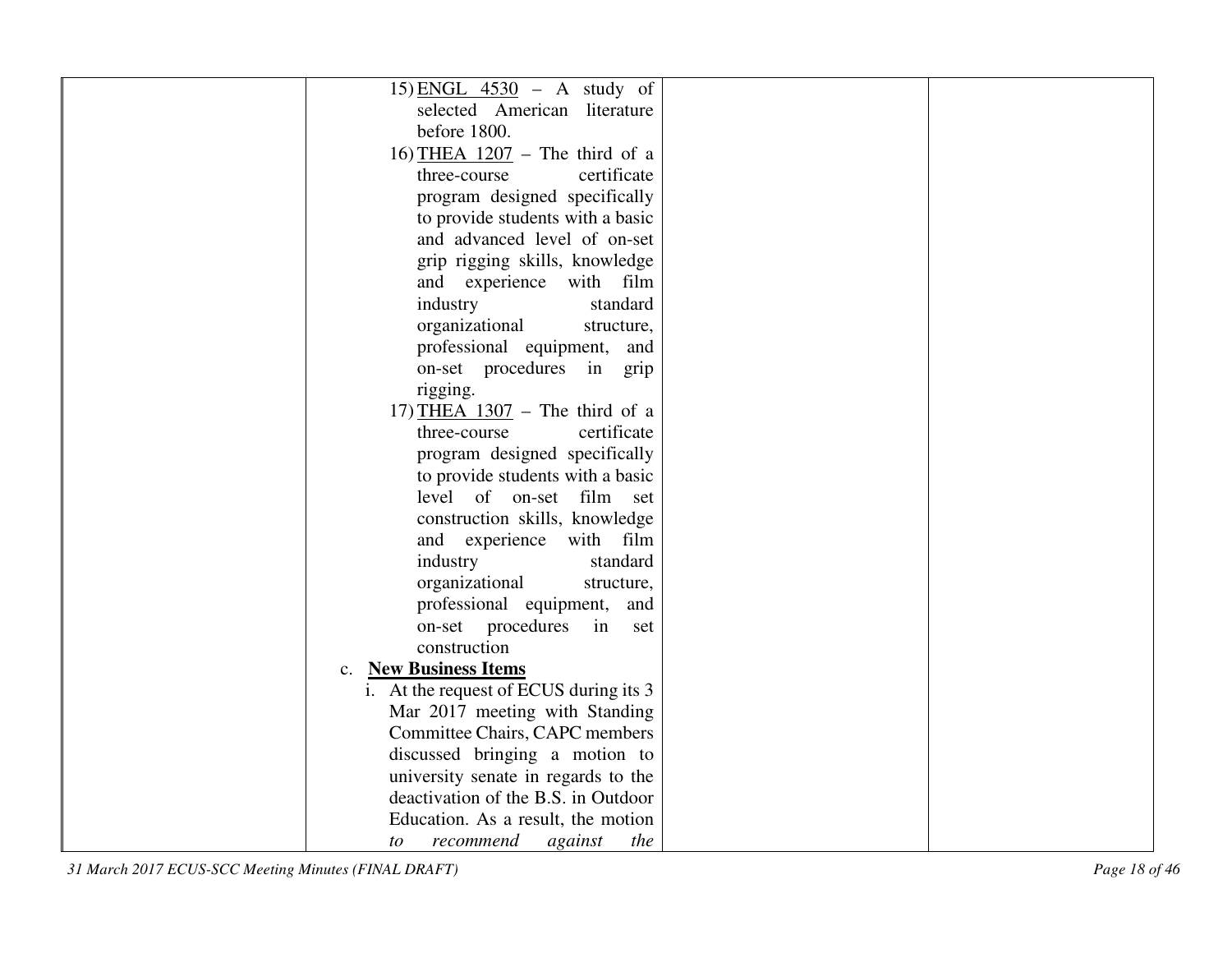| 15) ENGL $4530 - A$ study of               |  |
|--------------------------------------------|--|
| selected American literature               |  |
| before 1800.                               |  |
| 16) THEA $1207$ – The third of a           |  |
| certificate<br>three-course                |  |
| program designed specifically              |  |
| to provide students with a basic           |  |
| and advanced level of on-set               |  |
| grip rigging skills, knowledge             |  |
| and experience with film                   |  |
| industry<br>standard                       |  |
| organizational<br>structure,               |  |
| professional equipment, and                |  |
| on-set procedures in grip                  |  |
| rigging.                                   |  |
| 17) THEA $1307$ – The third of a           |  |
| certificate<br>three-course                |  |
| program designed specifically              |  |
| to provide students with a basic           |  |
| level of on-set film set                   |  |
| construction skills, knowledge             |  |
| and experience with film                   |  |
| standard<br>industry                       |  |
| organizational<br>structure,               |  |
| professional equipment,<br>and             |  |
| on-set procedures<br>in<br>set             |  |
| construction                               |  |
| <b>New Business Items</b><br>$C_{\bullet}$ |  |
| i. At the request of ECUS during its 3     |  |
| Mar 2017 meeting with Standing             |  |
| Committee Chairs, CAPC members             |  |
| discussed bringing a motion to             |  |
| university senate in regards to the        |  |
| deactivation of the B.S. in Outdoor        |  |
| Education. As a result, the motion         |  |
| recommend<br>against<br>the<br>to          |  |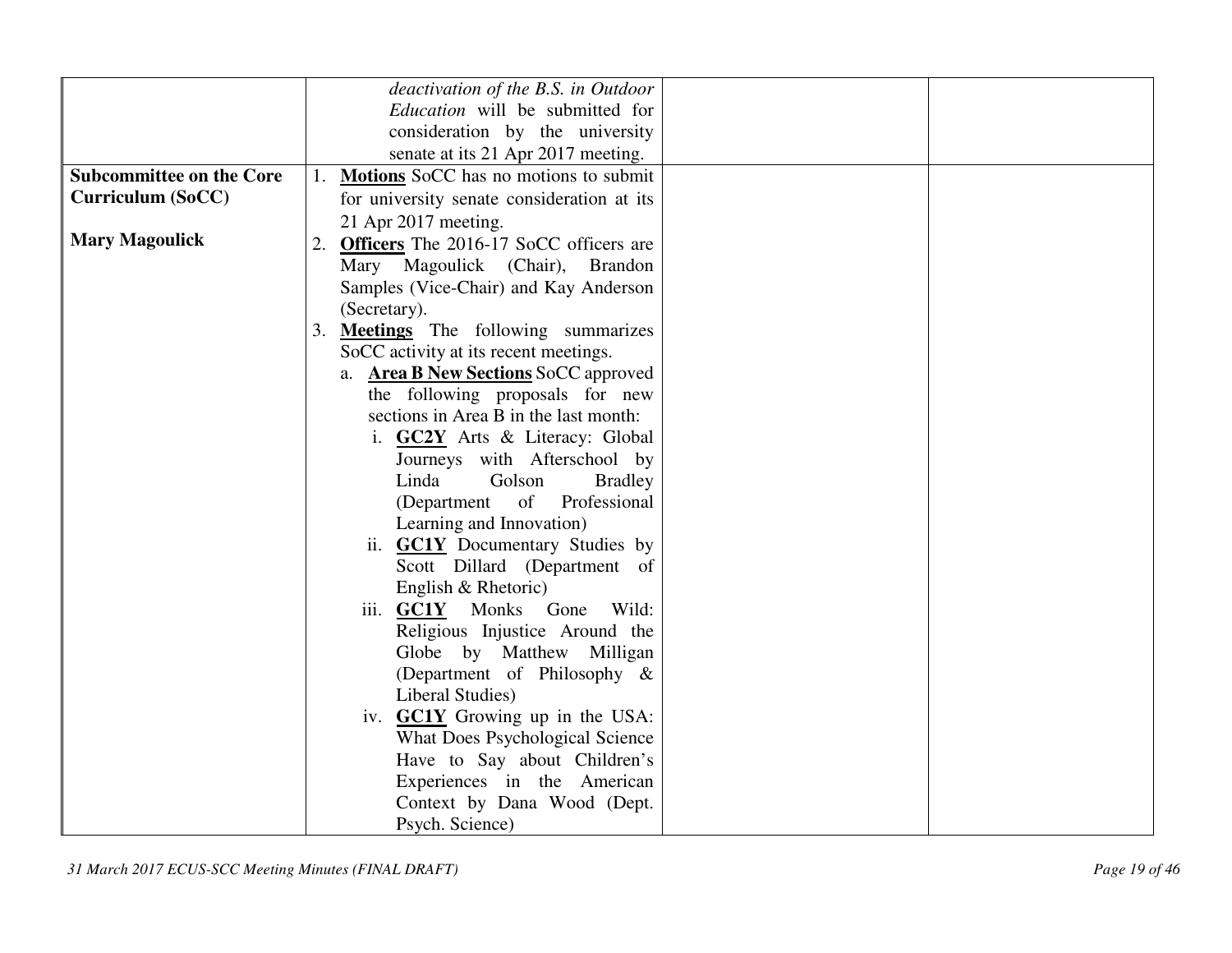|                                 | deactivation of the B.S. in Outdoor            |
|---------------------------------|------------------------------------------------|
|                                 | Education will be submitted for                |
|                                 | consideration by the university                |
|                                 | senate at its 21 Apr 2017 meeting.             |
| <b>Subcommittee on the Core</b> | Motions SoCC has no motions to submit          |
| <b>Curriculum (SoCC)</b>        | for university senate consideration at its     |
|                                 | 21 Apr 2017 meeting.                           |
| <b>Mary Magoulick</b>           | 2. Officers The 2016-17 SoCC officers are      |
|                                 | Mary Magoulick (Chair), Brandon                |
|                                 | Samples (Vice-Chair) and Kay Anderson          |
|                                 | (Secretary).                                   |
|                                 | <b>Meetings</b> The following summarizes<br>3. |
|                                 | SoCC activity at its recent meetings.          |
|                                 | a. Area B New Sections SoCC approved           |
|                                 | the following proposals for new                |
|                                 | sections in Area B in the last month:          |
|                                 | i. GC2Y Arts & Literacy: Global                |
|                                 | Journeys with Afterschool by                   |
|                                 | Linda<br>Golson<br><b>Bradley</b>              |
|                                 | of<br>Professional<br>(Department              |
|                                 | Learning and Innovation)                       |
|                                 | ii. <b>GC1Y</b> Documentary Studies by         |
|                                 | Scott Dillard (Department of                   |
|                                 | English & Rhetoric)                            |
|                                 | Wild:<br>iii. GC1Y Monks<br>Gone               |
|                                 | Religious Injustice Around the                 |
|                                 | Globe by Matthew Milligan                      |
|                                 | (Department of Philosophy &                    |
|                                 | Liberal Studies)                               |
|                                 | iv. <b>GC1Y</b> Growing up in the USA:         |
|                                 | What Does Psychological Science                |
|                                 | Have to Say about Children's                   |
|                                 | Experiences in the American                    |
|                                 | Context by Dana Wood (Dept.                    |
|                                 | Psych. Science)                                |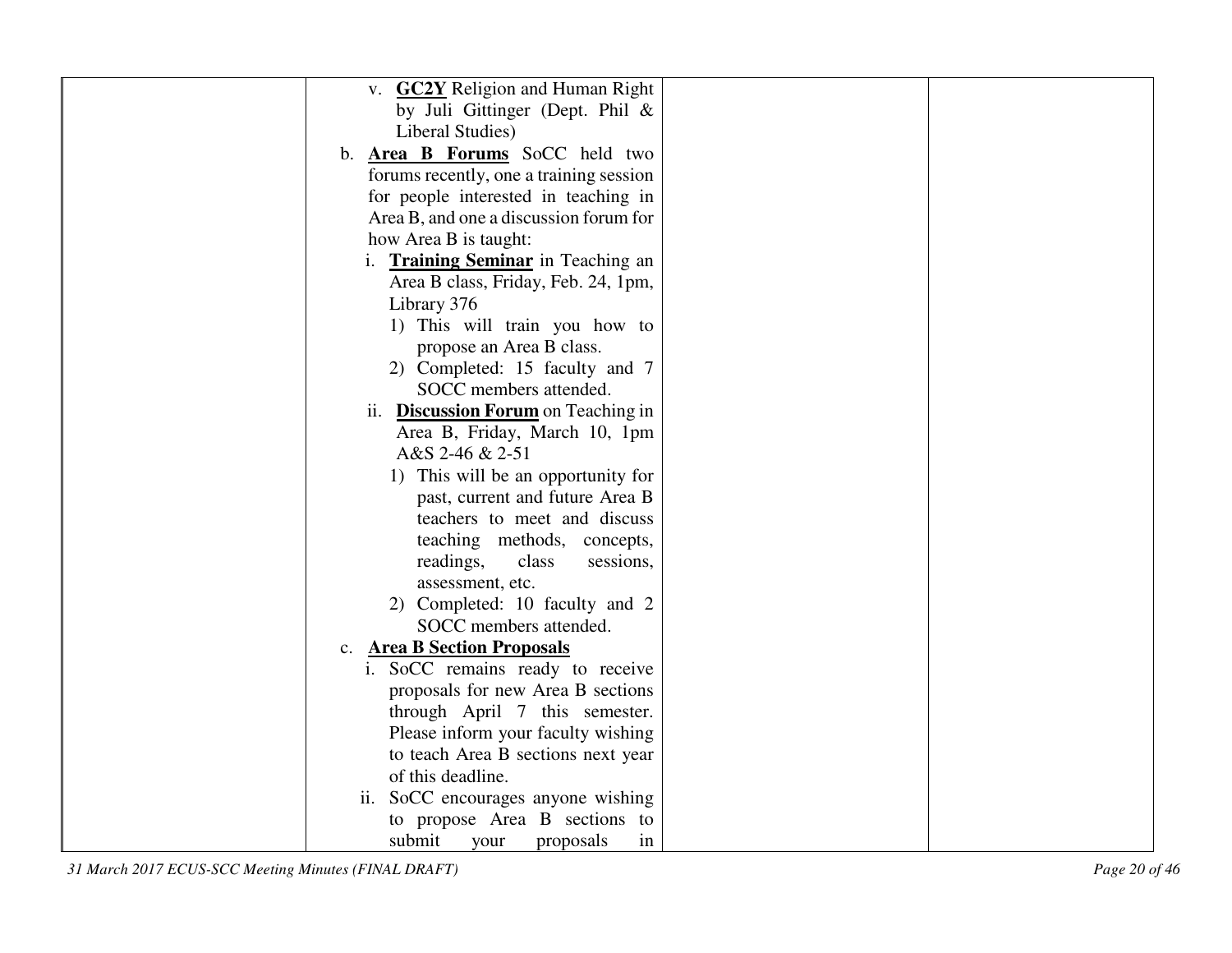| v. <b>GC2Y</b> Religion and Human Right           |  |
|---------------------------------------------------|--|
| by Juli Gittinger (Dept. Phil $\&$                |  |
| Liberal Studies)                                  |  |
| b. <b>Area B Forums</b> SoCC held two             |  |
| forums recently, one a training session           |  |
| for people interested in teaching in              |  |
| Area B, and one a discussion forum for            |  |
| how Area B is taught:                             |  |
| i. Training Seminar in Teaching an                |  |
| Area B class, Friday, Feb. 24, 1pm,               |  |
| Library 376                                       |  |
| 1) This will train you how to                     |  |
| propose an Area B class.                          |  |
| 2) Completed: 15 faculty and 7                    |  |
| SOCC members attended.                            |  |
| ii. Discussion Forum on Teaching in               |  |
| Area B, Friday, March 10, 1pm                     |  |
| A&S 2-46 & 2-51                                   |  |
| 1) This will be an opportunity for                |  |
| past, current and future Area B                   |  |
| teachers to meet and discuss                      |  |
| teaching methods, concepts,                       |  |
| readings,<br>class<br>sessions,                   |  |
| assessment, etc.                                  |  |
| 2) Completed: 10 faculty and 2                    |  |
| SOCC members attended.                            |  |
| <b>Area B Section Proposals</b><br>$\mathbf{c}$ . |  |
| i. SoCC remains ready to receive                  |  |
| proposals for new Area B sections                 |  |
| through April 7 this semester.                    |  |
| Please inform your faculty wishing                |  |
| to teach Area B sections next year                |  |
| of this deadline.                                 |  |
| ii. SoCC encourages anyone wishing                |  |
| to propose Area B sections to                     |  |
| submit<br>proposals<br>in<br>your                 |  |

*31 March 2017 ECUS-SCC Meeting Minutes (FINAL DRAFT) Page 20 of 46*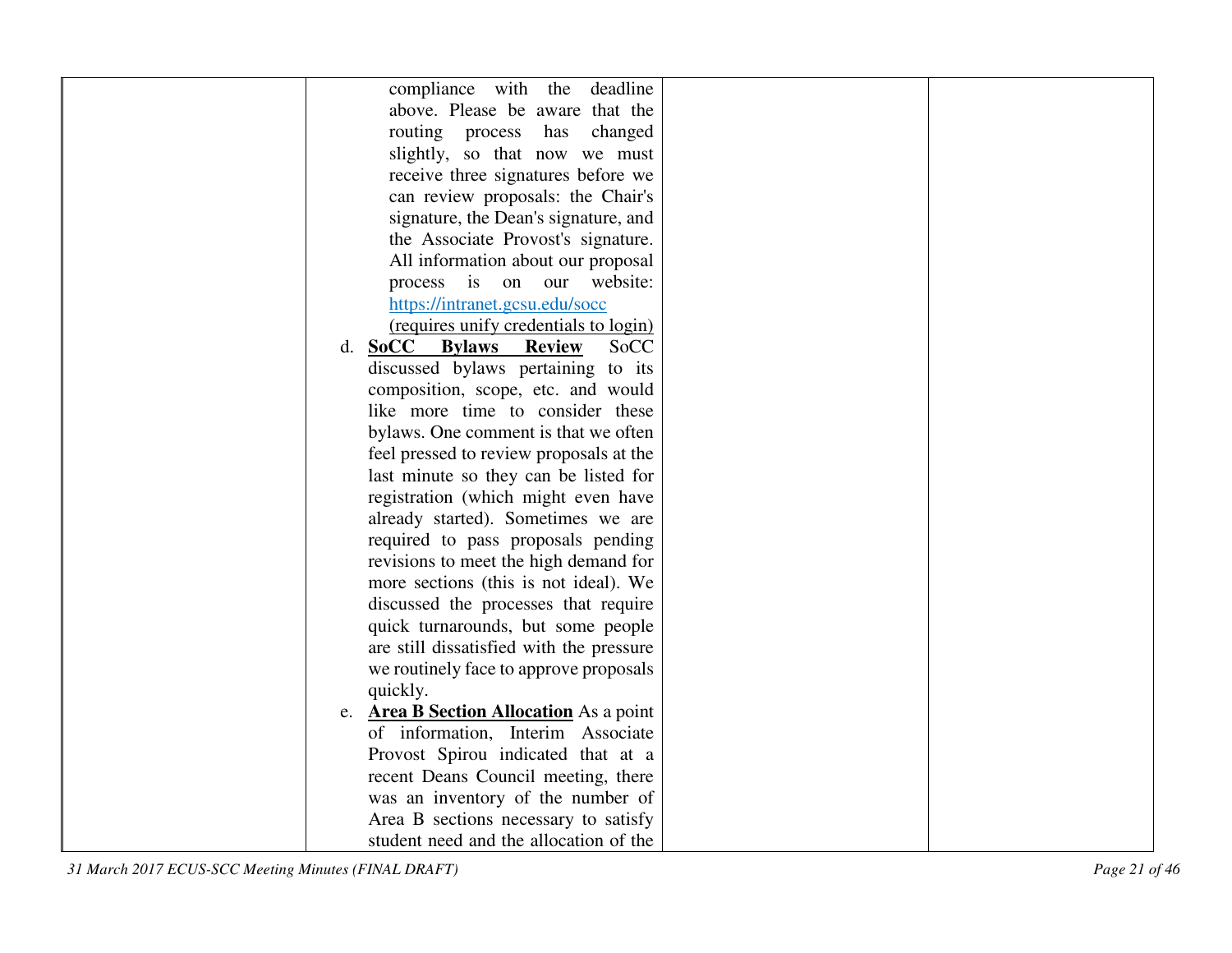| compliance with the<br>deadline          |
|------------------------------------------|
| above. Please be aware that the          |
| routing process<br>changed<br>has        |
| slightly, so that now we must            |
| receive three signatures before we       |
| can review proposals: the Chair's        |
| signature, the Dean's signature, and     |
| the Associate Provost's signature.       |
| All information about our proposal       |
| process is on our website:               |
| https://intranet.gcsu.edu/socc           |
| (requires unify credentials to login)    |
| d. SoCC Bylaws<br>SoCC<br><b>Review</b>  |
| discussed bylaws pertaining to its       |
| composition, scope, etc. and would       |
| like more time to consider these         |
| bylaws. One comment is that we often     |
| feel pressed to review proposals at the  |
| last minute so they can be listed for    |
| registration (which might even have      |
| already started). Sometimes we are       |
| required to pass proposals pending       |
| revisions to meet the high demand for    |
| more sections (this is not ideal). We    |
| discussed the processes that require     |
| quick turnarounds, but some people       |
| are still dissatisfied with the pressure |
| we routinely face to approve proposals   |
| quickly.                                 |
| e. Area B Section Allocation As a point  |
| of information, Interim Associate        |
| Provost Spirou indicated that at a       |
| recent Deans Council meeting, there      |
| was an inventory of the number of        |
| Area B sections necessary to satisfy     |
| student need and the allocation of the   |

*31 March 2017 ECUS-SCC Meeting Minutes (FINAL DRAFT) Page 21 of 46*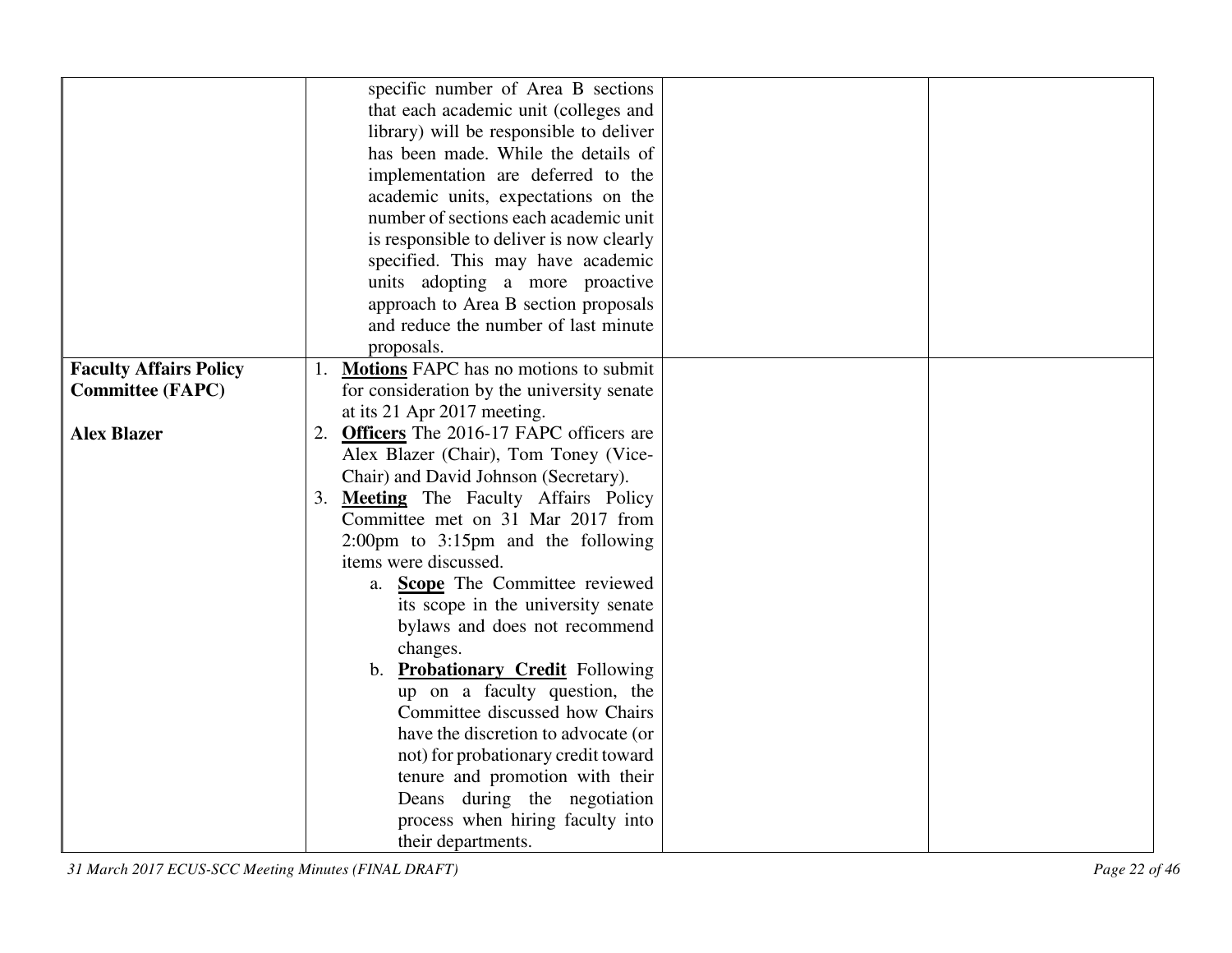|                               | specific number of Area B sections         |
|-------------------------------|--------------------------------------------|
|                               | that each academic unit (colleges and      |
|                               | library) will be responsible to deliver    |
|                               | has been made. While the details of        |
|                               | implementation are deferred to the         |
|                               | academic units, expectations on the        |
|                               | number of sections each academic unit      |
|                               | is responsible to deliver is now clearly   |
|                               | specified. This may have academic          |
|                               | units adopting a more proactive            |
|                               | approach to Area B section proposals       |
|                               | and reduce the number of last minute       |
|                               | proposals.                                 |
| <b>Faculty Affairs Policy</b> | 1. Motions FAPC has no motions to submit   |
| <b>Committee (FAPC)</b>       | for consideration by the university senate |
|                               | at its 21 Apr 2017 meeting.                |
| <b>Alex Blazer</b>            | 2. Officers The 2016-17 FAPC officers are  |
|                               | Alex Blazer (Chair), Tom Toney (Vice-      |
|                               | Chair) and David Johnson (Secretary).      |
|                               | 3. Meeting The Faculty Affairs Policy      |
|                               | Committee met on 31 Mar 2017 from          |
|                               | 2:00pm to 3:15pm and the following         |
|                               | items were discussed.                      |
|                               | a. <b>Scope</b> The Committee reviewed     |
|                               | its scope in the university senate         |
|                               | bylaws and does not recommend              |
|                               | changes.                                   |
|                               | b. Probationary Credit Following           |
|                               | up on a faculty question, the              |
|                               | Committee discussed how Chairs             |
|                               | have the discretion to advocate (or        |
|                               | not) for probationary credit toward        |
|                               |                                            |
|                               | tenure and promotion with their            |
|                               | Deans during the negotiation               |
|                               | process when hiring faculty into           |
|                               | their departments.                         |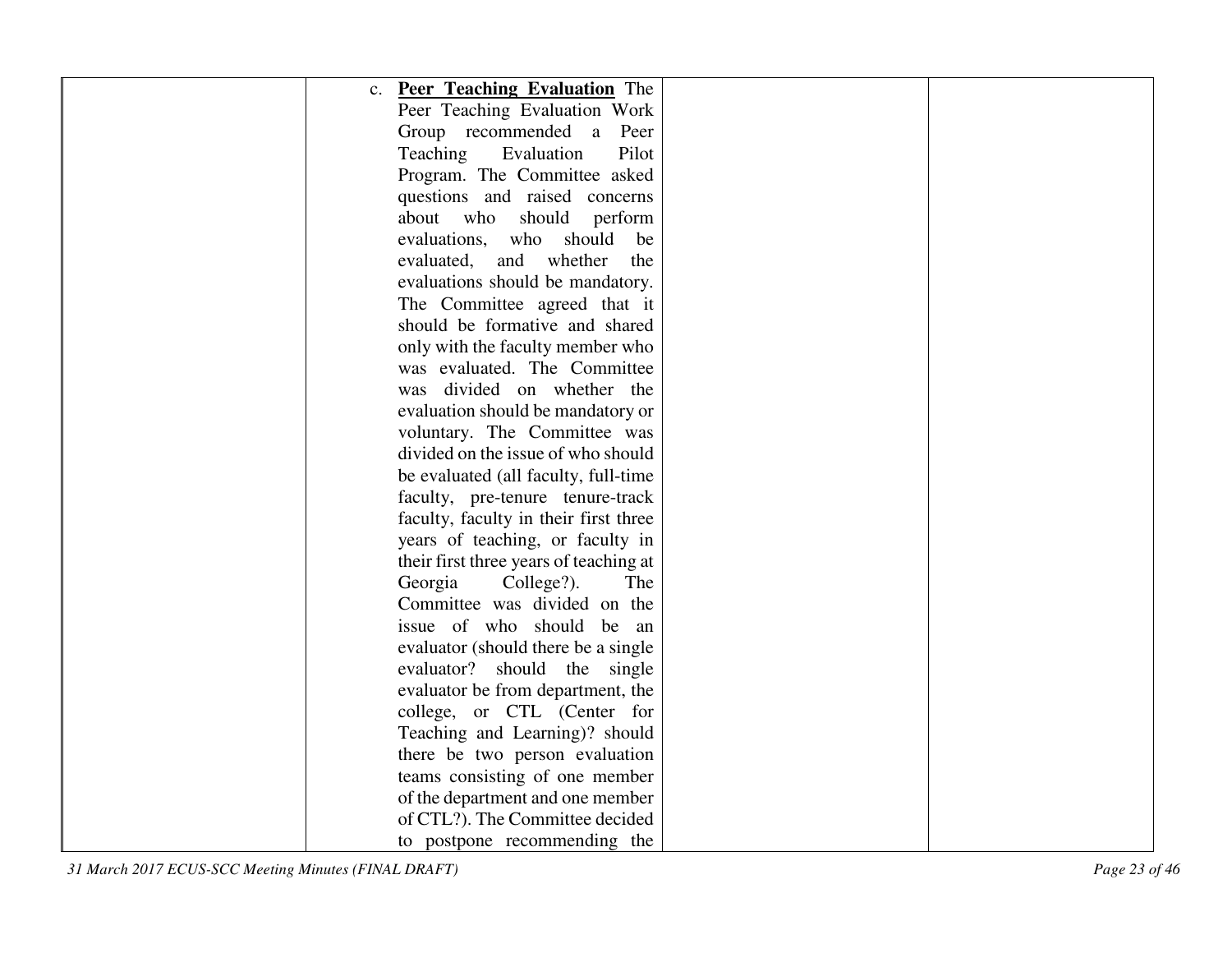| <b>Peer Teaching Evaluation</b> The<br>$C_{\bullet}$ |  |
|------------------------------------------------------|--|
| Peer Teaching Evaluation Work                        |  |
| Group recommended a Peer                             |  |
| Evaluation<br>Pilot<br>Teaching                      |  |
| Program. The Committee asked                         |  |
| questions and raised concerns                        |  |
| about who should perform                             |  |
| evaluations, who should<br>be                        |  |
| whether<br>evaluated,<br>and<br>the                  |  |
| evaluations should be mandatory.                     |  |
| The Committee agreed that it                         |  |
| should be formative and shared                       |  |
| only with the faculty member who                     |  |
| was evaluated. The Committee                         |  |
| was divided on whether the                           |  |
| evaluation should be mandatory or                    |  |
| voluntary. The Committee was                         |  |
| divided on the issue of who should                   |  |
| be evaluated (all faculty, full-time                 |  |
| faculty, pre-tenure tenure-track                     |  |
| faculty, faculty in their first three                |  |
| years of teaching, or faculty in                     |  |
| their first three years of teaching at               |  |
| Georgia<br>College?).<br>The                         |  |
| Committee was divided on the                         |  |
| issue of who should be an                            |  |
| evaluator (should there be a single                  |  |
| evaluator? should the single                         |  |
| evaluator be from department, the                    |  |
| college, or CTL (Center for                          |  |
| Teaching and Learning)? should                       |  |
| there be two person evaluation                       |  |
| teams consisting of one member                       |  |
| of the department and one member                     |  |
| of CTL?). The Committee decided                      |  |
| to postpone recommending the                         |  |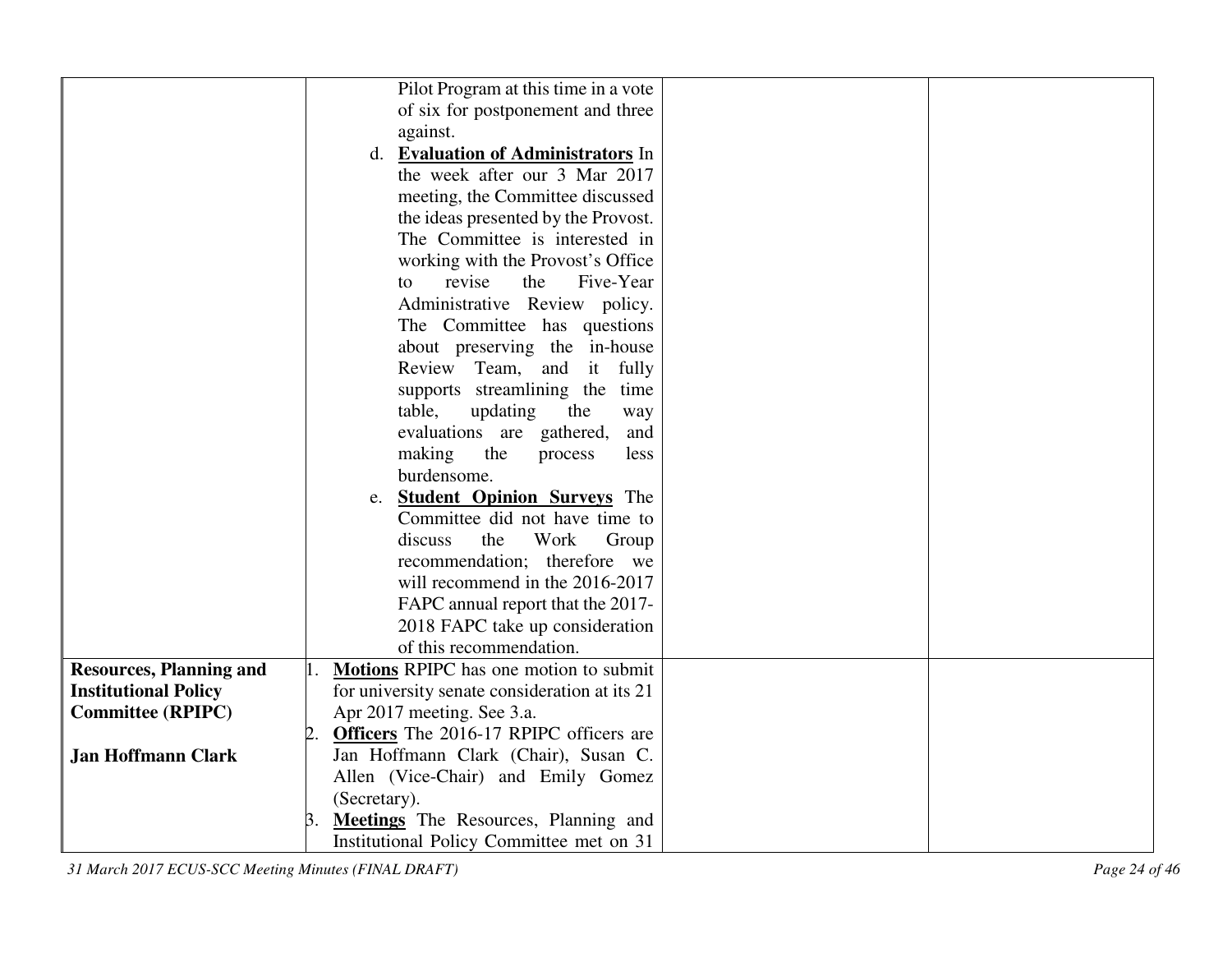|                                | Pilot Program at this time in a vote           |
|--------------------------------|------------------------------------------------|
|                                | of six for postponement and three              |
|                                | against.                                       |
|                                | d. Evaluation of Administrators In             |
|                                | the week after our 3 Mar 2017                  |
|                                | meeting, the Committee discussed               |
|                                | the ideas presented by the Provost.            |
|                                | The Committee is interested in                 |
|                                | working with the Provost's Office              |
|                                | Five-Year<br>revise<br>the<br>to               |
|                                | Administrative Review policy.                  |
|                                | The Committee has questions                    |
|                                | about preserving the in-house                  |
|                                | Review Team, and it<br>fully                   |
|                                | supports streamlining the time                 |
|                                | table,<br>updating<br>the<br>way               |
|                                | evaluations are gathered,<br>and               |
|                                | making<br>the<br>process<br>less               |
|                                | burdensome.                                    |
|                                | e. <b>Student Opinion Surveys</b> The          |
|                                | Committee did not have time to                 |
|                                | discuss<br>the<br>Work<br>Group                |
|                                | recommendation; therefore we                   |
|                                |                                                |
|                                | will recommend in the 2016-2017                |
|                                | FAPC annual report that the 2017-              |
|                                | 2018 FAPC take up consideration                |
|                                | of this recommendation.                        |
| <b>Resources, Planning and</b> | <b>Motions</b> RPIPC has one motion to submit  |
| <b>Institutional Policy</b>    | for university senate consideration at its 21  |
| <b>Committee (RPIPC)</b>       | Apr 2017 meeting. See 3.a.                     |
|                                | <b>Officers</b> The 2016-17 RPIPC officers are |
| <b>Jan Hoffmann Clark</b>      | Jan Hoffmann Clark (Chair), Susan C.           |
|                                | Allen (Vice-Chair) and Emily Gomez             |
|                                | (Secretary).                                   |
|                                | <b>Meetings</b> The Resources, Planning and    |
|                                | Institutional Policy Committee met on 31       |

*31 March 2017 ECUS-SCC Meeting Minutes (FINAL DRAFT) Page 24 of 46*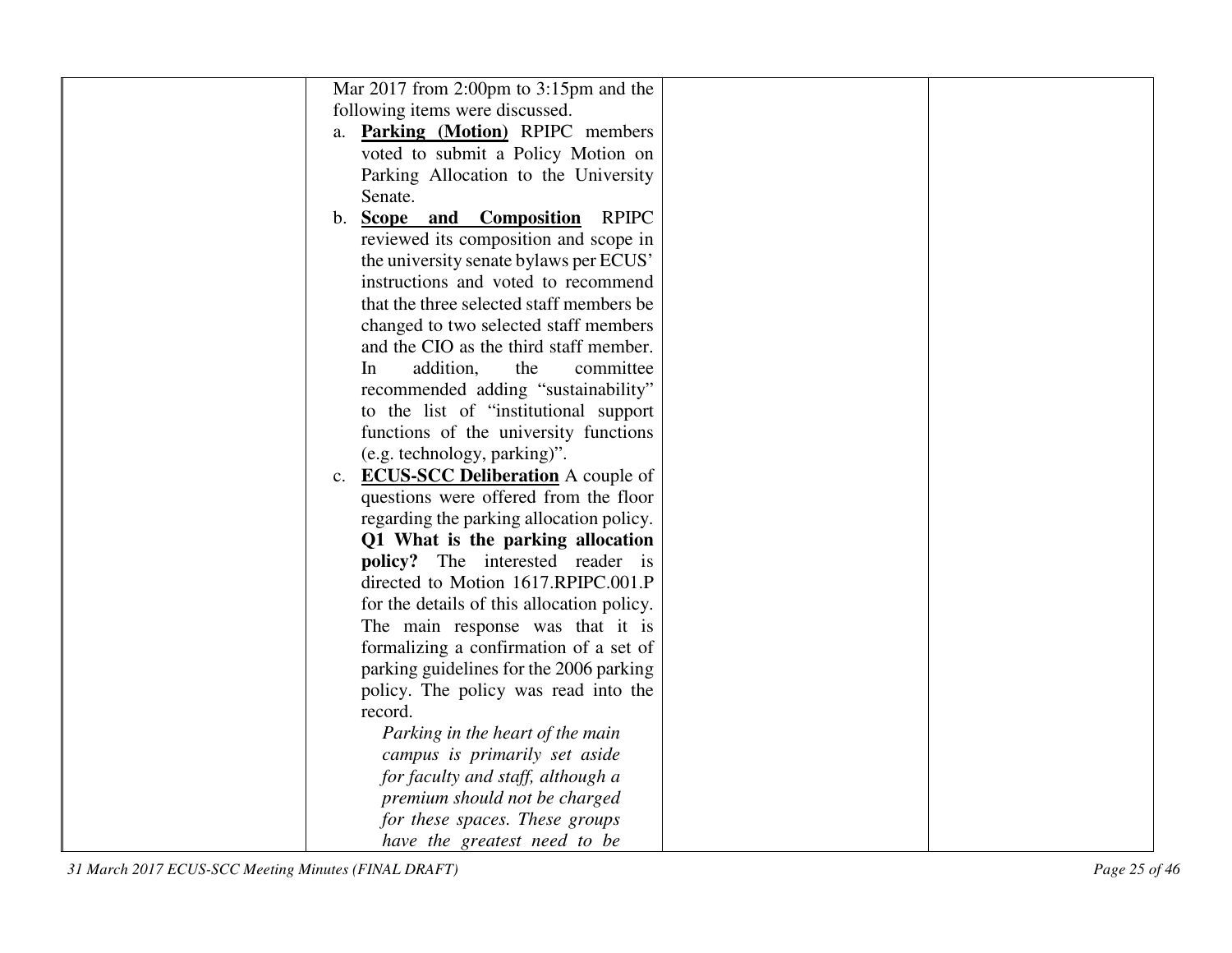|    | Mar 2017 from 2:00pm to 3:15pm and the       |  |
|----|----------------------------------------------|--|
|    | following items were discussed.              |  |
|    | a. Parking (Motion) RPIPC members            |  |
|    | voted to submit a Policy Motion on           |  |
|    | Parking Allocation to the University         |  |
|    | Senate.                                      |  |
| b. | <b>Scope and Composition</b><br><b>RPIPC</b> |  |
|    | reviewed its composition and scope in        |  |
|    | the university senate bylaws per ECUS'       |  |
|    | instructions and voted to recommend          |  |
|    | that the three selected staff members be     |  |
|    | changed to two selected staff members        |  |
|    | and the CIO as the third staff member.       |  |
|    | addition,<br>the<br>committee<br>In          |  |
|    | recommended adding "sustainability"          |  |
|    | to the list of "institutional support"       |  |
|    | functions of the university functions        |  |
|    | (e.g. technology, parking)".                 |  |
|    | c. <b>ECUS-SCC Deliberation</b> A couple of  |  |
|    | questions were offered from the floor        |  |
|    | regarding the parking allocation policy.     |  |
|    | Q1 What is the parking allocation            |  |
|    | <b>policy?</b> The interested reader is      |  |
|    | directed to Motion 1617.RPIPC.001.P          |  |
|    | for the details of this allocation policy.   |  |
|    | The main response was that it is             |  |
|    | formalizing a confirmation of a set of       |  |
|    | parking guidelines for the 2006 parking      |  |
|    | policy. The policy was read into the         |  |
|    | record.                                      |  |
|    | Parking in the heart of the main             |  |
|    | campus is primarily set aside                |  |
|    | for faculty and staff, although a            |  |
|    | premium should not be charged                |  |
|    | for these spaces. These groups               |  |
|    | have the greatest need to be                 |  |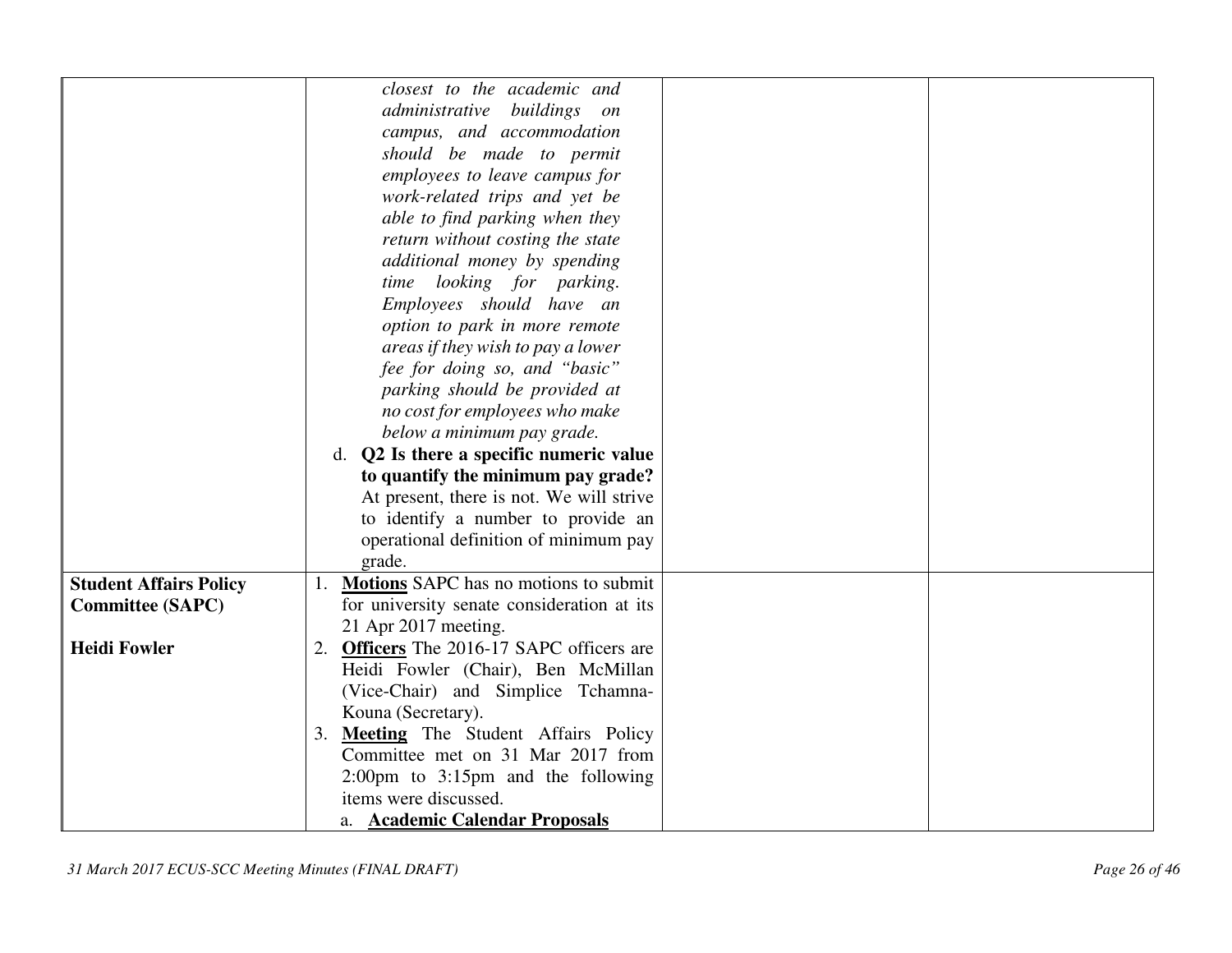|                               | closest to the academic and                            |
|-------------------------------|--------------------------------------------------------|
|                               | administrative buildings on                            |
|                               | campus, and accommodation                              |
|                               | should be made to permit                               |
|                               | employees to leave campus for                          |
|                               | work-related trips and yet be                          |
|                               | able to find parking when they                         |
|                               | return without costing the state                       |
|                               | additional money by spending                           |
|                               |                                                        |
|                               | time looking for parking.                              |
|                               | Employees should have an                               |
|                               | option to park in more remote                          |
|                               | areas if they wish to pay a lower                      |
|                               | fee for doing so, and "basic"                          |
|                               | parking should be provided at                          |
|                               | no cost for employees who make                         |
|                               | below a minimum pay grade.                             |
|                               | d. Q2 Is there a specific numeric value                |
|                               | to quantify the minimum pay grade?                     |
|                               | At present, there is not. We will strive               |
|                               | to identify a number to provide an                     |
|                               | operational definition of minimum pay                  |
|                               | grade.                                                 |
| <b>Student Affairs Policy</b> | Motions SAPC has no motions to submit                  |
| <b>Committee (SAPC)</b>       | for university senate consideration at its             |
|                               | 21 Apr 2017 meeting.                                   |
| <b>Heidi Fowler</b>           | 2. Officers The 2016-17 SAPC officers are              |
|                               | Heidi Fowler (Chair), Ben McMillan                     |
|                               | (Vice-Chair) and Simplice Tchamna-                     |
|                               | Kouna (Secretary).                                     |
|                               | 3. Meeting The Student Affairs Policy                  |
|                               | Committee met on 31 Mar 2017 from                      |
|                               | $2:00 \text{pm}$ to $3:15 \text{pm}$ and the following |
|                               | items were discussed.                                  |
|                               | a. Academic Calendar Proposals                         |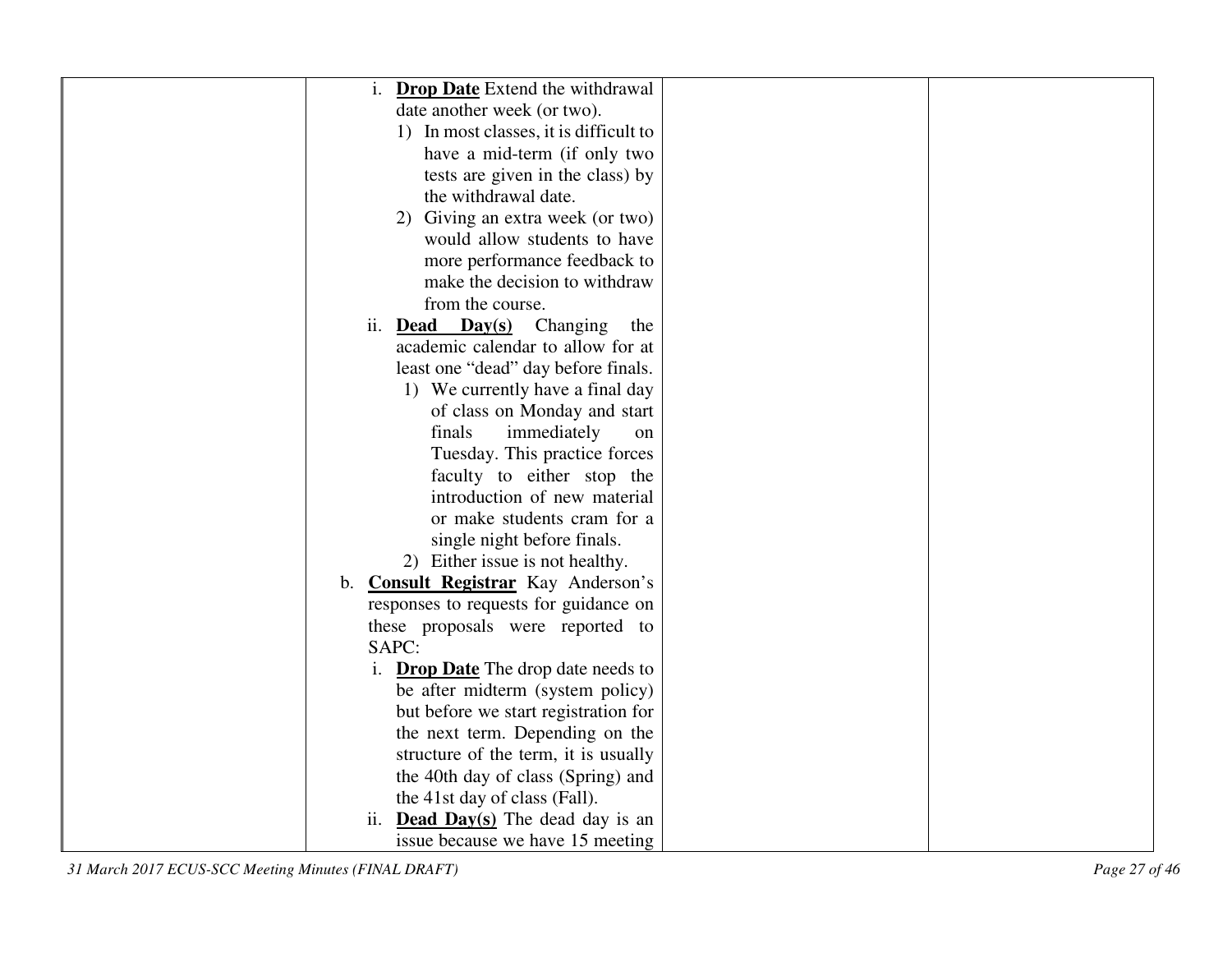| <b>Drop Date</b> Extend the withdrawal                     |  |
|------------------------------------------------------------|--|
| date another week (or two).                                |  |
| 1) In most classes, it is difficult to                     |  |
| have a mid-term (if only two                               |  |
| tests are given in the class) by                           |  |
| the withdrawal date.                                       |  |
| 2) Giving an extra week (or two)                           |  |
| would allow students to have                               |  |
| more performance feedback to                               |  |
| make the decision to withdraw                              |  |
| from the course.                                           |  |
| ii.<br>$\mathbf{Day(s)}$<br><b>Dead</b><br>Changing<br>the |  |
| academic calendar to allow for at                          |  |
| least one "dead" day before finals.                        |  |
| 1) We currently have a final day                           |  |
| of class on Monday and start                               |  |
| finals<br>immediately<br>on                                |  |
| Tuesday. This practice forces                              |  |
| faculty to either stop the                                 |  |
| introduction of new material                               |  |
| or make students cram for a                                |  |
| single night before finals.                                |  |
| 2) Either issue is not healthy.                            |  |
| <b>Consult Registrar</b> Kay Anderson's<br>$\mathbf b$ .   |  |
| responses to requests for guidance on                      |  |
| these proposals were reported to                           |  |
| SAPC:                                                      |  |
| <b>Drop Date</b> The drop date needs to<br>i.              |  |
| be after midterm (system policy)                           |  |
| but before we start registration for                       |  |
| the next term. Depending on the                            |  |
| structure of the term, it is usually                       |  |
| the 40th day of class (Spring) and                         |  |
| the 41st day of class (Fall).                              |  |
| ii. <b>Dead Day(s)</b> The dead day is an                  |  |
| issue because we have 15 meeting                           |  |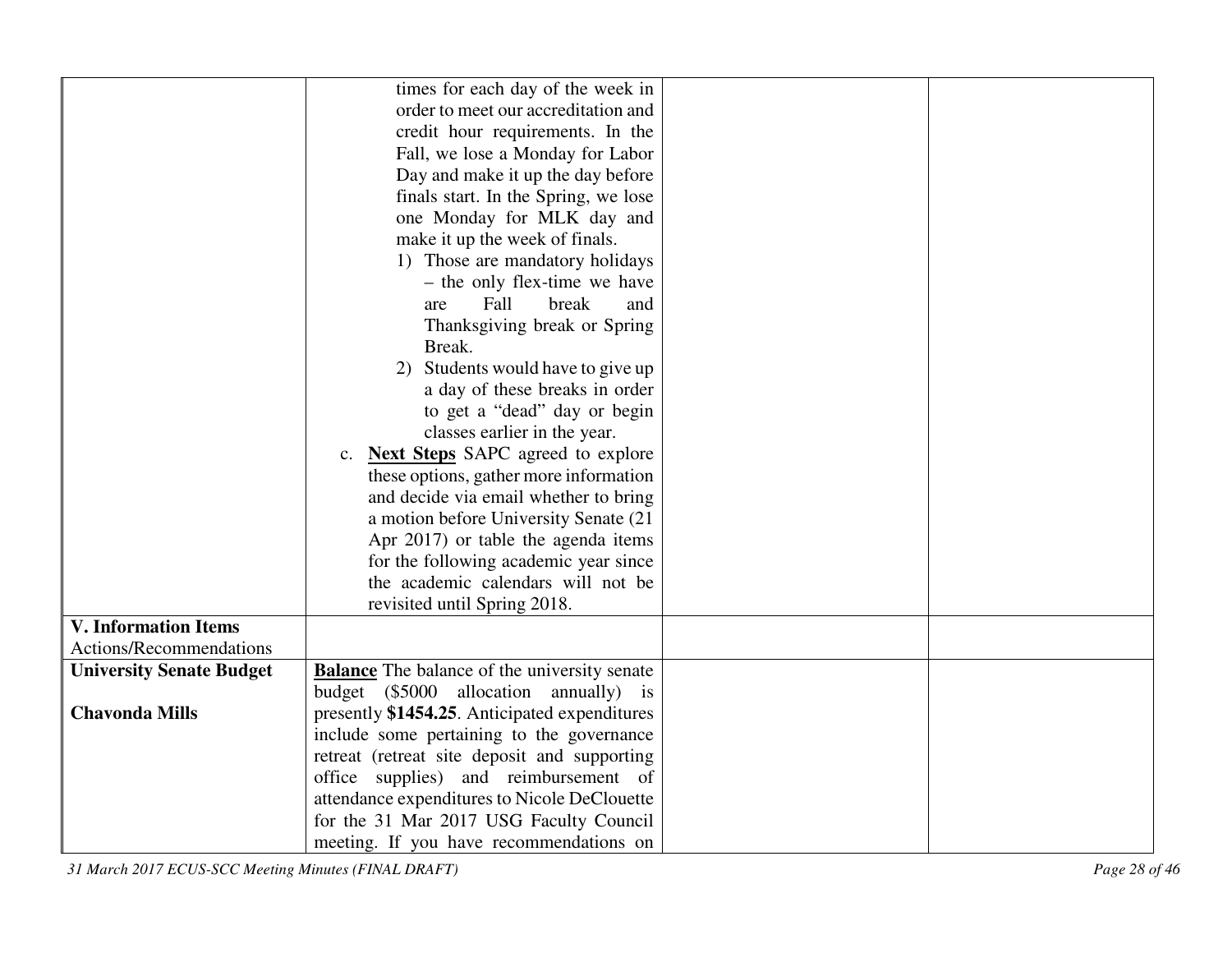|                                 | times for each day of the week in                   |  |
|---------------------------------|-----------------------------------------------------|--|
|                                 | order to meet our accreditation and                 |  |
|                                 | credit hour requirements. In the                    |  |
|                                 | Fall, we lose a Monday for Labor                    |  |
|                                 | Day and make it up the day before                   |  |
|                                 | finals start. In the Spring, we lose                |  |
|                                 | one Monday for MLK day and                          |  |
|                                 | make it up the week of finals.                      |  |
|                                 | 1) Those are mandatory holidays                     |  |
|                                 | - the only flex-time we have                        |  |
|                                 | Fall<br>break<br>and<br>are                         |  |
|                                 | Thanksgiving break or Spring                        |  |
|                                 | Break.                                              |  |
|                                 | 2) Students would have to give up                   |  |
|                                 | a day of these breaks in order                      |  |
|                                 | to get a "dead" day or begin                        |  |
|                                 | classes earlier in the year.                        |  |
|                                 | c. Next Steps SAPC agreed to explore                |  |
|                                 | these options, gather more information              |  |
|                                 | and decide via email whether to bring               |  |
|                                 | a motion before University Senate (21               |  |
|                                 | Apr 2017) or table the agenda items                 |  |
|                                 | for the following academic year since               |  |
|                                 | the academic calendars will not be                  |  |
|                                 | revisited until Spring 2018.                        |  |
| <b>V. Information Items</b>     |                                                     |  |
| Actions/Recommendations         |                                                     |  |
| <b>University Senate Budget</b> | <b>Balance</b> The balance of the university senate |  |
|                                 | budget (\$5000 allocation annually) is              |  |
| <b>Chavonda Mills</b>           | presently \$1454.25. Anticipated expenditures       |  |
|                                 | include some pertaining to the governance           |  |
|                                 | retreat (retreat site deposit and supporting        |  |
|                                 | office supplies) and reimbursement of               |  |
|                                 | attendance expenditures to Nicole DeClouette        |  |
|                                 | for the 31 Mar 2017 USG Faculty Council             |  |
|                                 | meeting. If you have recommendations on             |  |

*31 March 2017 ECUS-SCC Meeting Minutes (FINAL DRAFT) Page 28 of 46*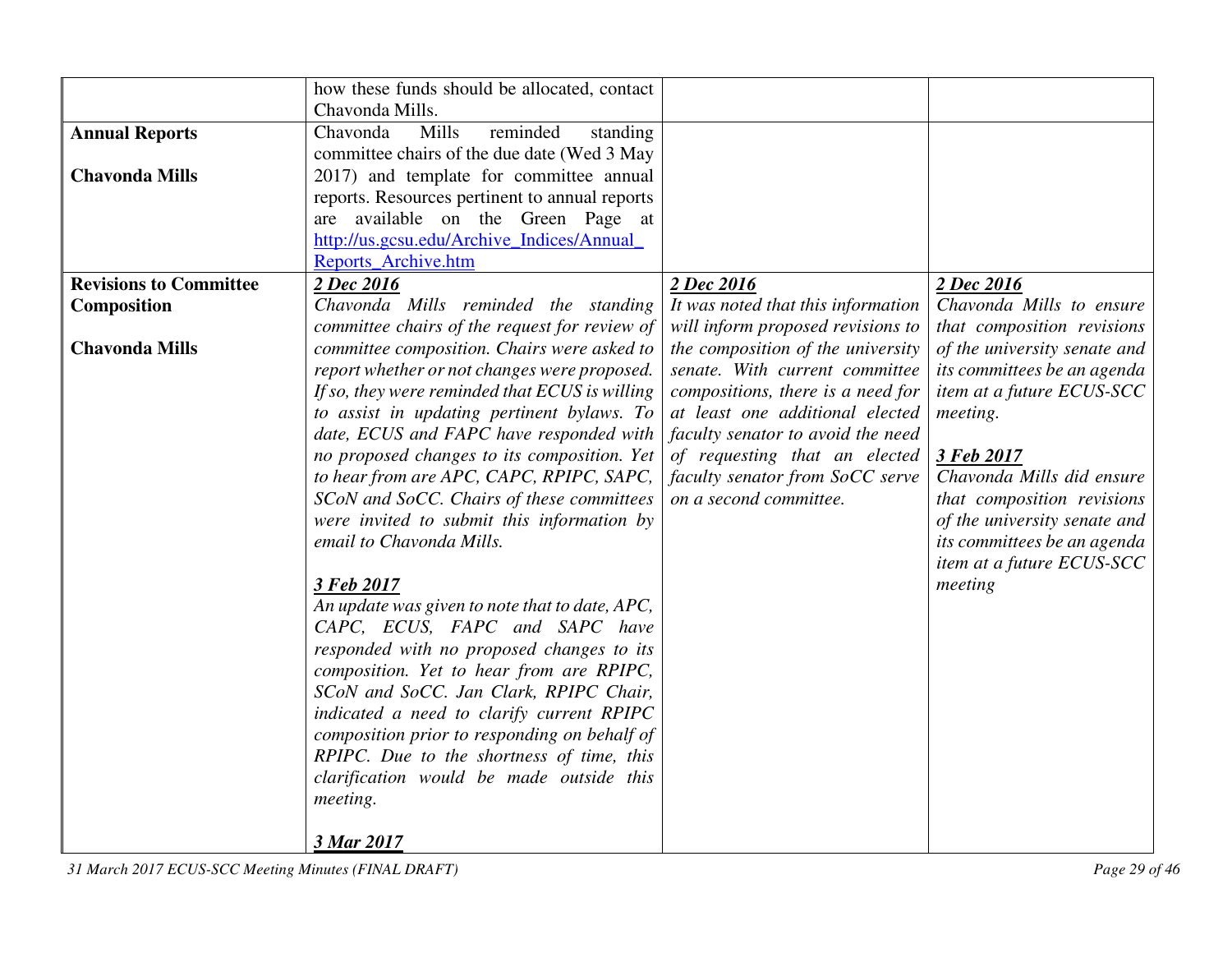|                               | how these funds should be allocated, contact                           |                                    |                                                          |
|-------------------------------|------------------------------------------------------------------------|------------------------------------|----------------------------------------------------------|
|                               | Chavonda Mills.                                                        |                                    |                                                          |
| <b>Annual Reports</b>         | Chavonda<br>Mills<br>reminded<br>standing                              |                                    |                                                          |
|                               | committee chairs of the due date (Wed 3 May                            |                                    |                                                          |
| <b>Chavonda Mills</b>         | 2017) and template for committee annual                                |                                    |                                                          |
|                               | reports. Resources pertinent to annual reports                         |                                    |                                                          |
|                               | are available on the Green Page at                                     |                                    |                                                          |
|                               | http://us.gcsu.edu/Archive_Indices/Annual_                             |                                    |                                                          |
|                               | Reports Archive.htm                                                    |                                    |                                                          |
| <b>Revisions to Committee</b> | 2 Dec 2016                                                             | 2 Dec 2016                         | 2 Dec 2016                                               |
| Composition                   | Chavonda Mills reminded the standing                                   | It was noted that this information | Chavonda Mills to ensure                                 |
|                               | committee chairs of the request for review of                          | will inform proposed revisions to  | that composition revisions                               |
| <b>Chavonda Mills</b>         | committee composition. Chairs were asked to                            | the composition of the university  | of the university senate and                             |
|                               | report whether or not changes were proposed.                           | senate. With current committee     | its committees be an agenda                              |
|                               | If so, they were reminded that ECUS is willing                         | compositions, there is a need for  | item at a future ECUS-SCC                                |
|                               | to assist in updating pertinent bylaws. To                             | at least one additional elected    | meeting.                                                 |
|                               | date, ECUS and FAPC have responded with                                | faculty senator to avoid the need  |                                                          |
|                               | no proposed changes to its composition. Yet                            | of requesting that an elected      | 3 Feb 2017                                               |
|                               | to hear from are APC, CAPC, RPIPC, SAPC,                               | faculty senator from SoCC serve    | Chavonda Mills did ensure                                |
|                               | SCoN and SoCC. Chairs of these committees                              | on a second committee.             | that composition revisions                               |
|                               | were invited to submit this information by<br>email to Chavonda Mills. |                                    | of the university senate and                             |
|                               |                                                                        |                                    | its committees be an agenda<br>item at a future ECUS-SCC |
|                               | 3 Feb 2017                                                             |                                    | meeting                                                  |
|                               | An update was given to note that to date, APC,                         |                                    |                                                          |
|                               | CAPC, ECUS, FAPC and SAPC have                                         |                                    |                                                          |
|                               | responded with no proposed changes to its                              |                                    |                                                          |
|                               | composition. Yet to hear from are RPIPC,                               |                                    |                                                          |
|                               | SCoN and SoCC. Jan Clark, RPIPC Chair,                                 |                                    |                                                          |
|                               | indicated a need to clarify current RPIPC                              |                                    |                                                          |
|                               | composition prior to responding on behalf of                           |                                    |                                                          |
|                               | RPIPC. Due to the shortness of time, this                              |                                    |                                                          |
|                               | clarification would be made outside this                               |                                    |                                                          |
|                               | meeting.                                                               |                                    |                                                          |
|                               |                                                                        |                                    |                                                          |
|                               | 3 Mar 2017                                                             |                                    |                                                          |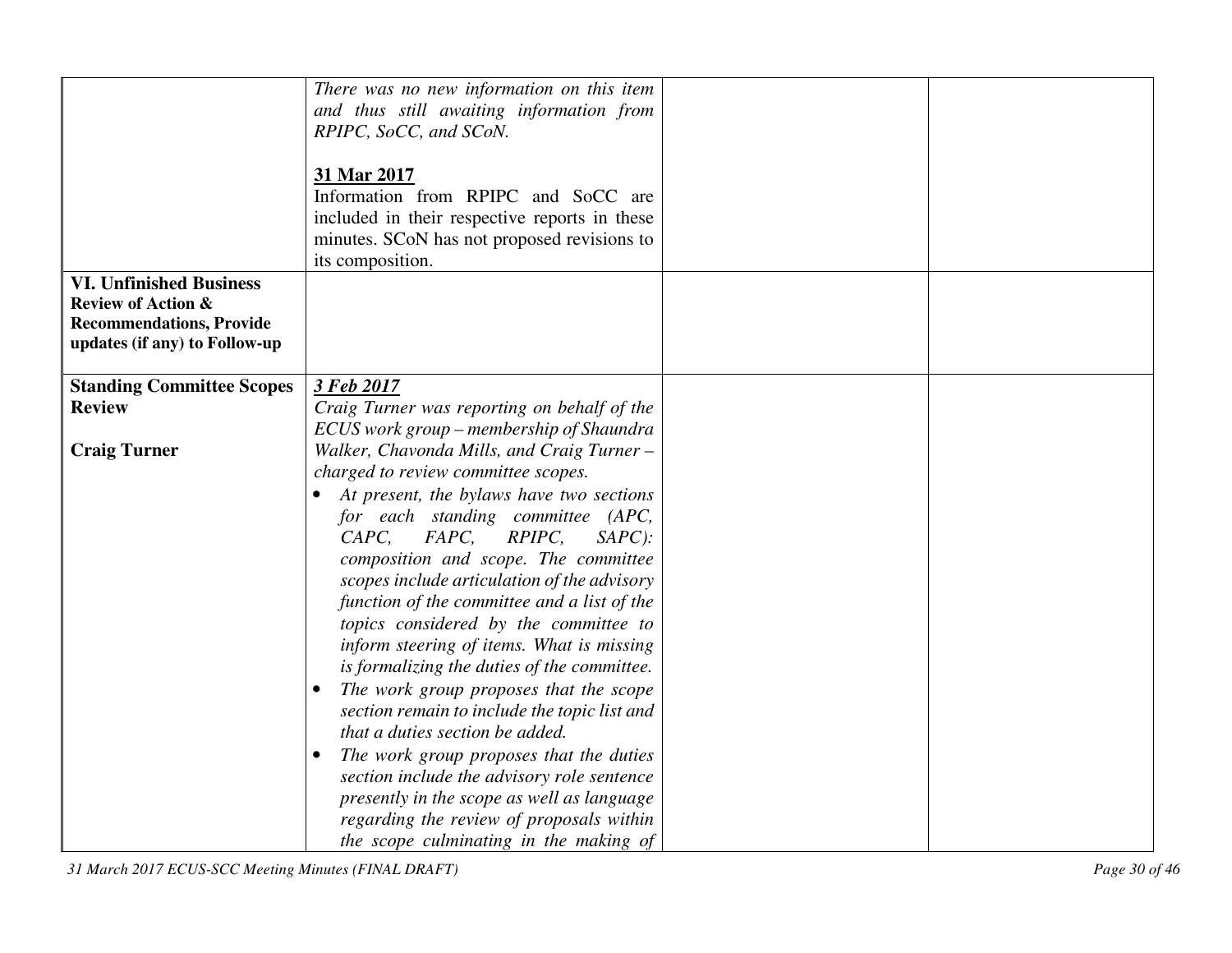|                                  | There was no new information on this item            |  |
|----------------------------------|------------------------------------------------------|--|
|                                  |                                                      |  |
|                                  | and thus still awaiting information from             |  |
|                                  | RPIPC, SoCC, and SCoN.                               |  |
|                                  |                                                      |  |
|                                  | 31 Mar 2017                                          |  |
|                                  | Information from RPIPC and SoCC are                  |  |
|                                  |                                                      |  |
|                                  | included in their respective reports in these        |  |
|                                  | minutes. SCoN has not proposed revisions to          |  |
|                                  | its composition.                                     |  |
| <b>VI. Unfinished Business</b>   |                                                      |  |
| <b>Review of Action &amp;</b>    |                                                      |  |
| <b>Recommendations, Provide</b>  |                                                      |  |
| updates (if any) to Follow-up    |                                                      |  |
|                                  |                                                      |  |
| <b>Standing Committee Scopes</b> | 3 Feb 2017                                           |  |
| <b>Review</b>                    |                                                      |  |
|                                  | Craig Turner was reporting on behalf of the          |  |
|                                  | ECUS work group – membership of Shaundra             |  |
| <b>Craig Turner</b>              | Walker, Chavonda Mills, and Craig Turner -           |  |
|                                  | charged to review committee scopes.                  |  |
|                                  | At present, the bylaws have two sections             |  |
|                                  | for each standing committee (APC,                    |  |
|                                  | RPIPC,<br>CAPC,<br>FAPC,<br>$SAPC$ :                 |  |
|                                  |                                                      |  |
|                                  | composition and scope. The committee                 |  |
|                                  | scopes include articulation of the advisory          |  |
|                                  | function of the committee and a list of the          |  |
|                                  | topics considered by the committee to                |  |
|                                  | inform steering of items. What is missing            |  |
|                                  | is formalizing the duties of the committee.          |  |
|                                  | The work group proposes that the scope               |  |
|                                  |                                                      |  |
|                                  | section remain to include the topic list and         |  |
|                                  | that a duties section be added.                      |  |
|                                  | The work group proposes that the duties<br>$\bullet$ |  |
|                                  | section include the advisory role sentence           |  |
|                                  | presently in the scope as well as language           |  |
|                                  | regarding the review of proposals within             |  |
|                                  | the scope culminating in the making of               |  |

*31 March 2017 ECUS-SCC Meeting Minutes (FINAL DRAFT) Page 30 of 46*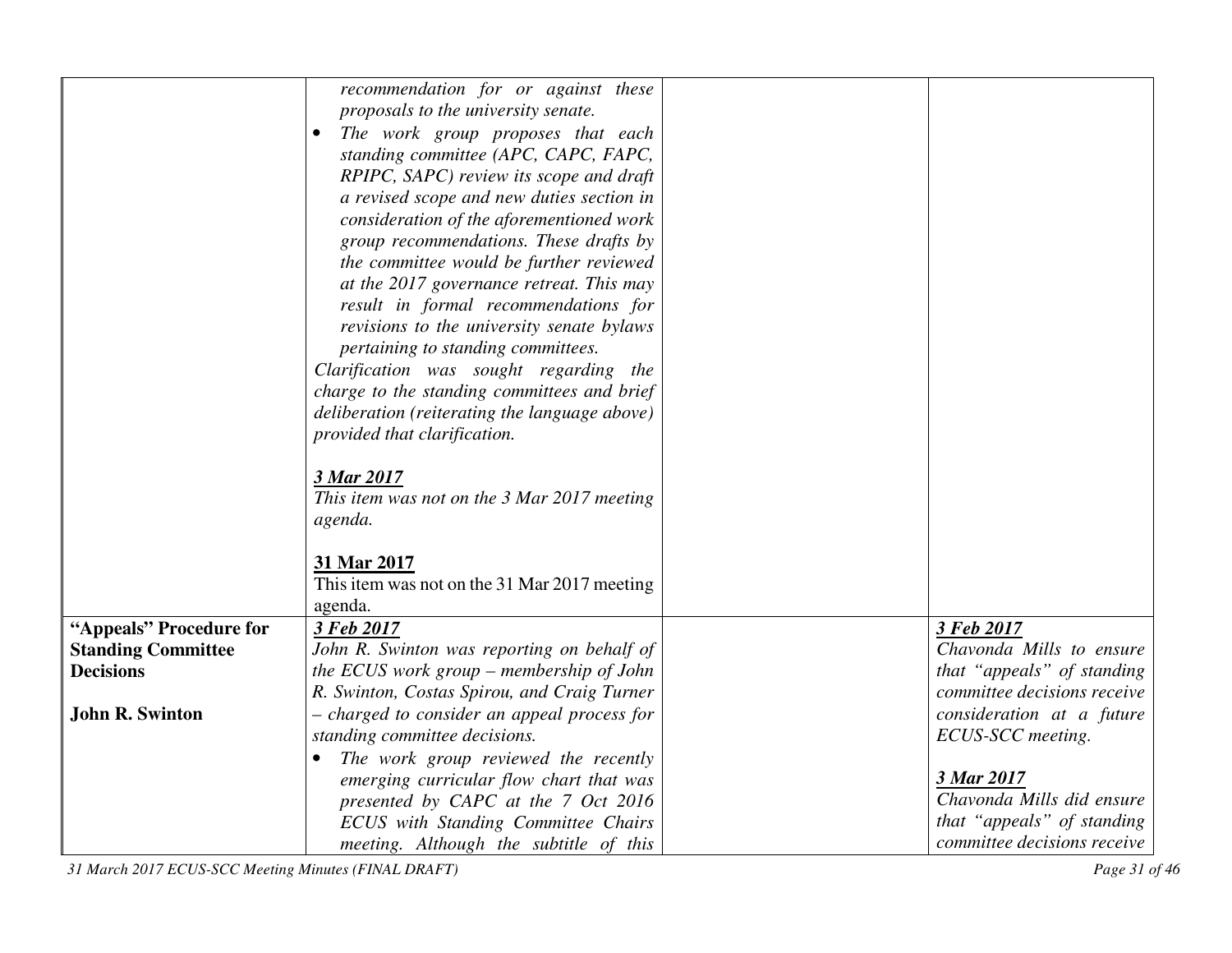|                           | recommendation for or against these               |                             |
|---------------------------|---------------------------------------------------|-----------------------------|
|                           | proposals to the university senate.               |                             |
|                           | The work group proposes that each                 |                             |
|                           | standing committee (APC, CAPC, FAPC,              |                             |
|                           | RPIPC, SAPC) review its scope and draft           |                             |
|                           | a revised scope and new duties section in         |                             |
|                           | consideration of the aforementioned work          |                             |
|                           | group recommendations. These drafts by            |                             |
|                           | the committee would be further reviewed           |                             |
|                           | at the 2017 governance retreat. This may          |                             |
|                           | result in formal recommendations for              |                             |
|                           | revisions to the university senate bylaws         |                             |
|                           | pertaining to standing committees.                |                             |
|                           | Clarification was sought regarding the            |                             |
|                           | charge to the standing committees and brief       |                             |
|                           | deliberation (reiterating the language above)     |                             |
|                           | provided that clarification.                      |                             |
|                           |                                                   |                             |
|                           | 3 Mar 2017                                        |                             |
|                           | This item was not on the 3 Mar 2017 meeting       |                             |
|                           | agenda.                                           |                             |
|                           |                                                   |                             |
|                           | 31 Mar 2017                                       |                             |
|                           | This item was not on the 31 Mar 2017 meeting      |                             |
|                           | agenda.                                           |                             |
| "Appeals" Procedure for   | 3 Feb 2017                                        | 3 Feb 2017                  |
| <b>Standing Committee</b> | John R. Swinton was reporting on behalf of        | Chavonda Mills to ensure    |
| <b>Decisions</b>          | the ECUS work group – membership of John          | that "appeals" of standing  |
|                           | R. Swinton, Costas Spirou, and Craig Turner       | committee decisions receive |
| <b>John R. Swinton</b>    | - charged to consider an appeal process for       | consideration at a future   |
|                           | standing committee decisions.                     | ECUS-SCC meeting.           |
|                           | The work group reviewed the recently<br>$\bullet$ |                             |
|                           | emerging curricular flow chart that was           | 3 Mar 2017                  |
|                           | presented by CAPC at the 7 Oct 2016               | Chavonda Mills did ensure   |
|                           | ECUS with Standing Committee Chairs               | that "appeals" of standing  |
|                           | meeting. Although the subtitle of this            | committee decisions receive |

*31 March 2017 ECUS-SCC Meeting Minutes (FINAL DRAFT) Page 31 of 46*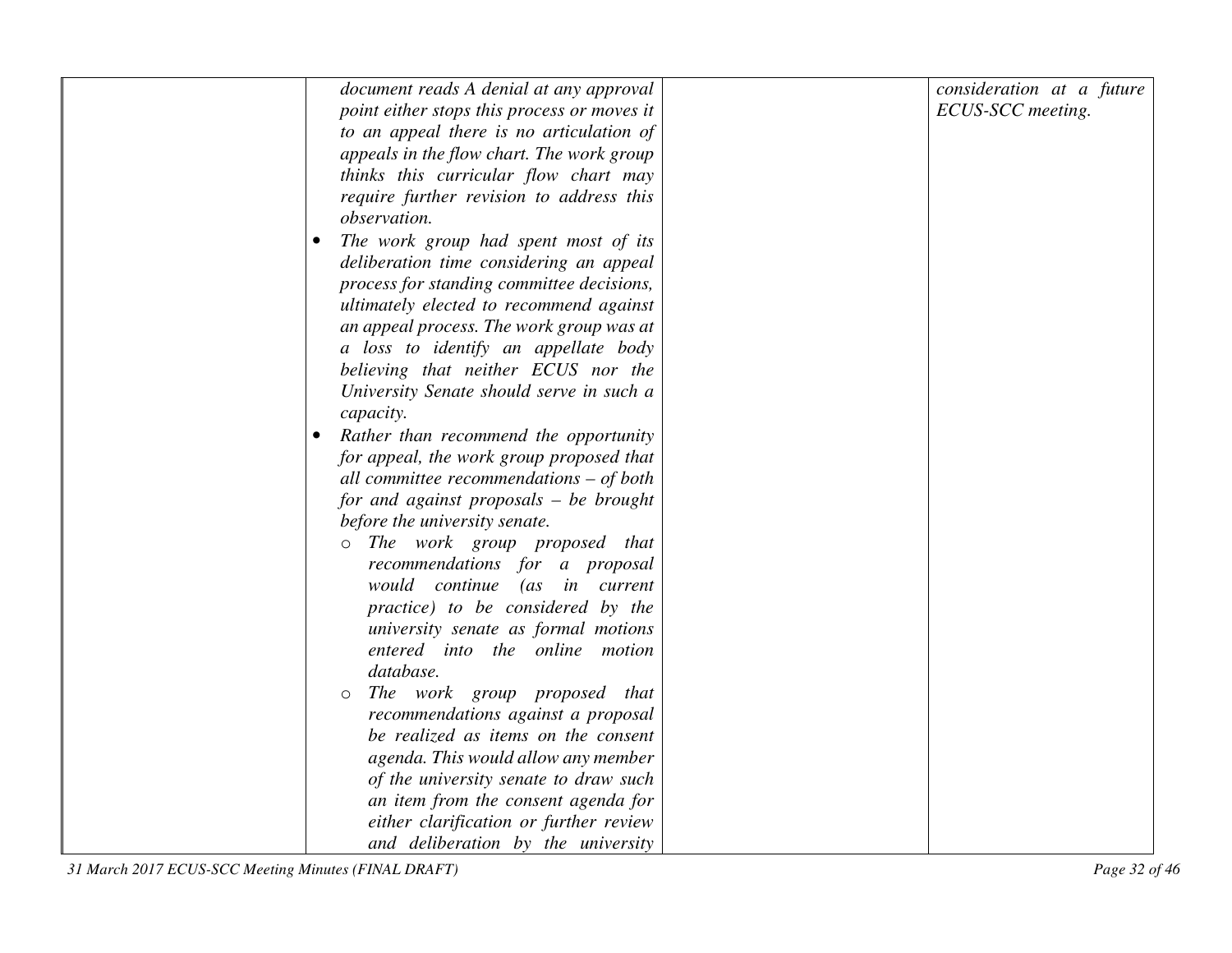| document reads A denial at any approval     | consideration at a future |
|---------------------------------------------|---------------------------|
| point either stops this process or moves it | ECUS-SCC meeting.         |
| to an appeal there is no articulation of    |                           |
| appeals in the flow chart. The work group   |                           |
| thinks this curricular flow chart may       |                           |
| require further revision to address this    |                           |
| observation.                                |                           |
| The work group had spent most of its        |                           |
| deliberation time considering an appeal     |                           |
| process for standing committee decisions,   |                           |
| ultimately elected to recommend against     |                           |
| an appeal process. The work group was at    |                           |
| a loss to identify an appellate body        |                           |
| believing that neither ECUS nor the         |                           |
| University Senate should serve in such a    |                           |
| capacity.                                   |                           |
| Rather than recommend the opportunity       |                           |
| for appeal, the work group proposed that    |                           |
| all committee recommendations $-$ of both   |                           |
| for and against proposals $-$ be brought    |                           |
| before the university senate.               |                           |
| The work group proposed that<br>$\circ$     |                           |
| recommendations for a proposal              |                           |
| would continue<br>(as in current            |                           |
| practice) to be considered by the           |                           |
| university senate as formal motions         |                           |
| entered into the online motion              |                           |
| database.                                   |                           |
| The work group proposed that                |                           |
| recommendations against a proposal          |                           |
| be realized as items on the consent         |                           |
| agenda. This would allow any member         |                           |
| of the university senate to draw such       |                           |
| an item from the consent agenda for         |                           |
| either clarification or further review      |                           |
| and deliberation by the university          |                           |
|                                             |                           |

*31 March 2017 ECUS-SCC Meeting Minutes (FINAL DRAFT) Page 32 of 46*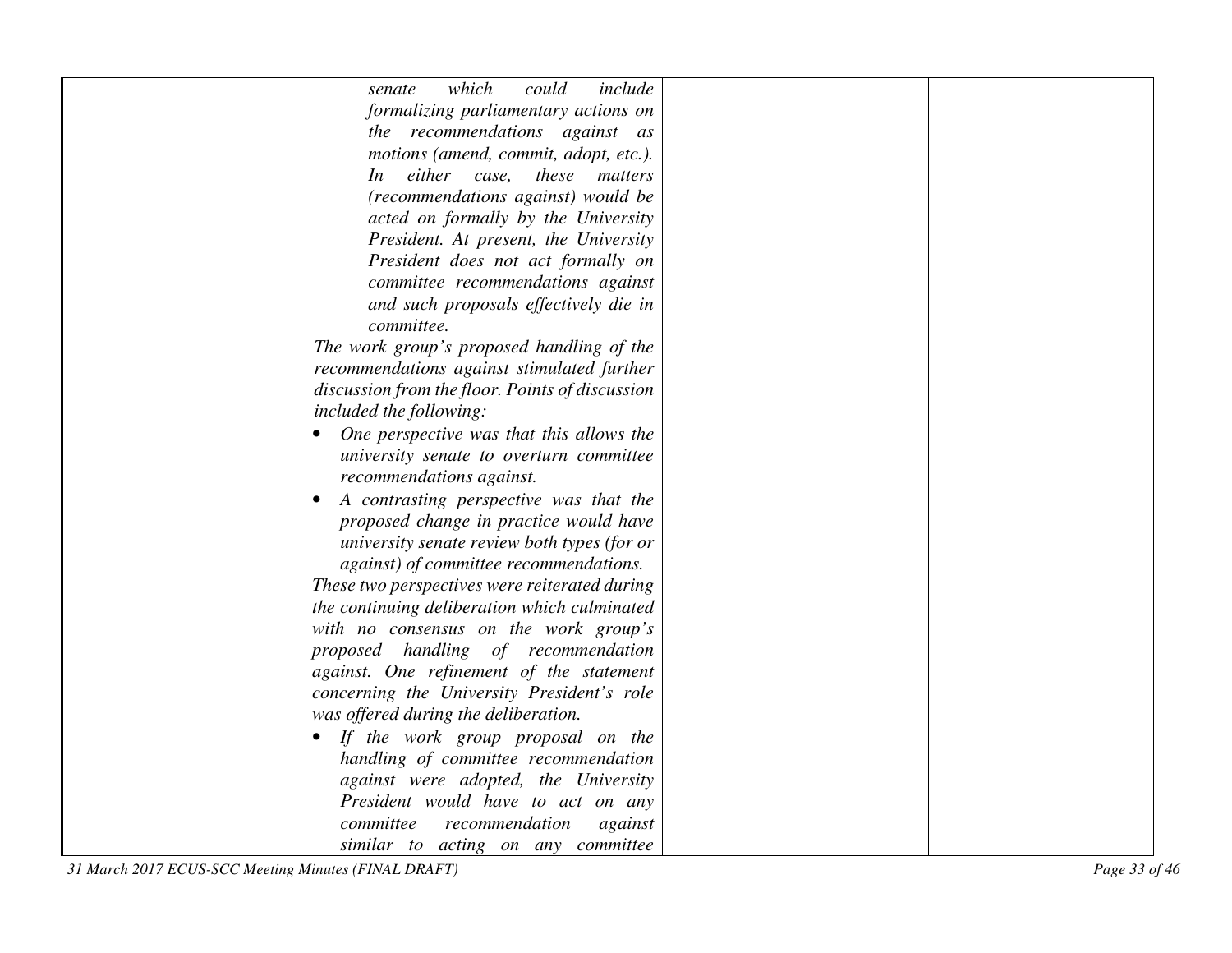| which<br>include<br>could<br>senate                   |               |
|-------------------------------------------------------|---------------|
| formalizing parliamentary actions on                  |               |
| the recommendations against as                        |               |
| motions (amend, commit, adopt, etc.).                 |               |
| In either case, these matters                         |               |
| (recommendations against) would be                    |               |
| acted on formally by the University                   |               |
| President. At present, the University                 |               |
| President does not act formally on                    |               |
| committee recommendations against                     |               |
| and such proposals effectively die in                 |               |
| committee.                                            |               |
| The work group's proposed handling of the             |               |
| recommendations against stimulated further            |               |
| discussion from the floor. Points of discussion       |               |
| included the following:                               |               |
| One perspective was that this allows the<br>$\bullet$ |               |
| university senate to overturn committee               |               |
| recommendations against.                              |               |
| A contrasting perspective was that the                |               |
| proposed change in practice would have                |               |
| university senate review both types (for or           |               |
| against) of committee recommendations.                |               |
| These two perspectives were reiterated during         |               |
| the continuing deliberation which culminated          |               |
| with no consensus on the work group's                 |               |
| proposed handling of recommendation                   |               |
| against. One refinement of the statement              |               |
| concerning the University President's role            |               |
| was offered during the deliberation.                  |               |
| If the work group proposal on the                     |               |
| handling of committee recommendation                  |               |
| against were adopted, the University                  |               |
| President would have to act on any                    |               |
| committee<br>recommendation<br>against                |               |
| similar to acting on any committee                    |               |
| 31 March 2017 ECUS-SCC Meeting Minutes (FINAL DRAFT)  | Page 33 of 46 |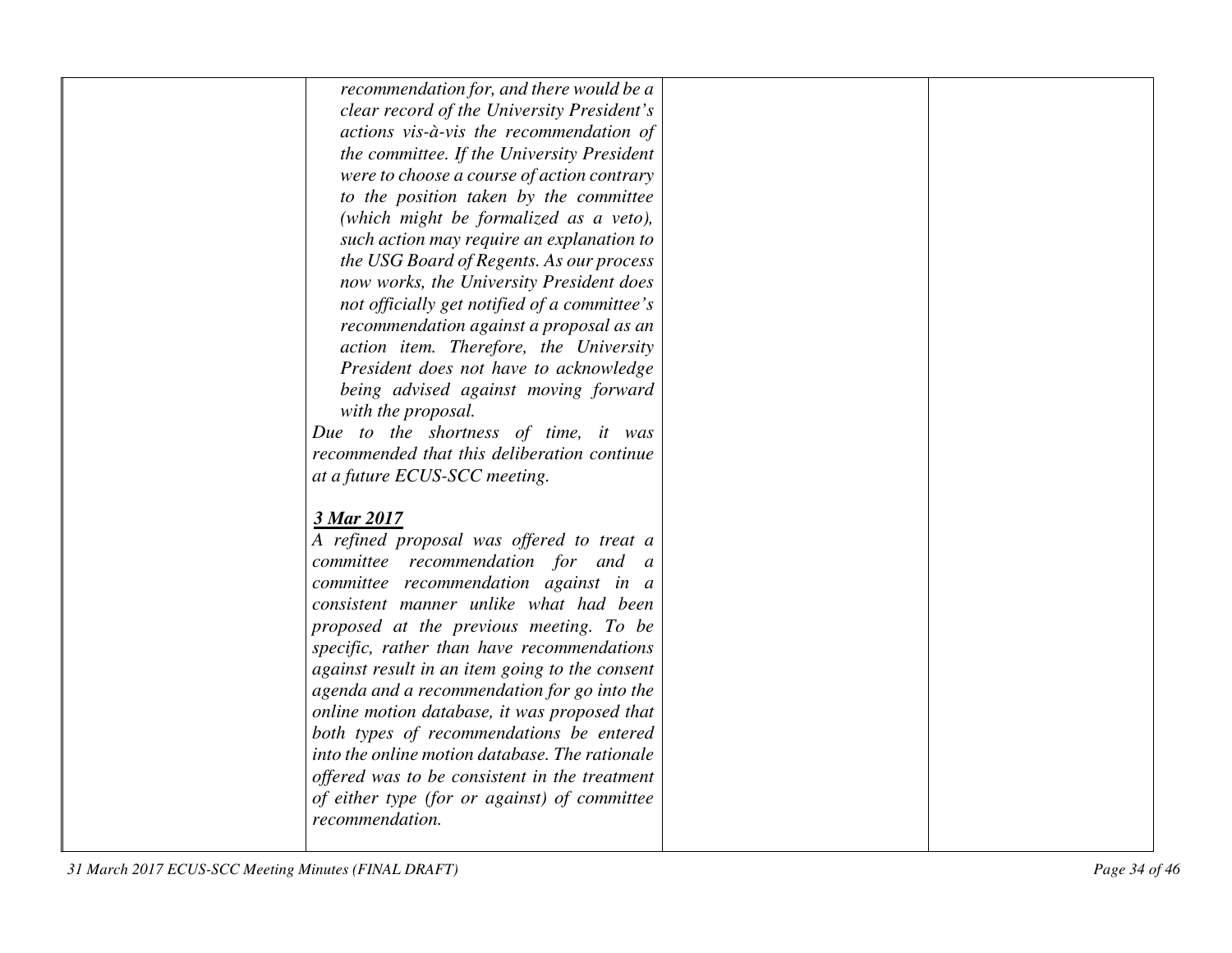| recommendation for, and there would be a                                                        |  |
|-------------------------------------------------------------------------------------------------|--|
| clear record of the University President's                                                      |  |
| actions vis-à-vis the recommendation of                                                         |  |
| the committee. If the University President                                                      |  |
| were to choose a course of action contrary                                                      |  |
| to the position taken by the committee                                                          |  |
| (which might be formalized as a veto),                                                          |  |
| such action may require an explanation to                                                       |  |
| the USG Board of Regents. As our process                                                        |  |
| now works, the University President does                                                        |  |
| not officially get notified of a committee's                                                    |  |
| recommendation against a proposal as an                                                         |  |
| action item. Therefore, the University                                                          |  |
| President does not have to acknowledge                                                          |  |
| being advised against moving forward                                                            |  |
| with the proposal.                                                                              |  |
| Due to the shortness of time, it was                                                            |  |
| recommended that this deliberation continue                                                     |  |
| at a future ECUS-SCC meeting.                                                                   |  |
|                                                                                                 |  |
| 3 Mar 2017                                                                                      |  |
| A refined proposal was offered to treat a                                                       |  |
| committee recommendation for and a                                                              |  |
| committee recommendation against in a                                                           |  |
| consistent manner unlike what had been                                                          |  |
| proposed at the previous meeting. To be                                                         |  |
| specific, rather than have recommendations                                                      |  |
| against result in an item going to the consent                                                  |  |
| agenda and a recommendation for go into the                                                     |  |
| online motion database, it was proposed that                                                    |  |
| both types of recommendations be entered                                                        |  |
| into the online motion database. The rationale<br>offered was to be consistent in the treatment |  |
|                                                                                                 |  |
| of either type (for or against) of committee<br>recommendation.                                 |  |
|                                                                                                 |  |
|                                                                                                 |  |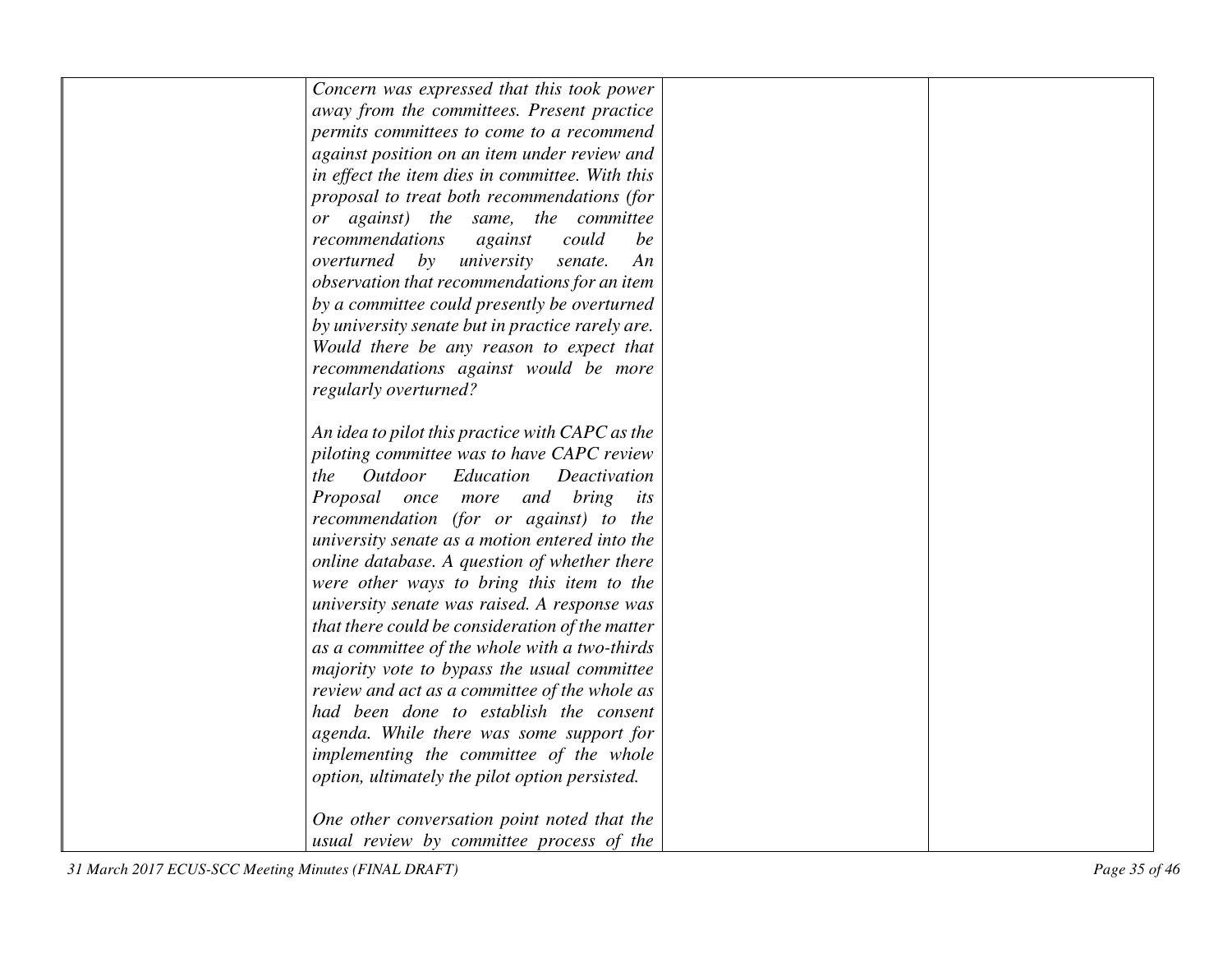| Concern was expressed that this took power       |  |
|--------------------------------------------------|--|
| away from the committees. Present practice       |  |
| permits committees to come to a recommend        |  |
| against position on an item under review and     |  |
| in effect the item dies in committee. With this  |  |
| proposal to treat both recommendations (for      |  |
| or against) the same, the committee              |  |
| recommendations<br>could<br>against<br>be        |  |
| overturned<br>by<br>university<br>An<br>senate.  |  |
| observation that recommendations for an item     |  |
| by a committee could presently be overturned     |  |
| by university senate but in practice rarely are. |  |
| Would there be any reason to expect that         |  |
| recommendations against would be more            |  |
| regularly overturned?                            |  |
|                                                  |  |
| An idea to pilot this practice with CAPC as the  |  |
| piloting committee was to have CAPC review       |  |
| Outdoor<br>Education<br>Deactivation<br>the      |  |
| Proposal once more and bring its                 |  |
| recommendation (for or against) to the           |  |
| university senate as a motion entered into the   |  |
| online database. A question of whether there     |  |
| were other ways to bring this item to the        |  |
| university senate was raised. A response was     |  |
| that there could be consideration of the matter  |  |
| as a committee of the whole with a two-thirds    |  |
| majority vote to bypass the usual committee      |  |
| review and act as a committee of the whole as    |  |
| had been done to establish the consent           |  |
| agenda. While there was some support for         |  |
| implementing the committee of the whole          |  |
| option, ultimately the pilot option persisted.   |  |
|                                                  |  |
| One other conversation point noted that the      |  |
| usual review by committee process of the         |  |
|                                                  |  |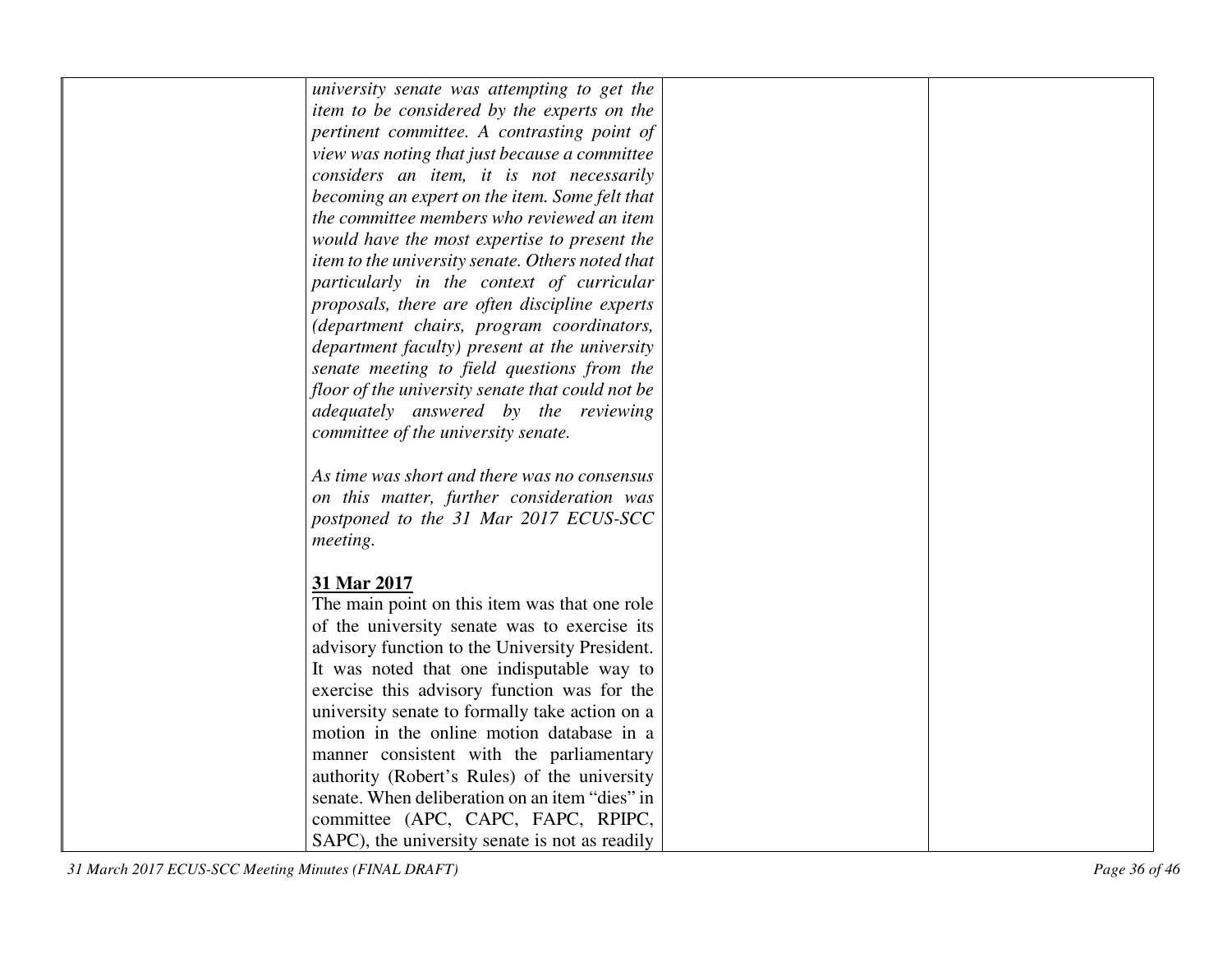| university senate was attempting to get the                  |  |
|--------------------------------------------------------------|--|
| item to be considered by the experts on the                  |  |
| pertinent committee. A contrasting point of                  |  |
| view was noting that just because a committee                |  |
| considers an item, it is not necessarily                     |  |
| becoming an expert on the item. Some felt that               |  |
| the committee members who reviewed an item                   |  |
| would have the most expertise to present the                 |  |
| item to the university senate. Others noted that             |  |
| particularly in the context of curricular                    |  |
| proposals, there are often discipline experts                |  |
| (department chairs, program coordinators,                    |  |
| department faculty) present at the university                |  |
| senate meeting to field questions from the                   |  |
| floor of the university senate that could not be             |  |
| adequately answered by the reviewing                         |  |
| committee of the university senate.                          |  |
|                                                              |  |
| As time was short and there was no consensus                 |  |
| on this matter, further consideration was                    |  |
| postponed to the 31 Mar 2017 ECUS-SCC                        |  |
| meeting.                                                     |  |
|                                                              |  |
| 31 Mar 2017<br>The main point on this item was that one role |  |
| of the university senate was to exercise its                 |  |
| advisory function to the University President.               |  |
| It was noted that one indisputable way to                    |  |
| exercise this advisory function was for the                  |  |
| university senate to formally take action on a               |  |
| motion in the online motion database in a                    |  |
| manner consistent with the parliamentary                     |  |
| authority (Robert's Rules) of the university                 |  |
| senate. When deliberation on an item "dies" in               |  |
| committee (APC, CAPC, FAPC, RPIPC,                           |  |
| SAPC), the university senate is not as readily               |  |
|                                                              |  |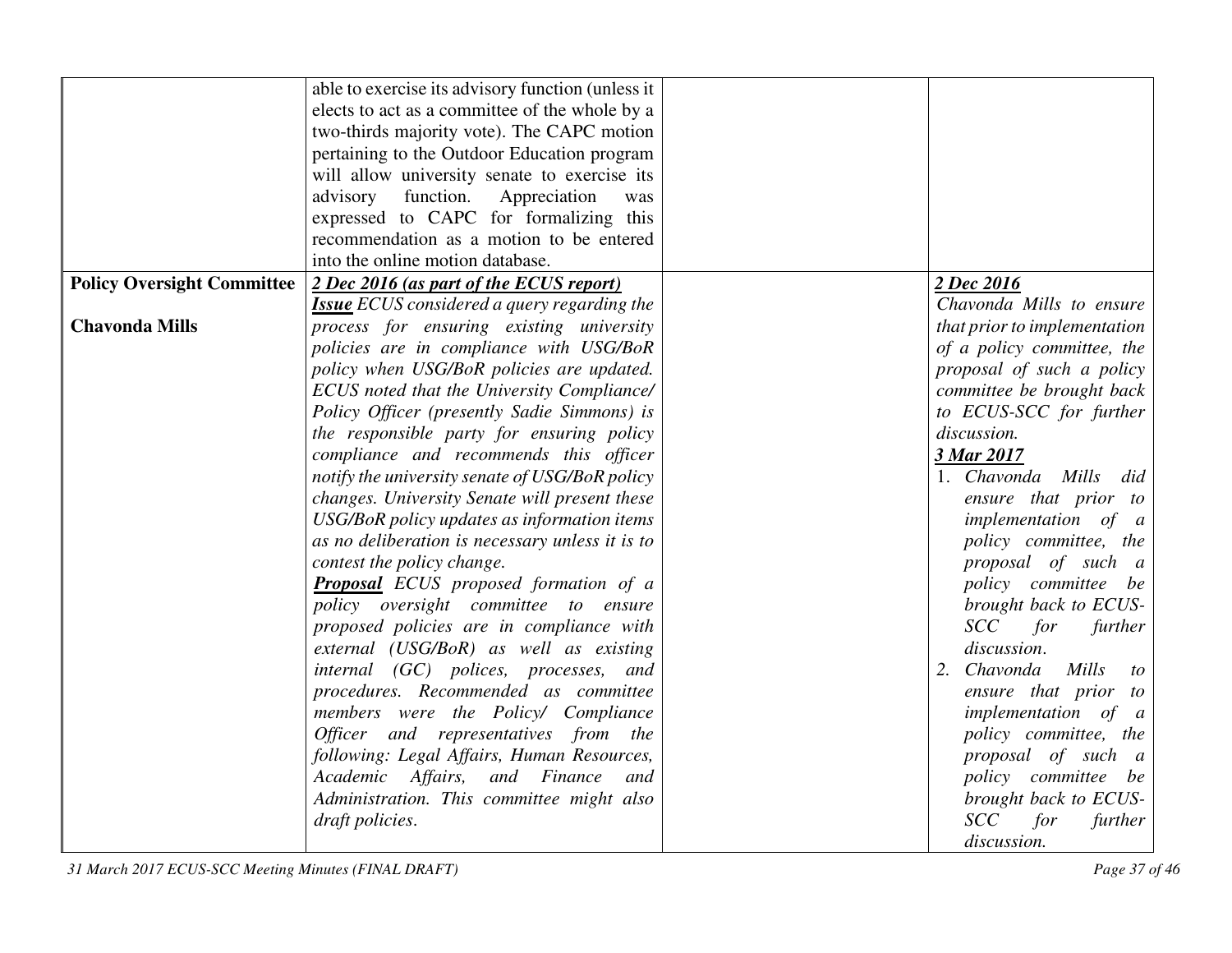|                                   | able to exercise its advisory function (unless it  |                              |
|-----------------------------------|----------------------------------------------------|------------------------------|
|                                   | elects to act as a committee of the whole by a     |                              |
|                                   | two-thirds majority vote). The CAPC motion         |                              |
|                                   | pertaining to the Outdoor Education program        |                              |
|                                   | will allow university senate to exercise its       |                              |
|                                   | advisory function.<br>Appreciation<br>was          |                              |
|                                   | expressed to CAPC for formalizing this             |                              |
|                                   | recommendation as a motion to be entered           |                              |
|                                   | into the online motion database.                   |                              |
| <b>Policy Oversight Committee</b> | 2 Dec 2016 (as part of the ECUS report)            | 2 Dec 2016                   |
|                                   | <b>Issue</b> ECUS considered a query regarding the | Chavonda Mills to ensure     |
| <b>Chavonda Mills</b>             | process for ensuring existing university           | that prior to implementation |
|                                   | policies are in compliance with USG/BoR            | of a policy committee, the   |
|                                   | policy when USG/BoR policies are updated.          | proposal of such a policy    |
|                                   | ECUS noted that the University Compliance/         | committee be brought back    |
|                                   | Policy Officer (presently Sadie Simmons) is        | to ECUS-SCC for further      |
|                                   | the responsible party for ensuring policy          | discussion.                  |
|                                   | compliance and recommends this officer             | 3 Mar 2017                   |
|                                   | notify the university senate of USG/BoR policy     | 1. Chavonda Mills<br>did     |
|                                   | changes. University Senate will present these      | ensure that prior to         |
|                                   | USG/BoR policy updates as information items        | <i>implementation</i> of a   |
|                                   | as no deliberation is necessary unless it is to    | policy committee, the        |
|                                   | contest the policy change.                         | proposal of such a           |
|                                   | <b>Proposal</b> ECUS proposed formation of a       | policy committee be          |
|                                   | policy oversight committee to ensure               | brought back to ECUS-        |
|                                   | proposed policies are in compliance with           | <b>SCC</b><br>for<br>further |
|                                   | external (USG/BoR) as well as existing             | discussion.                  |
|                                   | internal (GC) polices, processes, and              | 2. Chavonda<br>Mills<br>to   |
|                                   | procedures. Recommended as committee               | ensure that prior to         |
|                                   | members were the Policy/ Compliance                | implementation of a          |
|                                   | Officer and representatives from the               | policy committee, the        |
|                                   | following: Legal Affairs, Human Resources,         | proposal of such a           |
|                                   | Academic Affairs, and Finance<br>and               | policy committee be          |
|                                   | Administration. This committee might also          | brought back to ECUS-        |
|                                   | draft policies.                                    | <b>SCC</b><br>for<br>further |
|                                   |                                                    | discussion.                  |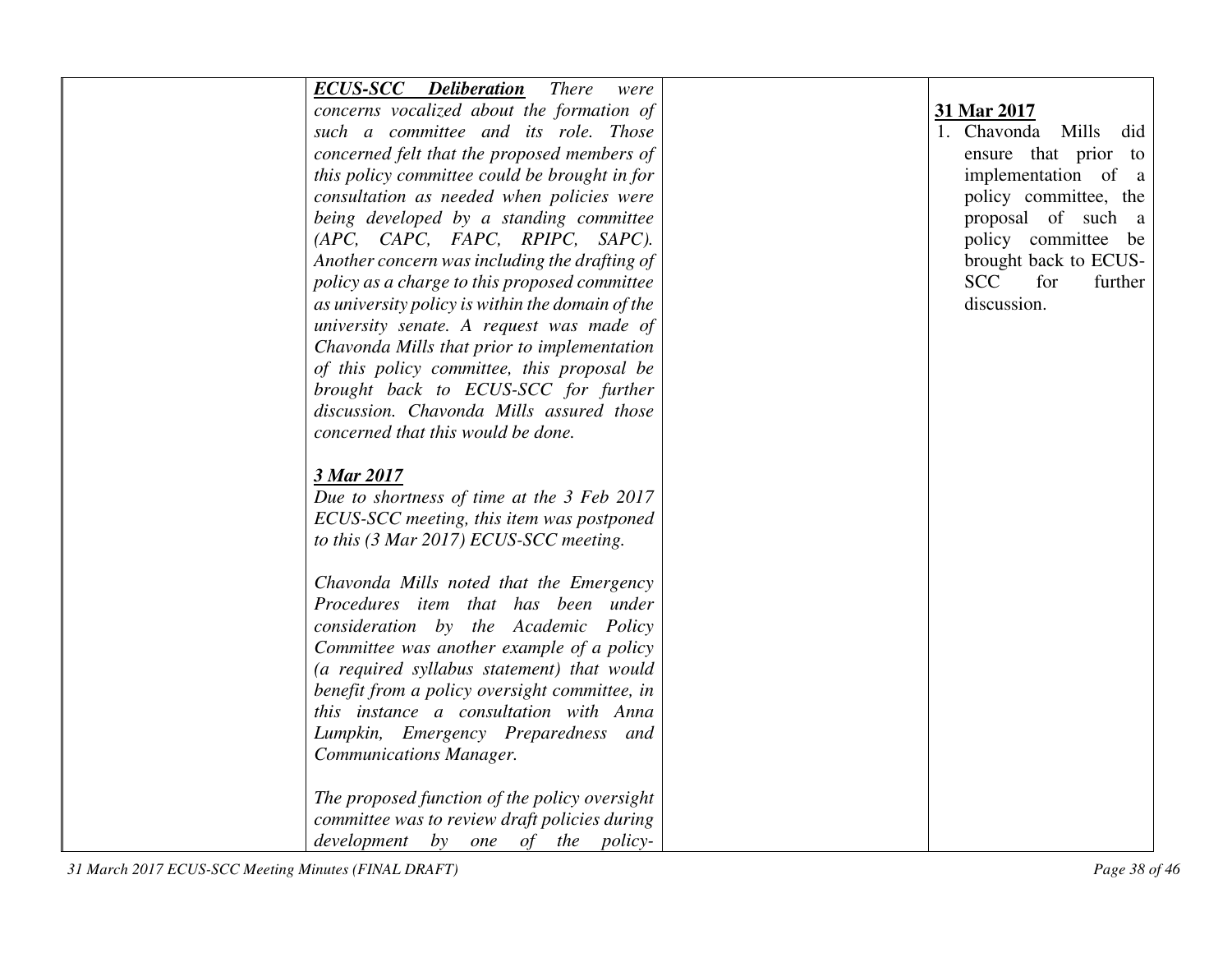| <b>ECUS-SCC</b> Deliberation There<br>were       |                              |
|--------------------------------------------------|------------------------------|
| concerns vocalized about the formation of        | 31 Mar 2017                  |
| such a committee and its role. Those             | 1. Chavonda Mills did        |
| concerned felt that the proposed members of      | ensure that prior to         |
| this policy committee could be brought in for    | implementation of a          |
| consultation as needed when policies were        | policy committee, the        |
| being developed by a standing committee          | proposal of such a           |
| (APC, CAPC, FAPC, RPIPC, SAPC).                  | policy committee be          |
| Another concern was including the drafting of    | brought back to ECUS-        |
| policy as a charge to this proposed committee    | <b>SCC</b><br>for<br>further |
| as university policy is within the domain of the | discussion.                  |
| university senate. A request was made of         |                              |
| Chavonda Mills that prior to implementation      |                              |
| of this policy committee, this proposal be       |                              |
| brought back to ECUS-SCC for further             |                              |
| discussion. Chavonda Mills assured those         |                              |
| concerned that this would be done.               |                              |
|                                                  |                              |
| 3 Mar 2017                                       |                              |
| Due to shortness of time at the 3 Feb 2017       |                              |
| ECUS-SCC meeting, this item was postponed        |                              |
| to this (3 Mar 2017) ECUS-SCC meeting.           |                              |
|                                                  |                              |
| Chavonda Mills noted that the Emergency          |                              |
| Procedures item that has been under              |                              |
| consideration by the Academic Policy             |                              |
| Committee was another example of a policy        |                              |
| (a required syllabus statement) that would       |                              |
| benefit from a policy oversight committee, in    |                              |
| this instance a consultation with Anna           |                              |
| Lumpkin, Emergency Preparedness and              |                              |
| <b>Communications Manager.</b>                   |                              |
|                                                  |                              |
| The proposed function of the policy oversight    |                              |
| committee was to review draft policies during    |                              |
| development by one of the policy-                |                              |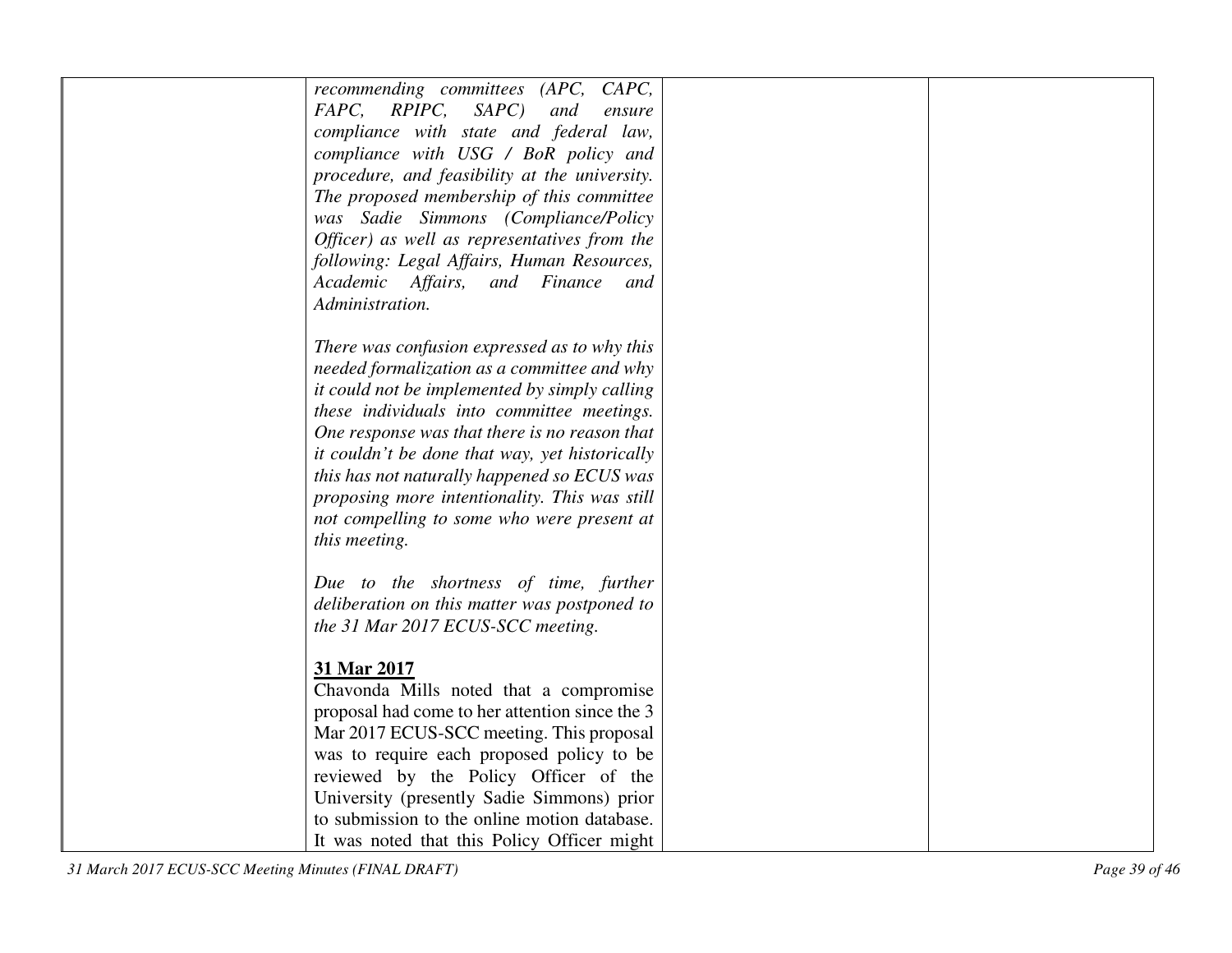| recommending committees (APC, CAPC,<br>FAPC, RPIPC, SAPC)<br>and<br>ensure<br>compliance with state and federal law,<br>compliance with USG / BoR policy and<br>procedure, and feasibility at the university.<br>The proposed membership of this committee<br>was Sadie Simmons (Compliance/Policy                                                                                                                                          |  |
|---------------------------------------------------------------------------------------------------------------------------------------------------------------------------------------------------------------------------------------------------------------------------------------------------------------------------------------------------------------------------------------------------------------------------------------------|--|
| Officer) as well as representatives from the                                                                                                                                                                                                                                                                                                                                                                                                |  |
| following: Legal Affairs, Human Resources,<br>Academic Affairs, and Finance<br>and<br>Administration.                                                                                                                                                                                                                                                                                                                                       |  |
| There was confusion expressed as to why this<br>needed formalization as a committee and why<br>it could not be implemented by simply calling<br>these individuals into committee meetings.<br>One response was that there is no reason that<br>it couldn't be done that way, yet historically<br>this has not naturally happened so ECUS was<br>proposing more intentionality. This was still<br>not compelling to some who were present at |  |
| this meeting.                                                                                                                                                                                                                                                                                                                                                                                                                               |  |
| Due to the shortness of time, further<br>deliberation on this matter was postponed to<br>the 31 Mar 2017 ECUS-SCC meeting.                                                                                                                                                                                                                                                                                                                  |  |
| 31 Mar 2017<br>Chavonda Mills noted that a compromise<br>proposal had come to her attention since the 3                                                                                                                                                                                                                                                                                                                                     |  |
| Mar 2017 ECUS-SCC meeting. This proposal<br>was to require each proposed policy to be                                                                                                                                                                                                                                                                                                                                                       |  |
| reviewed by the Policy Officer of the<br>University (presently Sadie Simmons) prior<br>to submission to the online motion database.                                                                                                                                                                                                                                                                                                         |  |
| It was noted that this Policy Officer might                                                                                                                                                                                                                                                                                                                                                                                                 |  |

*31 March 2017 ECUS-SCC Meeting Minutes (FINAL DRAFT) Page 39 of 46*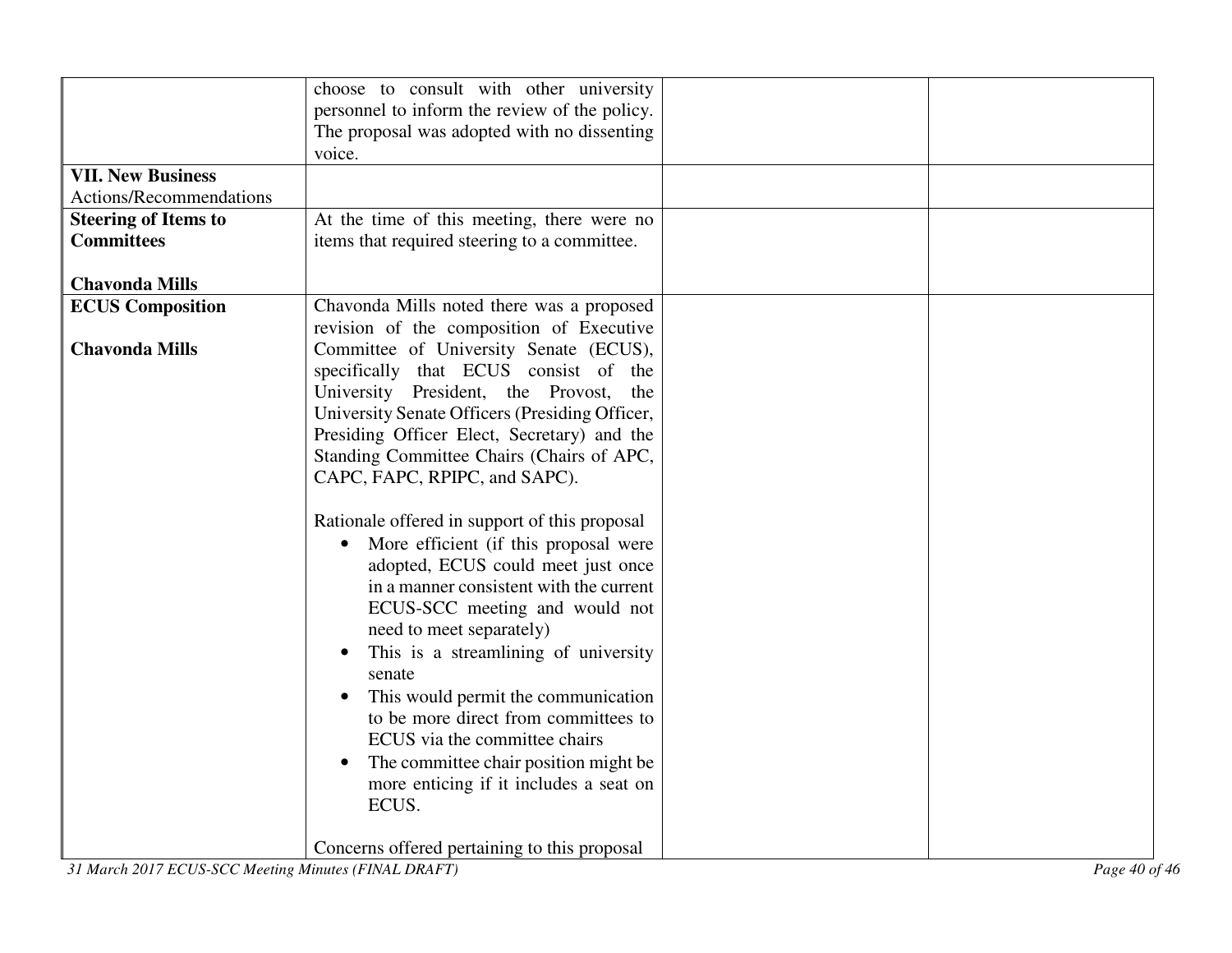| <b>VII. New Business</b><br>Actions/Recommendations<br><b>Steering of Items to</b><br><b>Committees</b><br><b>Chavonda Mills</b> | choose to consult with other university<br>personnel to inform the review of the policy.<br>The proposal was adopted with no dissenting<br>voice.<br>At the time of this meeting, there were no<br>items that required steering to a committee.                                                                                                                                                                                                                                                                                                                  |  |
|----------------------------------------------------------------------------------------------------------------------------------|------------------------------------------------------------------------------------------------------------------------------------------------------------------------------------------------------------------------------------------------------------------------------------------------------------------------------------------------------------------------------------------------------------------------------------------------------------------------------------------------------------------------------------------------------------------|--|
| <b>ECUS Composition</b>                                                                                                          | Chavonda Mills noted there was a proposed                                                                                                                                                                                                                                                                                                                                                                                                                                                                                                                        |  |
| <b>Chavonda Mills</b>                                                                                                            | revision of the composition of Executive<br>Committee of University Senate (ECUS),<br>specifically that ECUS consist of the<br>University President, the Provost,<br>the<br>University Senate Officers (Presiding Officer,<br>Presiding Officer Elect, Secretary) and the<br>Standing Committee Chairs (Chairs of APC,<br>CAPC, FAPC, RPIPC, and SAPC).                                                                                                                                                                                                          |  |
|                                                                                                                                  | Rationale offered in support of this proposal<br>More efficient (if this proposal were<br>$\bullet$<br>adopted, ECUS could meet just once<br>in a manner consistent with the current<br>ECUS-SCC meeting and would not<br>need to meet separately)<br>This is a streamlining of university<br>senate<br>This would permit the communication<br>to be more direct from committees to<br>ECUS via the committee chairs<br>The committee chair position might be<br>more enticing if it includes a seat on<br>ECUS.<br>Concerns offered pertaining to this proposal |  |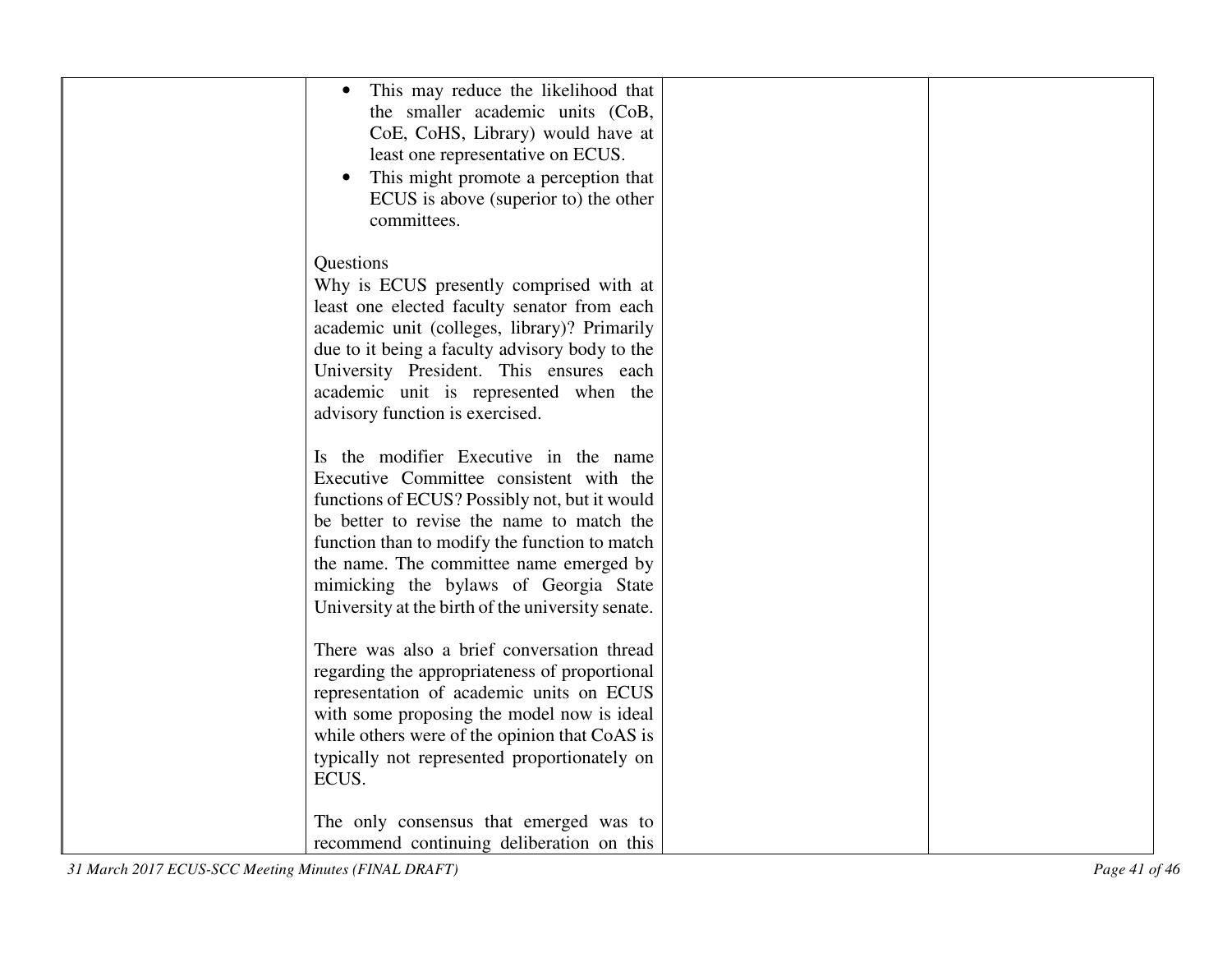| This may reduce the likelihood that<br>the smaller academic units (CoB,<br>CoE, CoHS, Library) would have at<br>least one representative on ECUS.<br>This might promote a perception that<br>ECUS is above (superior to) the other                                                |  |
|-----------------------------------------------------------------------------------------------------------------------------------------------------------------------------------------------------------------------------------------------------------------------------------|--|
| committees.<br>Questions<br>Why is ECUS presently comprised with at<br>least one elected faculty senator from each<br>academic unit (colleges, library)? Primarily<br>due to it being a faculty advisory body to the<br>University President. This ensures each                   |  |
| academic unit is represented when the<br>advisory function is exercised.<br>Is the modifier Executive in the name<br>Executive Committee consistent with the<br>functions of ECUS? Possibly not, but it would                                                                     |  |
| be better to revise the name to match the<br>function than to modify the function to match<br>the name. The committee name emerged by<br>mimicking the bylaws of Georgia State<br>University at the birth of the university senate.<br>There was also a brief conversation thread |  |
| regarding the appropriateness of proportional<br>representation of academic units on ECUS<br>with some proposing the model now is ideal<br>while others were of the opinion that CoAS is<br>typically not represented proportionately on<br>ECUS.                                 |  |
| The only consensus that emerged was to<br>recommend continuing deliberation on this                                                                                                                                                                                               |  |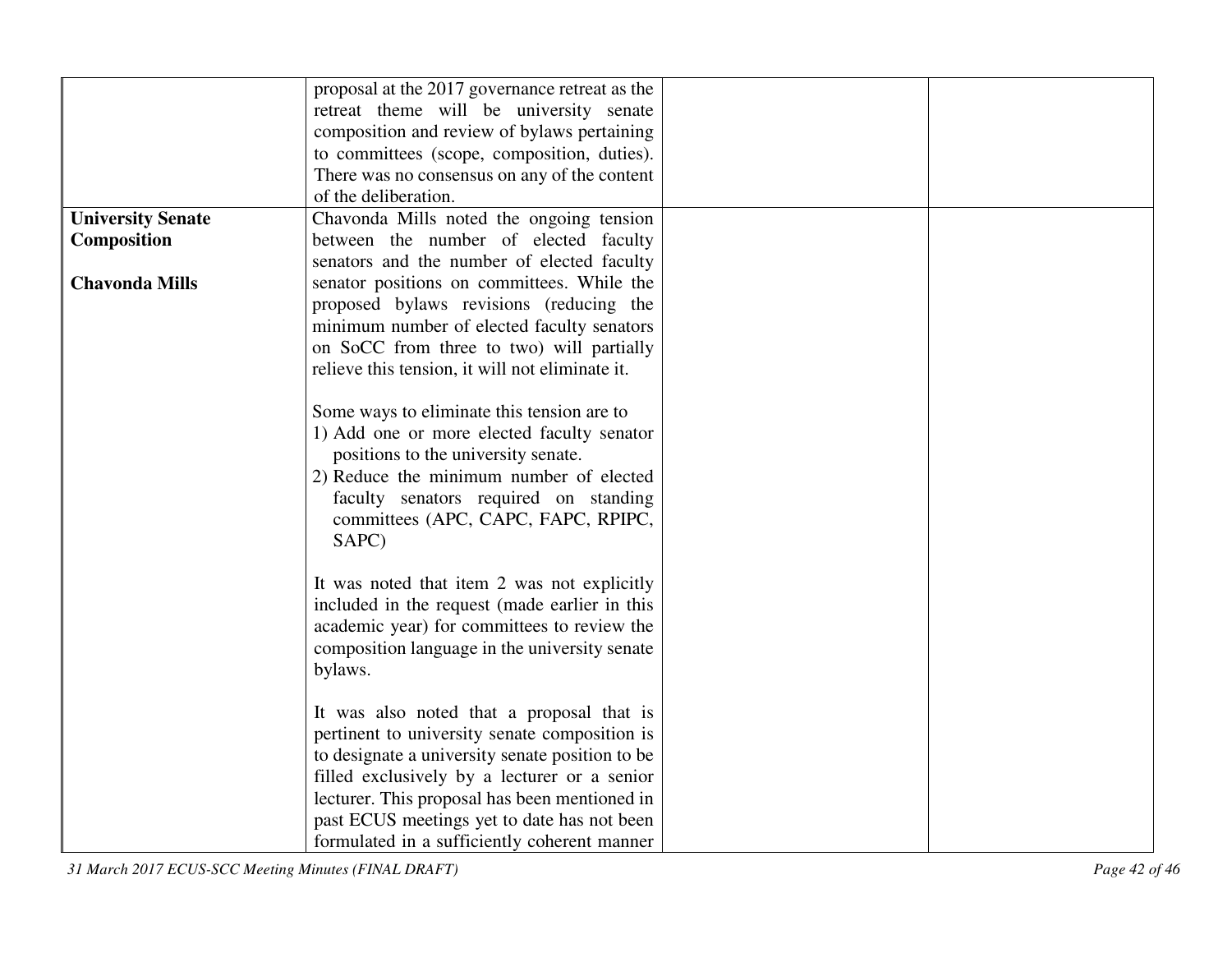|                          | proposal at the 2017 governance retreat as the  |  |
|--------------------------|-------------------------------------------------|--|
|                          | retreat theme will be university senate         |  |
|                          | composition and review of bylaws pertaining     |  |
|                          | to committees (scope, composition, duties).     |  |
|                          | There was no consensus on any of the content    |  |
|                          | of the deliberation.                            |  |
| <b>University Senate</b> | Chavonda Mills noted the ongoing tension        |  |
| Composition              | between the number of elected faculty           |  |
|                          | senators and the number of elected faculty      |  |
| <b>Chavonda Mills</b>    | senator positions on committees. While the      |  |
|                          | proposed bylaws revisions (reducing the         |  |
|                          | minimum number of elected faculty senators      |  |
|                          | on SoCC from three to two) will partially       |  |
|                          | relieve this tension, it will not eliminate it. |  |
|                          |                                                 |  |
|                          | Some ways to eliminate this tension are to      |  |
|                          | 1) Add one or more elected faculty senator      |  |
|                          | positions to the university senate.             |  |
|                          | 2) Reduce the minimum number of elected         |  |
|                          | faculty senators required on standing           |  |
|                          | committees (APC, CAPC, FAPC, RPIPC,             |  |
|                          | SAPC)                                           |  |
|                          |                                                 |  |
|                          | It was noted that item 2 was not explicitly     |  |
|                          | included in the request (made earlier in this   |  |
|                          | academic year) for committees to review the     |  |
|                          | composition language in the university senate   |  |
|                          | bylaws.                                         |  |
|                          |                                                 |  |
|                          | It was also noted that a proposal that is       |  |
|                          | pertinent to university senate composition is   |  |
|                          | to designate a university senate position to be |  |
|                          | filled exclusively by a lecturer or a senior    |  |
|                          | lecturer. This proposal has been mentioned in   |  |
|                          | past ECUS meetings yet to date has not been     |  |
|                          | formulated in a sufficiently coherent manner    |  |

*31 March 2017 ECUS-SCC Meeting Minutes (FINAL DRAFT) Page 42 of 46*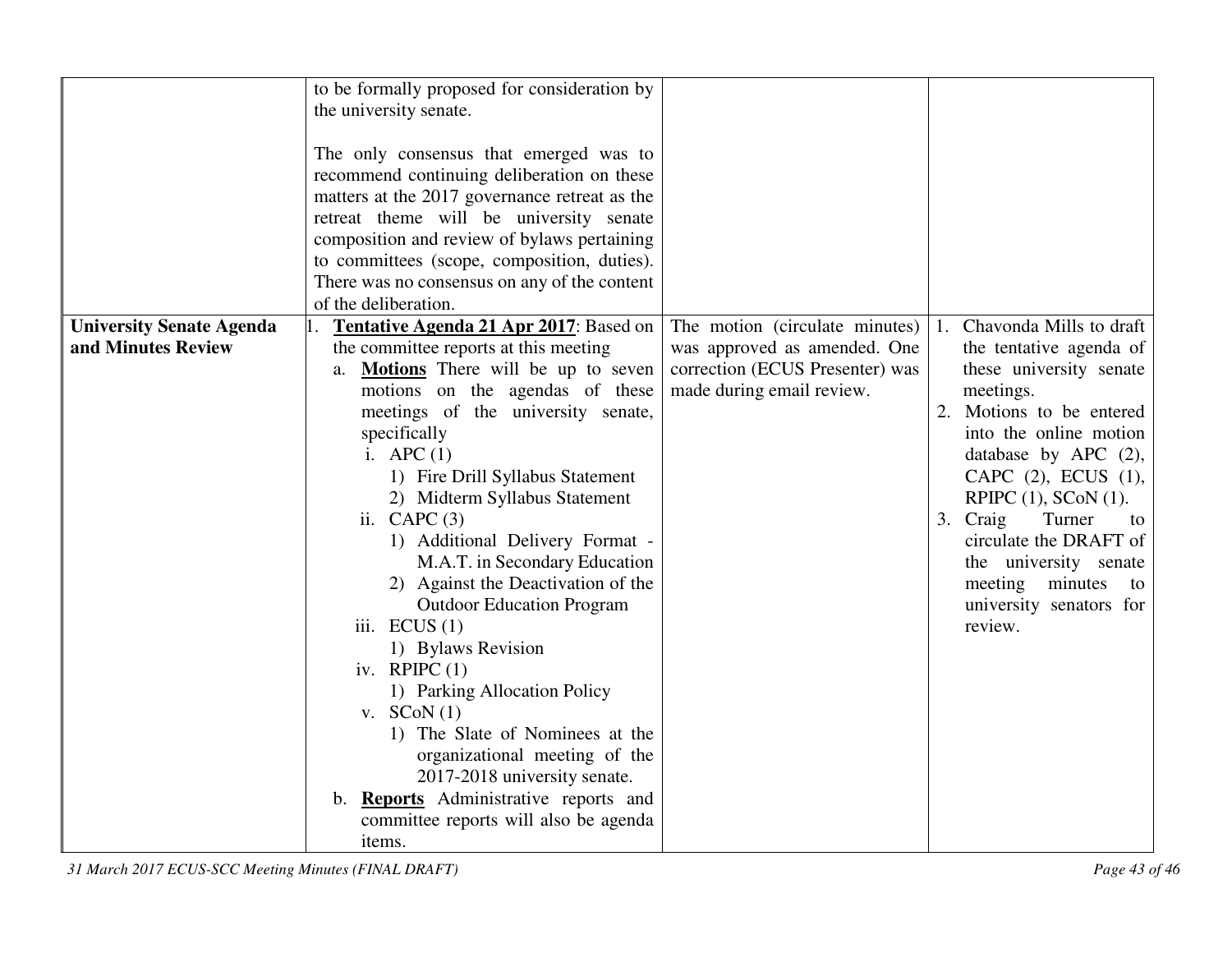|                                 | to be formally proposed for consideration by<br>the university senate.<br>The only consensus that emerged was to<br>recommend continuing deliberation on these<br>matters at the 2017 governance retreat as the<br>retreat theme will be university senate<br>composition and review of bylaws pertaining<br>to committees (scope, composition, duties).<br>There was no consensus on any of the content<br>of the deliberation.                                                                                                                                                                                                                                                                                                                        |                                                                                              |                                                                                                                                                                                                                                                                                                                                                           |
|---------------------------------|---------------------------------------------------------------------------------------------------------------------------------------------------------------------------------------------------------------------------------------------------------------------------------------------------------------------------------------------------------------------------------------------------------------------------------------------------------------------------------------------------------------------------------------------------------------------------------------------------------------------------------------------------------------------------------------------------------------------------------------------------------|----------------------------------------------------------------------------------------------|-----------------------------------------------------------------------------------------------------------------------------------------------------------------------------------------------------------------------------------------------------------------------------------------------------------------------------------------------------------|
| <b>University Senate Agenda</b> | Tentative Agenda 21 Apr 2017: Based on                                                                                                                                                                                                                                                                                                                                                                                                                                                                                                                                                                                                                                                                                                                  | The motion (circulate minutes)                                                               | Chavonda Mills to draft<br>1.                                                                                                                                                                                                                                                                                                                             |
| and Minutes Review              | the committee reports at this meeting<br><b>Motions</b> There will be up to seven<br>a.<br>motions on the agendas of these<br>meetings of the university senate,<br>specifically<br>i. APC $(1)$<br>1) Fire Drill Syllabus Statement<br>2) Midterm Syllabus Statement<br>ii. CAPC $(3)$<br>1) Additional Delivery Format -<br>M.A.T. in Secondary Education<br>2) Against the Deactivation of the<br><b>Outdoor Education Program</b><br>iii. $ECUS(1)$<br>1) Bylaws Revision<br>iv. RPIPC $(1)$<br>1) Parking Allocation Policy<br>v. $SCoN(1)$<br>1) The Slate of Nominees at the<br>organizational meeting of the<br>2017-2018 university senate.<br>b. <b>Reports</b> Administrative reports and<br>committee reports will also be agenda<br>items. | was approved as amended. One<br>correction (ECUS Presenter) was<br>made during email review. | the tentative agenda of<br>these university senate<br>meetings.<br>2. Motions to be entered<br>into the online motion<br>database by APC $(2)$ ,<br>CAPC $(2)$ , ECUS $(1)$ ,<br>RPIPC $(1)$ , SCoN $(1)$ .<br>3. Craig<br>Turner<br>to<br>circulate the DRAFT of<br>the university senate<br>meeting minutes<br>to<br>university senators for<br>review. |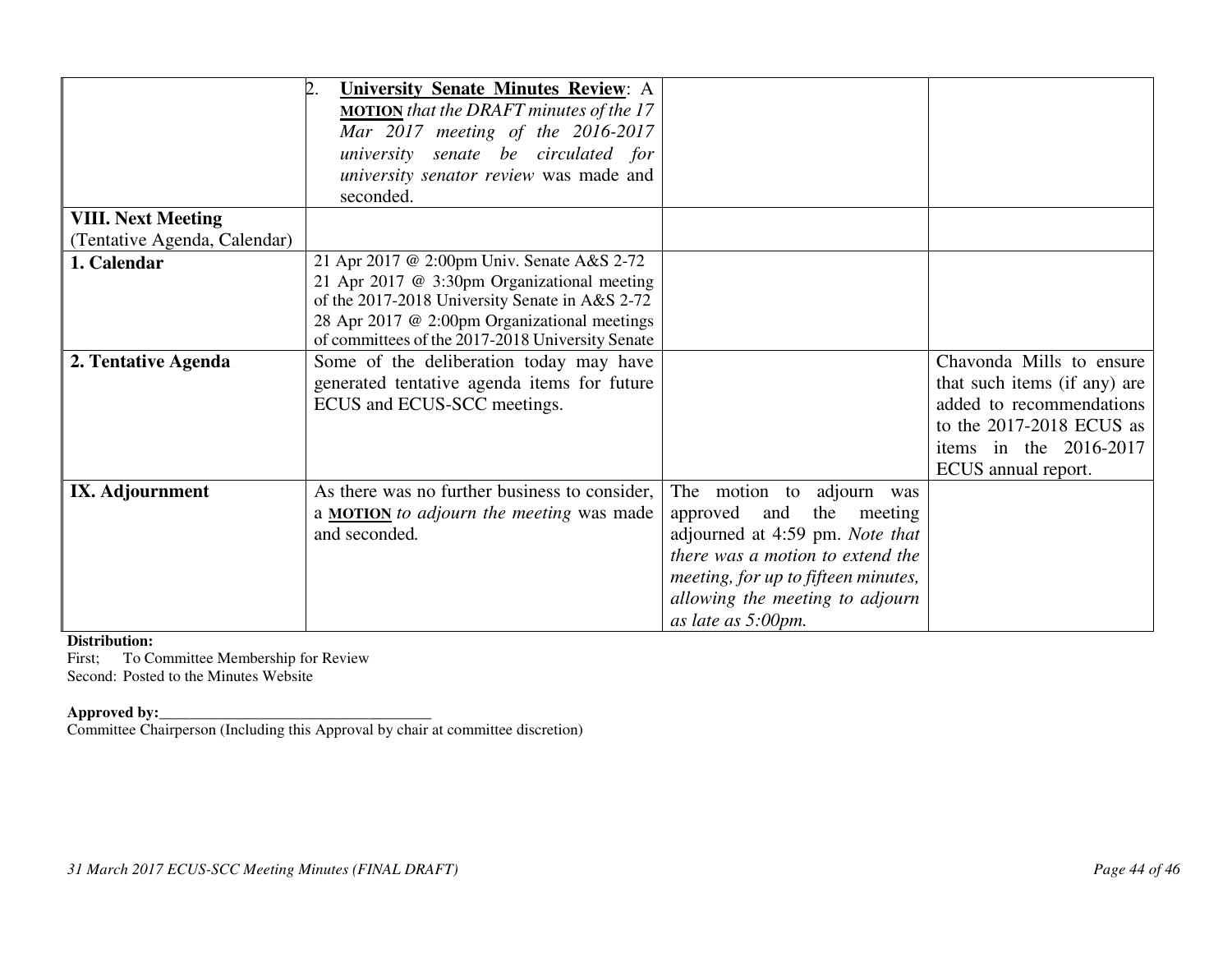|                              | <b>University Senate Minutes Review: A</b><br><b>MOTION</b> that the DRAFT minutes of the 17<br>Mar 2017 meeting of the 2016-2017<br>university senate be circulated for<br>university senator review was made and |                                     |                              |
|------------------------------|--------------------------------------------------------------------------------------------------------------------------------------------------------------------------------------------------------------------|-------------------------------------|------------------------------|
|                              | seconded.                                                                                                                                                                                                          |                                     |                              |
| <b>VIII. Next Meeting</b>    |                                                                                                                                                                                                                    |                                     |                              |
| (Tentative Agenda, Calendar) |                                                                                                                                                                                                                    |                                     |                              |
| 1. Calendar                  | 21 Apr 2017 @ 2:00pm Univ. Senate A&S 2-72                                                                                                                                                                         |                                     |                              |
|                              | 21 Apr 2017 @ 3:30pm Organizational meeting                                                                                                                                                                        |                                     |                              |
|                              | of the 2017-2018 University Senate in A&S 2-72                                                                                                                                                                     |                                     |                              |
|                              | 28 Apr 2017 @ 2:00pm Organizational meetings                                                                                                                                                                       |                                     |                              |
|                              | of committees of the 2017-2018 University Senate                                                                                                                                                                   |                                     |                              |
| 2. Tentative Agenda          | Some of the deliberation today may have                                                                                                                                                                            |                                     | Chavonda Mills to ensure     |
|                              | generated tentative agenda items for future                                                                                                                                                                        |                                     | that such items (if any) are |
|                              | ECUS and ECUS-SCC meetings.                                                                                                                                                                                        |                                     | added to recommendations     |
|                              |                                                                                                                                                                                                                    |                                     | to the 2017-2018 ECUS as     |
|                              |                                                                                                                                                                                                                    |                                     | items in the $2016-2017$     |
|                              |                                                                                                                                                                                                                    |                                     | ECUS annual report.          |
| IX. Adjournment              | As there was no further business to consider,                                                                                                                                                                      | The motion to adjourn was           |                              |
|                              | a <b>MOTION</b> to adjourn the meeting was made                                                                                                                                                                    | and the meeting<br>approved         |                              |
|                              | and seconded.                                                                                                                                                                                                      | adjourned at 4:59 pm. Note that     |                              |
|                              |                                                                                                                                                                                                                    | there was a motion to extend the    |                              |
|                              |                                                                                                                                                                                                                    | meeting, for up to fifteen minutes, |                              |
|                              |                                                                                                                                                                                                                    | allowing the meeting to adjourn     |                              |
|                              |                                                                                                                                                                                                                    | as late as 5:00pm.                  |                              |

#### **Distribution:**

 First; To Committee Membership for Review Second: Posted to the Minutes Website

**Approved by:**<br>Committee Chairperson (Including this Approval by chair at committee discretion)